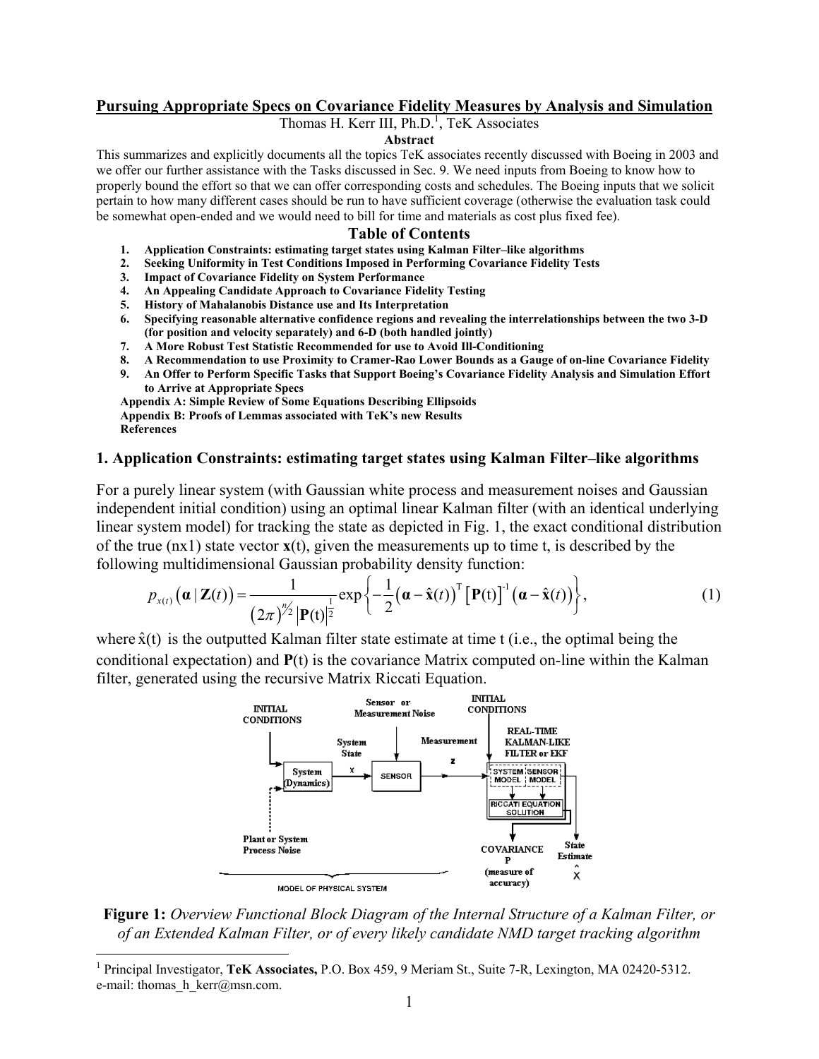#### **Pursuing Appropriate Specs on Covariance Fidelity Measures by Analysis and Simulation**

Thomas H. Kerr III, Ph.D.<sup>[1](#page-0-0)</sup>, TeK Associates

#### **Abstract**

This summarizes and explicitly documents all the topics TeK associates recently discussed with Boeing in 2003 and we offer our further assistance with the Tasks discussed in Sec. 9. We need inputs from Boeing to know how to properly bound the effort so that we can offer corresponding costs and schedules. The Boeing inputs that we solicit pertain to how many different cases should be run to have sufficient coverage (otherwise the evaluation task could be somewhat open-ended and we would need to bill for time and materials as cost plus fixed fee).

#### **Table of Contents**

- **1. Application Constraints: estimating target states using Kalman Filter–like algorithms**
- **2. Seeking Uniformity in Test Conditions Imposed in Performing Covariance Fidelity Tests**
- **3. Impact of Covariance Fidelity on System Performance**
- **4. An Appealing Candidate Approach to Covariance Fidelity Testing**
- **5. History of Mahalanobis Distance use and Its Interpretation**
- **6. Specifying reasonable alternative confidence regions and revealing the interrelationships between the two 3-D (for position and velocity separately) and 6-D (both handled jointly)**
- **7. A More Robust Test Statistic Recommended for use to Avoid Ill-Conditioning**
- **8. A Recommendation to use Proximity to Cramer-Rao Lower Bounds as a Gauge of on-line Covariance Fidelity**
- **9. An Offer to Perform Specific Tasks that Support Boeing's Covariance Fidelity Analysis and Simulation Effort to Arrive at Appropriate Specs**

**Appendix A: Simple Review of Some Equations Describing Ellipsoids Appendix B: Proofs of Lemmas associated with TeK's new Results References**

#### **1. Application Constraints: estimating target states using Kalman Filter–like algorithms**

For a purely linear system (with Gaussian white process and measurement noises and Gaussian independent initial condition) using an optimal linear Kalman filter (with an identical underlying linear system model) for tracking the state as depicted in Fig. 1, the exact conditional distribution of the true (nx1) state vector **x**(t), given the measurements up to time t, is described by the following multidimensional Gaussian probability density function:

$$
p_{x(t)}\big(\boldsymbol{\alpha} \,|\, \mathbf{Z}(t)\big) = \frac{1}{\big(2\pi\big)^{n/2}} \big|\mathbf{P}(t)\big|^{\frac{1}{2}} \exp\bigg\{-\frac{1}{2}\big(\boldsymbol{\alpha}-\hat{\mathbf{x}}(t)\big)^{\mathrm{T}}\big[\mathbf{P}(t)\big]^{\mathrm{T}}\big(\boldsymbol{\alpha}-\hat{\mathbf{x}}(t)\big)\bigg\},\tag{1}
$$

where  $\hat{x}(t)$  is the outputted Kalman filter state estimate at time t (i.e., the optimal being the conditional expectation) and **P**(t) is the covariance Matrix computed on-line within the Kalman filter, generated using the recursive Matrix Riccati Equation.



**Figure 1:** *Overview Functional Block Diagram of the Internal Structure of a Kalman Filter, or of an Extended Kalman Filter, or of every likely candidate NMD target tracking algorithm*

1

<span id="page-0-0"></span><sup>1</sup> Principal Investigator, **TeK Associates,** P.O. Box 459, 9 Meriam St., Suite 7-R, Lexington, MA 02420-5312. e-mail: thomas  $h$  kerr@msn.com.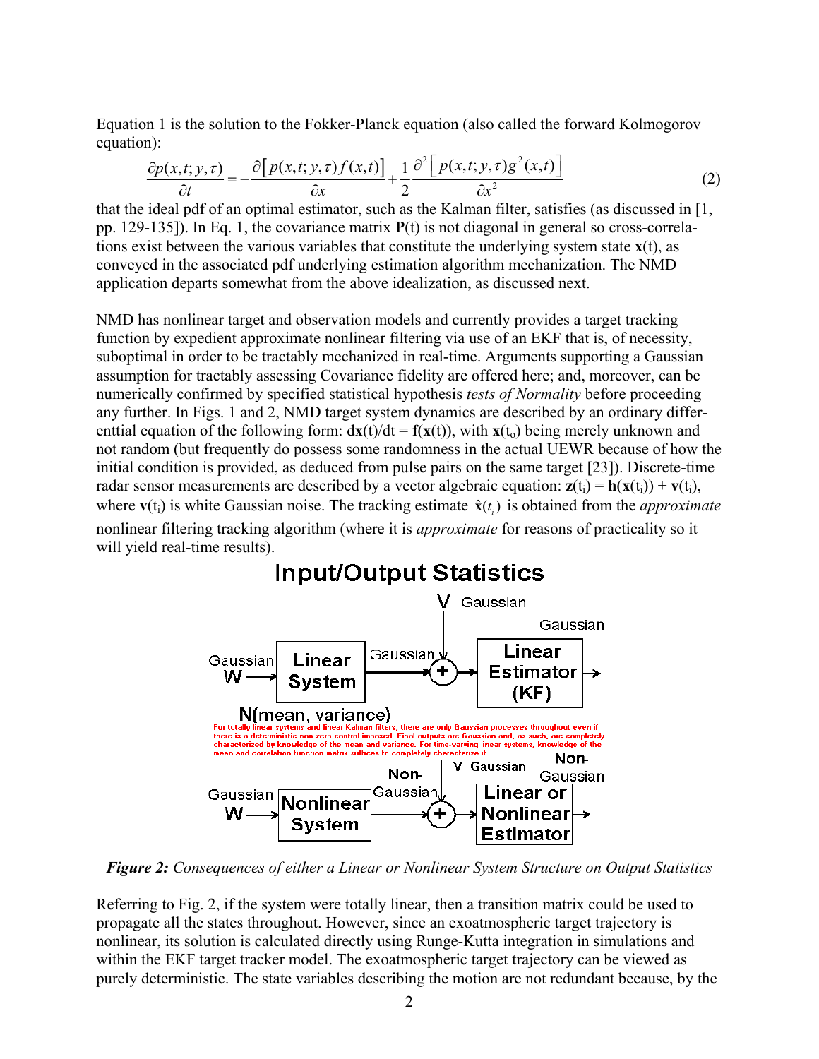Equation 1 is the solution to the Fokker-Planck equation (also called the forward Kolmogorov equation):

$$
\frac{\partial p(x,t;y,\tau)}{\partial t} = -\frac{\partial [p(x,t;y,\tau)f(x,t)]}{\partial x} + \frac{1}{2} \frac{\partial^2 [p(x,t;y,\tau)g^2(x,t)]}{\partial x^2}
$$
(2)

that the ideal pdf of an optimal estimator, such as the Kalman filter, satisfies (as discussed in [1, pp. 129-135]). In Eq. 1, the covariance matrix **P**(t) is not diagonal in general so cross-correlations exist between the various variables that constitute the underlying system state  $\mathbf{x}(t)$ , as conveyed in the associated pdf underlying estimation algorithm mechanization. The NMD application departs somewhat from the above idealization, as discussed next.

NMD has nonlinear target and observation models and currently provides a target tracking function by expedient approximate nonlinear filtering via use of an EKF that is, of necessity, suboptimal in order to be tractably mechanized in real-time. Arguments supporting a Gaussian assumption for tractably assessing Covariance fidelity are offered here; and, moreover, can be numerically confirmed by specified statistical hypothesis *tests of Normality* before proceeding any further. In Figs. 1 and 2, NMD target system dynamics are described by an ordinary differenttial equation of the following form:  $dx(t)/dt = f(x(t))$ , with  $x(t_0)$  being merely unknown and not random (but frequently do possess some randomness in the actual UEWR because of how the initial condition is provided, as deduced from pulse pairs on the same target [23]). Discrete-time radar sensor measurements are described by a vector algebraic equation:  $z(t_i) = h(x(t_i)) + v(t_i)$ , where  $\mathbf{v}(t_i)$  is white Gaussian noise. The tracking estimate  $\hat{\mathbf{x}}(t_i)$  is obtained from the *approximate* nonlinear filtering tracking algorithm (where it is *approximate* for reasons of practicality so it will yield real-time results).



*Figure 2: Consequences of either a Linear or Nonlinear System Structure on Output Statistics*

Referring to Fig. 2, if the system were totally linear, then a transition matrix could be used to propagate all the states throughout. However, since an exoatmospheric target trajectory is nonlinear, its solution is calculated directly using Runge-Kutta integration in simulations and within the EKF target tracker model. The exoatmospheric target trajectory can be viewed as purely deterministic. The state variables describing the motion are not redundant because, by the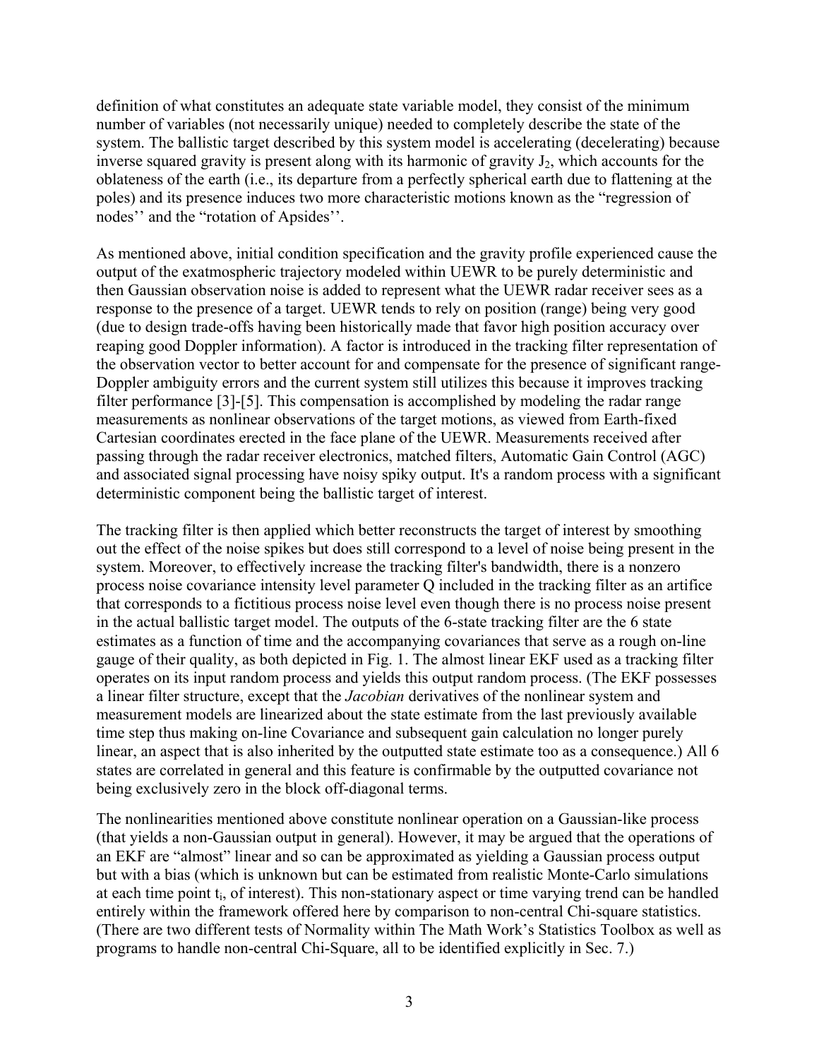definition of what constitutes an adequate state variable model, they consist of the minimum number of variables (not necessarily unique) needed to completely describe the state of the system. The ballistic target described by this system model is accelerating (decelerating) because inverse squared gravity is present along with its harmonic of gravity  $J_2$ , which accounts for the oblateness of the earth (i.e., its departure from a perfectly spherical earth due to flattening at the poles) and its presence induces two more characteristic motions known as the "regression of nodes'' and the "rotation of Apsides''.

As mentioned above, initial condition specification and the gravity profile experienced cause the output of the exatmospheric trajectory modeled within UEWR to be purely deterministic and then Gaussian observation noise is added to represent what the UEWR radar receiver sees as a response to the presence of a target. UEWR tends to rely on position (range) being very good (due to design trade-offs having been historically made that favor high position accuracy over reaping good Doppler information). A factor is introduced in the tracking filter representation of the observation vector to better account for and compensate for the presence of significant range-Doppler ambiguity errors and the current system still utilizes this because it improves tracking filter performance [3]-[5]. This compensation is accomplished by modeling the radar range measurements as nonlinear observations of the target motions, as viewed from Earth-fixed Cartesian coordinates erected in the face plane of the UEWR. Measurements received after passing through the radar receiver electronics, matched filters, Automatic Gain Control (AGC) and associated signal processing have noisy spiky output. It's a random process with a significant deterministic component being the ballistic target of interest.

The tracking filter is then applied which better reconstructs the target of interest by smoothing out the effect of the noise spikes but does still correspond to a level of noise being present in the system. Moreover, to effectively increase the tracking filter's bandwidth, there is a nonzero process noise covariance intensity level parameter Q included in the tracking filter as an artifice that corresponds to a fictitious process noise level even though there is no process noise present in the actual ballistic target model. The outputs of the 6-state tracking filter are the 6 state estimates as a function of time and the accompanying covariances that serve as a rough on-line gauge of their quality, as both depicted in Fig. 1. The almost linear EKF used as a tracking filter operates on its input random process and yields this output random process. (The EKF possesses a linear filter structure, except that the *Jacobian* derivatives of the nonlinear system and measurement models are linearized about the state estimate from the last previously available time step thus making on-line Covariance and subsequent gain calculation no longer purely linear, an aspect that is also inherited by the outputted state estimate too as a consequence.) All 6 states are correlated in general and this feature is confirmable by the outputted covariance not being exclusively zero in the block off-diagonal terms.

The nonlinearities mentioned above constitute nonlinear operation on a Gaussian-like process (that yields a non-Gaussian output in general). However, it may be argued that the operations of an EKF are "almost" linear and so can be approximated as yielding a Gaussian process output but with a bias (which is unknown but can be estimated from realistic Monte-Carlo simulations at each time point ti, of interest). This non-stationary aspect or time varying trend can be handled entirely within the framework offered here by comparison to non-central Chi-square statistics. (There are two different tests of Normality within The Math Work's Statistics Toolbox as well as programs to handle non-central Chi-Square, all to be identified explicitly in Sec. 7.)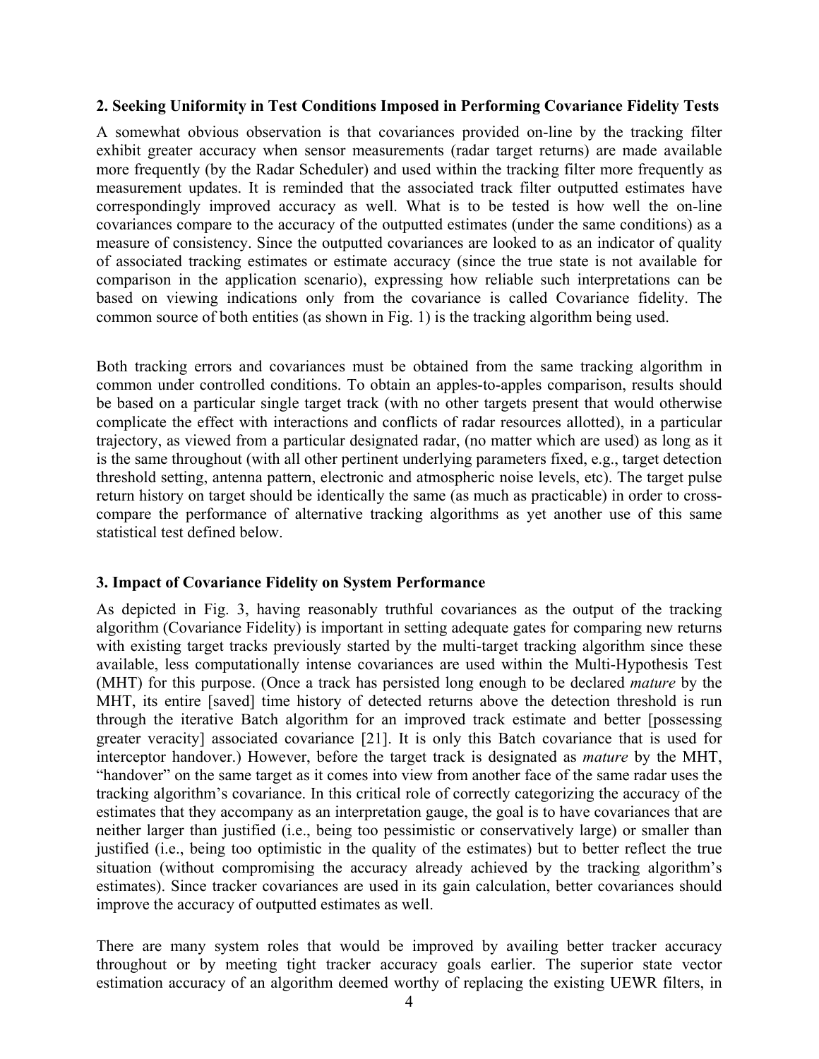## **2. Seeking Uniformity in Test Conditions Imposed in Performing Covariance Fidelity Tests**

A somewhat obvious observation is that covariances provided on-line by the tracking filter exhibit greater accuracy when sensor measurements (radar target returns) are made available more frequently (by the Radar Scheduler) and used within the tracking filter more frequently as measurement updates. It is reminded that the associated track filter outputted estimates have correspondingly improved accuracy as well. What is to be tested is how well the on-line covariances compare to the accuracy of the outputted estimates (under the same conditions) as a measure of consistency. Since the outputted covariances are looked to as an indicator of quality of associated tracking estimates or estimate accuracy (since the true state is not available for comparison in the application scenario), expressing how reliable such interpretations can be based on viewing indications only from the covariance is called Covariance fidelity. The common source of both entities (as shown in Fig. 1) is the tracking algorithm being used.

Both tracking errors and covariances must be obtained from the same tracking algorithm in common under controlled conditions. To obtain an apples-to-apples comparison, results should be based on a particular single target track (with no other targets present that would otherwise complicate the effect with interactions and conflicts of radar resources allotted), in a particular trajectory, as viewed from a particular designated radar, (no matter which are used) as long as it is the same throughout (with all other pertinent underlying parameters fixed, e.g., target detection threshold setting, antenna pattern, electronic and atmospheric noise levels, etc). The target pulse return history on target should be identically the same (as much as practicable) in order to crosscompare the performance of alternative tracking algorithms as yet another use of this same statistical test defined below.

## **3. Impact of Covariance Fidelity on System Performance**

As depicted in Fig. 3, having reasonably truthful covariances as the output of the tracking algorithm (Covariance Fidelity) is important in setting adequate gates for comparing new returns with existing target tracks previously started by the multi-target tracking algorithm since these available, less computationally intense covariances are used within the Multi-Hypothesis Test (MHT) for this purpose. (Once a track has persisted long enough to be declared *mature* by the MHT, its entire [saved] time history of detected returns above the detection threshold is run through the iterative Batch algorithm for an improved track estimate and better [possessing greater veracity] associated covariance [21]. It is only this Batch covariance that is used for interceptor handover.) However, before the target track is designated as *mature* by the MHT, "handover" on the same target as it comes into view from another face of the same radar uses the tracking algorithm's covariance. In this critical role of correctly categorizing the accuracy of the estimates that they accompany as an interpretation gauge, the goal is to have covariances that are neither larger than justified (i.e., being too pessimistic or conservatively large) or smaller than justified (i.e., being too optimistic in the quality of the estimates) but to better reflect the true situation (without compromising the accuracy already achieved by the tracking algorithm's estimates). Since tracker covariances are used in its gain calculation, better covariances should improve the accuracy of outputted estimates as well.

There are many system roles that would be improved by availing better tracker accuracy throughout or by meeting tight tracker accuracy goals earlier. The superior state vector estimation accuracy of an algorithm deemed worthy of replacing the existing UEWR filters, in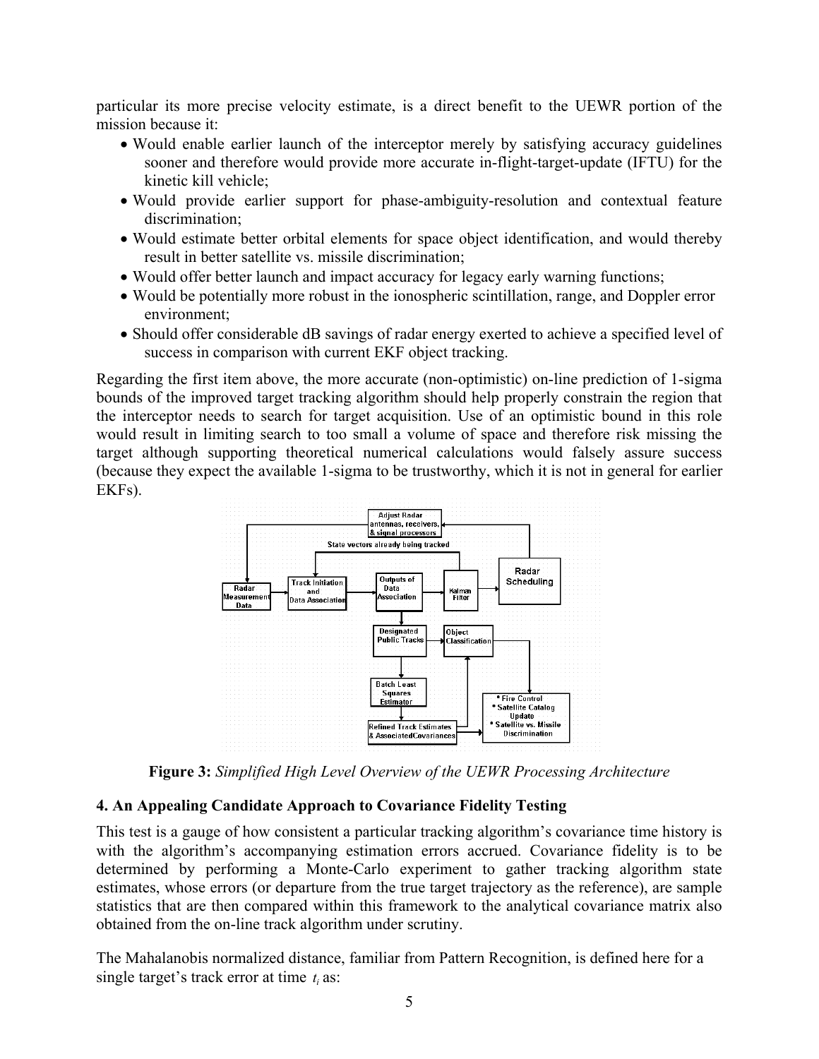particular its more precise velocity estimate, is a direct benefit to the UEWR portion of the mission because it:

- Would enable earlier launch of the interceptor merely by satisfying accuracy guidelines sooner and therefore would provide more accurate in-flight-target-update (IFTU) for the kinetic kill vehicle;
- Would provide earlier support for phase-ambiguity-resolution and contextual feature discrimination;
- Would estimate better orbital elements for space object identification, and would thereby result in better satellite vs. missile discrimination;
- Would offer better launch and impact accuracy for legacy early warning functions;
- Would be potentially more robust in the ionospheric scintillation, range, and Doppler error environment;
- Should offer considerable dB savings of radar energy exerted to achieve a specified level of success in comparison with current EKF object tracking.

Regarding the first item above, the more accurate (non-optimistic) on-line prediction of 1-sigma bounds of the improved target tracking algorithm should help properly constrain the region that the interceptor needs to search for target acquisition. Use of an optimistic bound in this role would result in limiting search to too small a volume of space and therefore risk missing the target although supporting theoretical numerical calculations would falsely assure success (because they expect the available 1-sigma to be trustworthy, which it is not in general for earlier EKFs).



**Figure 3:** *Simplified High Level Overview of the UEWR Processing Architecture*

# **4. An Appealing Candidate Approach to Covariance Fidelity Testing**

This test is a gauge of how consistent a particular tracking algorithm's covariance time history is with the algorithm's accompanying estimation errors accrued. Covariance fidelity is to be determined by performing a Monte-Carlo experiment to gather tracking algorithm state estimates, whose errors (or departure from the true target trajectory as the reference), are sample statistics that are then compared within this framework to the analytical covariance matrix also obtained from the on-line track algorithm under scrutiny.

The Mahalanobis normalized distance, familiar from Pattern Recognition, is defined here for a single target's track error at time  $t_i$  as: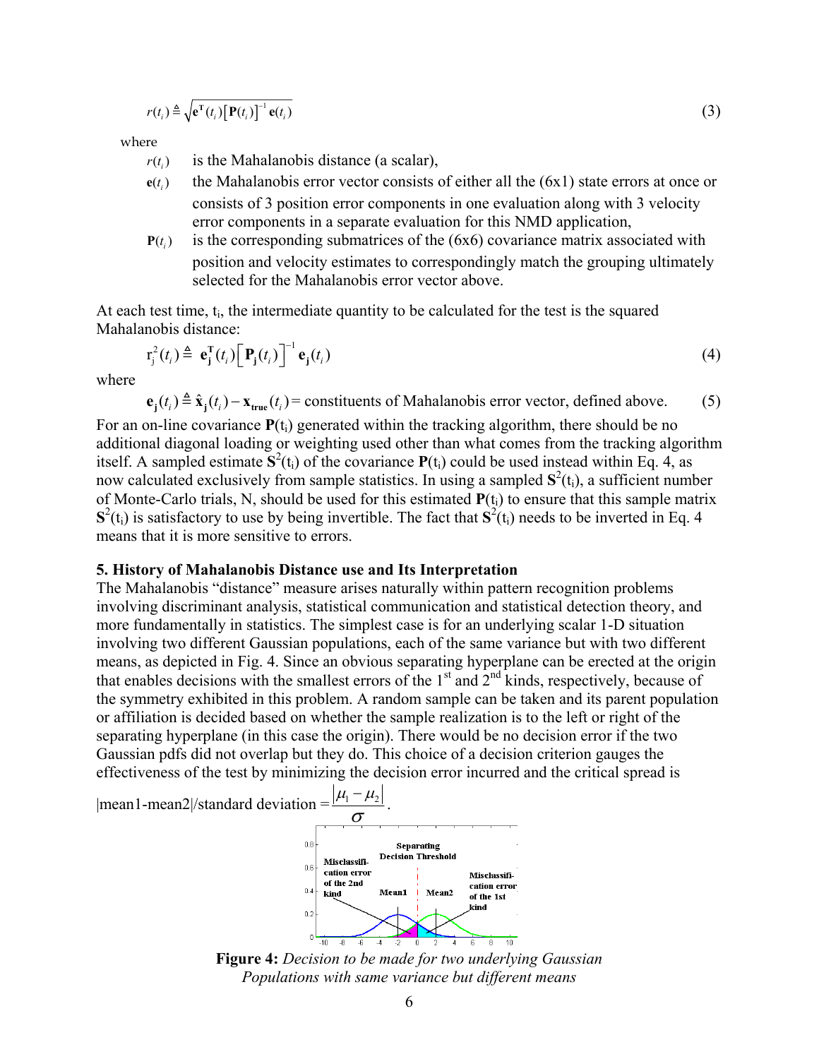$$
r(t_i) \triangleq \sqrt{\mathbf{e}^{\mathrm{T}}(t_i) [\mathbf{P}(t_i)]^{-1} \mathbf{e}(t_i)}
$$
\n(3)

where

- $r(t_i)$  is the Mahalanobis distance (a scalar),
- $e(t)$  the Mahalanobis error vector consists of either all the  $(6x1)$  state errors at once or consists of 3 position error components in one evaluation along with 3 velocity error components in a separate evaluation for this NMD application,
- $P(t_i)$  is the corresponding submatrices of the (6x6) covariance matrix associated with position and velocity estimates to correspondingly match the grouping ultimately selected for the Mahalanobis error vector above.

At each test time, t<sub>i</sub>, the intermediate quantity to be calculated for the test is the squared Mahalanobis distance:

$$
\mathbf{r}_{j}^{2}(t_{i}) \triangleq \mathbf{e}_{j}^{\mathrm{T}}(t_{i})\Big[\mathbf{P}_{j}(t_{i})\Big]^{-1}\mathbf{e}_{j}(t_{i})
$$
\n(4)

where

 $\mathbf{e}_j(t_i) \triangleq \hat{\mathbf{x}}_j(t_i) - \mathbf{x}_{true}(t_i)$  = constituents of Mahalanobis error vector, defined above. (5)

For an on-line covariance  $P(t_i)$  generated within the tracking algorithm, there should be no additional diagonal loading or weighting used other than what comes from the tracking algorithm itself. A sampled estimate  $\mathbf{S}^2$ (t<sub>i</sub>) of the covariance  $\mathbf{P}(t_i)$  could be used instead within Eq. 4, as now calculated exclusively from sample statistics. In using a sampled  $S^2(t_i)$ , a sufficient number of Monte-Carlo trials, N, should be used for this estimated  $P(t_i)$  to ensure that this sample matrix  $S^2(t_i)$  is satisfactory to use by being invertible. The fact that  $S^2(t_i)$  needs to be inverted in Eq. 4 means that it is more sensitive to errors.

#### **5. History of Mahalanobis Distance use and Its Interpretation**

The Mahalanobis "distance" measure arises naturally within pattern recognition problems involving discriminant analysis, statistical communication and statistical detection theory, and more fundamentally in statistics. The simplest case is for an underlying scalar 1-D situation involving two different Gaussian populations, each of the same variance but with two different means, as depicted in Fig. 4. Since an obvious separating hyperplane can be erected at the origin that enables decisions with the smallest errors of the 1<sup>st</sup> and 2<sup>nd</sup> kinds, respectively, because of the symmetry exhibited in this problem. A random sample can be taken and its parent population or affiliation is decided based on whether the sample realization is to the left or right of the separating hyperplane (in this case the origin). There would be no decision error if the two Gaussian pdfs did not overlap but they do. This choice of a decision criterion gauges the effectiveness of the test by minimizing the decision error incurred and the critical spread is



**Figure 4:** *Decision to be made for two underlying Gaussian Populations with same variance but different means*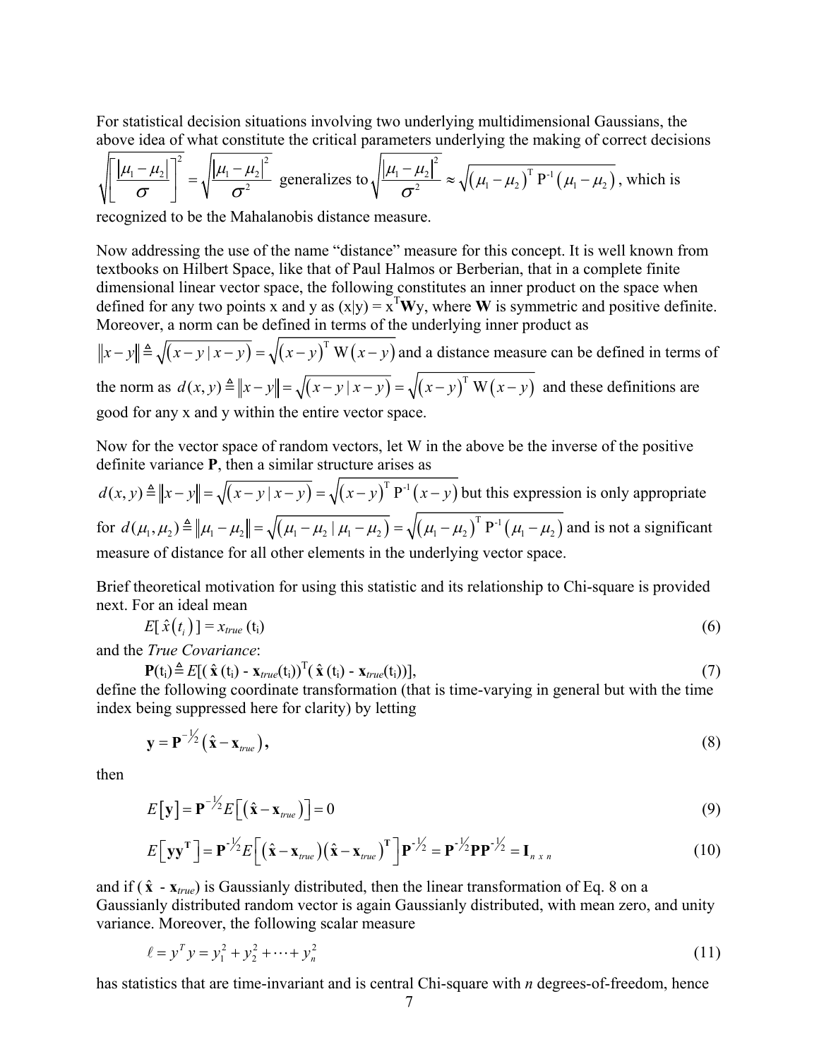For statistical decision situations involving two underlying multidimensional Gaussians, the above idea of what constitute the critical parameters underlying the making of correct decisions

$$
\sqrt{\left[\frac{\left|\mu_{1}-\mu_{2}\right|}{\sigma}\right]^{2}} = \sqrt{\frac{\left|\mu_{1}-\mu_{2}\right|^{2}}{\sigma^{2}}}
$$
 generalizes to  $\sqrt{\frac{\left|\mu_{1}-\mu_{2}\right|^{2}}{\sigma^{2}}} \approx \sqrt{\left(\mu_{1}-\mu_{2}\right)^{T} P^{-1} \left(\mu_{1}-\mu_{2}\right)}$ , which is

recognized to be the Mahalanobis distance measure.

Now addressing the use of the name "distance" measure for this concept. It is well known from textbooks on Hilbert Space, like that of Paul Halmos or Berberian, that in a complete finite dimensional linear vector space, the following constitutes an inner product on the space when defined for any two points x and y as  $(x|y) = x<sup>T</sup>Wy$ , where W is symmetric and positive definite. Moreover, a norm can be defined in terms of the underlying inner product as

 $||x-y|| \triangleq \sqrt{(x-y|x-y)} = \sqrt{(x-y)^T W(x-y)}$  and a distance measure can be defined in terms of the norm as  $d(x, y) \triangleq ||x - y|| = \sqrt{(x - y | x - y)} = \sqrt{(x - y)^T W (x - y)}$  and these definitions are good for any x and y within the entire vector space.

Now for the vector space of random vectors, let W in the above be the inverse of the positive definite variance **P**, then a similar structure arises as

$$
d(x, y) \triangleq ||x - y|| = \sqrt{(x - y | x - y)} = \sqrt{(x - y)^T P^{-1} (x - y)}
$$
 but this expression is only appropriate  
for  $d(\mu_1, \mu_2) \triangleq ||\mu_1 - \mu_2|| = \sqrt{(\mu_1 - \mu_2 | \mu_1 - \mu_2)} = \sqrt{(\mu_1 - \mu_2)^T P^{-1} (\mu_1 - \mu_2)}$  and is not a significant  
measure of distance for all other elements in the underlying vector space.

Brief theoretical motivation for using this statistic and its relationship to Chi-square is provided next. For an ideal mean

$$
E[\hat{x}(t_i)] = x_{true} (t_i)
$$
\n(6)

and the *True Covariance*:

$$
\mathbf{P}(t_i) \triangleq E[(\hat{\mathbf{x}}(t_i) - \mathbf{x}_{true}(t_i))^T (\hat{\mathbf{x}}(t_i) - \mathbf{x}_{true}(t_i))],
$$
\n(7)

define the following coordinate transformation (that is time-varying in general but with the time index being suppressed here for clarity) by letting

$$
\mathbf{y} = \mathbf{P}^{-1/2} \left( \hat{\mathbf{x}} - \mathbf{x}_{true} \right),\tag{8}
$$

then

$$
E[\mathbf{y}] = \mathbf{P}^{-1/2} E[(\hat{\mathbf{x}} - \mathbf{x}_{true})] = 0
$$
\n(9)

$$
E[\mathbf{y}\mathbf{y}^{\mathrm{T}}] = \mathbf{P}^{-1/2} E[(\hat{\mathbf{x}} - \mathbf{x}_{true})(\hat{\mathbf{x}} - \mathbf{x}_{true})^{\mathrm{T}}] \mathbf{P}^{-1/2} = \mathbf{P}^{-1/2} \mathbf{P} \mathbf{P}^{-1/2} = \mathbf{I}_{n \times n}
$$
(10)

and if  $(\hat{x} - x_{true})$  is Gaussianly distributed, then the linear transformation of Eq. 8 on a Gaussianly distributed random vector is again Gaussianly distributed, with mean zero, and unity variance. Moreover, the following scalar measure

$$
\ell = y^T y = y_1^2 + y_2^2 + \dots + y_n^2 \tag{11}
$$

has statistics that are time-invariant and is central Chi-square with *n* degrees-of-freedom, hence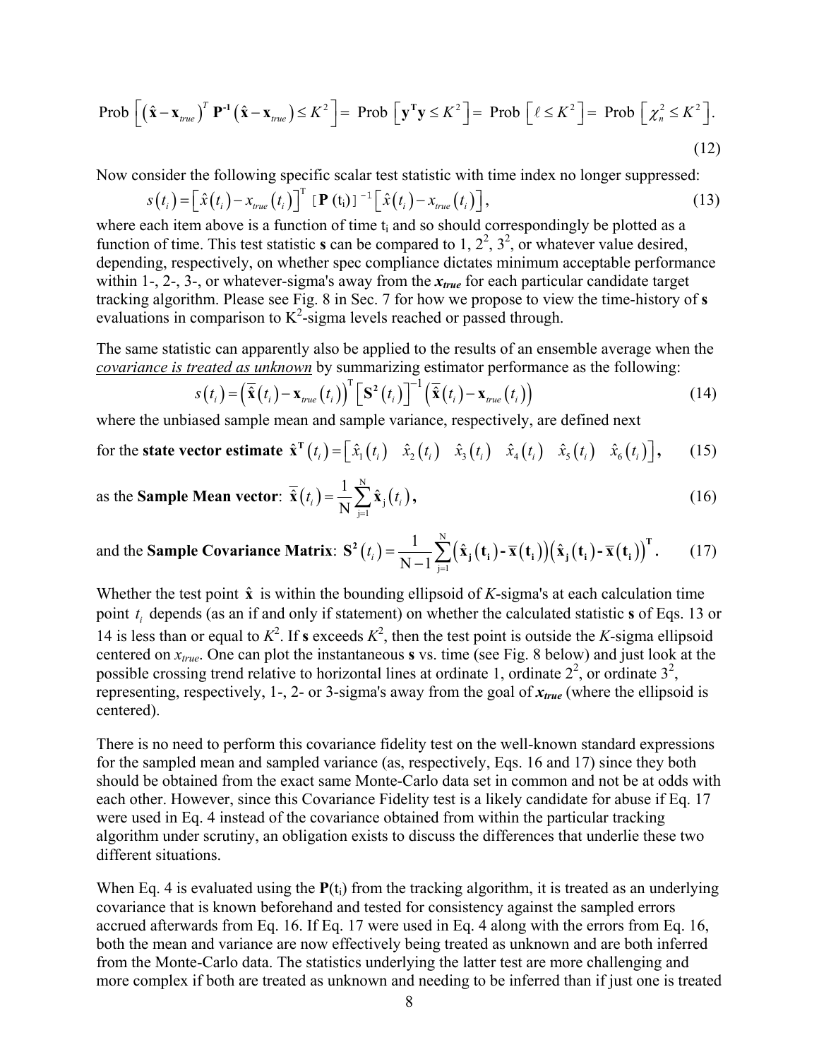$$
\text{Prob}\left[\left(\hat{\mathbf{x}} - \mathbf{x}_{\text{true}}\right)^T \mathbf{P}^{-1} \left(\hat{\mathbf{x}} - \mathbf{x}_{\text{true}}\right) \le K^2\right] = \text{Prob}\left[\mathbf{y}^T \mathbf{y} \le K^2\right] = \text{Prob}\left[\ell \le K^2\right] = \text{Prob}\left[\chi_n^2 \le K^2\right].\tag{12}
$$

Now consider the following specific scalar test statistic with time index no longer suppressed:

$$
s(t_i) = \left[\hat{x}(t_i) - x_{true}(t_i)\right]^{\mathrm{T}} \left[\mathbf{P}(t_i)\right]^{-1} \left[\hat{x}(t_i) - x_{true}(t_i)\right],\tag{13}
$$

where each item above is a function of time  $t_i$  and so should correspondingly be plotted as a function of time. This test statistic **s** can be compared to 1,  $2^2$ ,  $3^2$ , or whatever value desired, depending, respectively, on whether spec compliance dictates minimum acceptable performance within 1-, 2-, 3-, or whatever-sigma's away from the  $x_{true}$  for each particular candidate target tracking algorithm. Please see Fig. 8 in Sec. 7 for how we propose to view the time-history of **s** evaluations in comparison to  $K^2$ -sigma levels reached or passed through.

The same statistic can apparently also be applied to the results of an ensemble average when the *covariance is treated as unknown* by summarizing estimator performance as the following:

$$
s(t_i) = \left(\tilde{\mathbf{x}}(t_i) - \mathbf{x}_{true}(t_i)\right)^{\mathrm{T}} \left[\mathbf{S}^2(t_i)\right]^{-1} \left(\tilde{\mathbf{x}}(t_i) - \mathbf{x}_{true}(t_i)\right)
$$
(14)

where the unbiased sample mean and sample variance, respectively, are defined next

for the state vector estimate 
$$
\hat{\mathbf{x}}^{\text{T}}(t_i) = [\hat{x}_1(t_i) \quad \hat{x}_2(t_i) \quad \hat{x}_3(t_i) \quad \hat{x}_4(t_i) \quad \hat{x}_5(t_i) \quad \hat{x}_6(t_i)],
$$
 (15)

as the **Sample Mean vector**: 
$$
\overline{\hat{\mathbf{x}}}(t_i) = \frac{1}{N} \sum_{j=1}^{N} \hat{\mathbf{x}}_j(t_i)
$$
, (16)

and the **Sample Covariance Matrix**:  $S^2(t_i) = \frac{1}{N} \sum (\hat{x}_i(t_i) - \overline{x}(t_i)) (\hat{x}_i(t_i) - \overline{x}(t_i))$ N  $S^2(t_i) = \frac{1}{N-1} \sum_{j=1}^{N} (\hat{\mathbf{x}}_j(t_i) - \overline{\mathbf{x}}(t_i)) (\hat{\mathbf{x}}_j(t_i) - \overline{\mathbf{x}}(t_i))$ <sup>T</sup>. (17)

Whether the test point  $\hat{x}$  is within the bounding ellipsoid of *K*-sigma's at each calculation time point  $t_i$  depends (as an if and only if statement) on whether the calculated statistic **s** of Eqs. 13 or 14 is less than or equal to  $K^2$ . If **s** exceeds  $K^2$ , then the test point is outside the *K*-sigma ellipsoid centered on *xtrue*. One can plot the instantaneous **s** vs. time (see Fig. 8 below) and just look at the possible crossing trend relative to horizontal lines at ordinate 1, ordinate  $2^2$ , or ordinate  $3^2$ , representing, respectively, 1-, 2- or 3-sigma's away from the goal of *xtrue* (where the ellipsoid is centered).

There is no need to perform this covariance fidelity test on the well-known standard expressions for the sampled mean and sampled variance (as, respectively, Eqs. 16 and 17) since they both should be obtained from the exact same Monte-Carlo data set in common and not be at odds with each other. However, since this Covariance Fidelity test is a likely candidate for abuse if Eq. 17 were used in Eq. 4 instead of the covariance obtained from within the particular tracking algorithm under scrutiny, an obligation exists to discuss the differences that underlie these two different situations.

When Eq. 4 is evaluated using the  $P(t_i)$  from the tracking algorithm, it is treated as an underlying covariance that is known beforehand and tested for consistency against the sampled errors accrued afterwards from Eq. 16. If Eq. 17 were used in Eq. 4 along with the errors from Eq. 16, both the mean and variance are now effectively being treated as unknown and are both inferred from the Monte-Carlo data. The statistics underlying the latter test are more challenging and more complex if both are treated as unknown and needing to be inferred than if just one is treated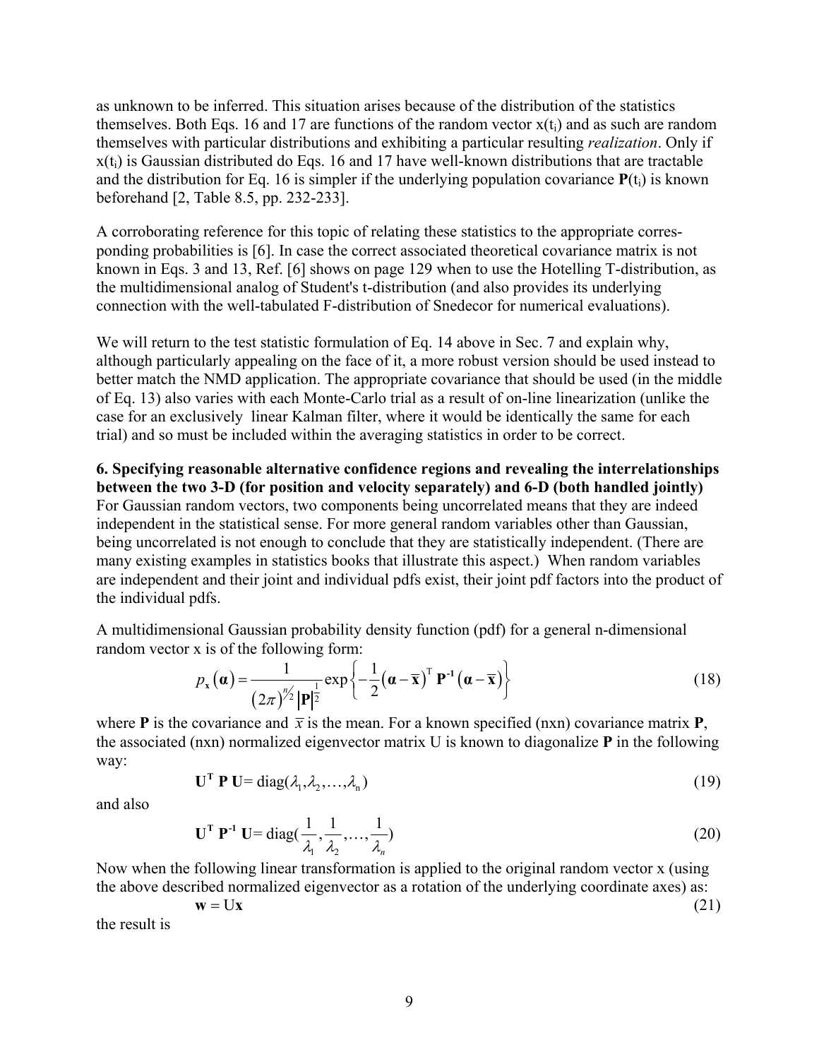as unknown to be inferred. This situation arises because of the distribution of the statistics themselves. Both Eqs. 16 and 17 are functions of the random vector  $x(t_i)$  and as such are random themselves with particular distributions and exhibiting a particular resulting *realization*. Only if  $x(t_i)$  is Gaussian distributed do Eqs. 16 and 17 have well-known distributions that are tractable and the distribution for Eq. 16 is simpler if the underlying population covariance  $P(t_i)$  is known beforehand [2, Table 8.5, pp. 232-233].

A corroborating reference for this topic of relating these statistics to the appropriate corresponding probabilities is [6]. In case the correct associated theoretical covariance matrix is not known in Eqs. 3 and 13, Ref. [6] shows on page 129 when to use the Hotelling T-distribution, as the multidimensional analog of Student's t-distribution (and also provides its underlying connection with the well-tabulated F-distribution of Snedecor for numerical evaluations).

We will return to the test statistic formulation of Eq. 14 above in Sec. 7 and explain why, although particularly appealing on the face of it, a more robust version should be used instead to better match the NMD application. The appropriate covariance that should be used (in the middle of Eq. 13) also varies with each Monte-Carlo trial as a result of on-line linearization (unlike the case for an exclusively linear Kalman filter, where it would be identically the same for each trial) and so must be included within the averaging statistics in order to be correct.

**6. Specifying reasonable alternative confidence regions and revealing the interrelationships between the two 3-D (for position and velocity separately) and 6-D (both handled jointly)**  For Gaussian random vectors, two components being uncorrelated means that they are indeed independent in the statistical sense. For more general random variables other than Gaussian, being uncorrelated is not enough to conclude that they are statistically independent. (There are many existing examples in statistics books that illustrate this aspect.) When random variables are independent and their joint and individual pdfs exist, their joint pdf factors into the product of the individual pdfs.

A multidimensional Gaussian probability density function (pdf) for a general n-dimensional random vector x is of the following form:

$$
p_{\mathbf{x}}(\boldsymbol{\alpha}) = \frac{1}{(2\pi)^{n/2} |\mathbf{P}|^{\frac{1}{2}}} \exp\left\{-\frac{1}{2}(\boldsymbol{\alpha} - \overline{\mathbf{x}})^{\mathrm{T}} \mathbf{P}^{-1}(\boldsymbol{\alpha} - \overline{\mathbf{x}})\right\}
$$
(18)

where **P** is the covariance and  $\bar{x}$  is the mean. For a known specified (nxn) covariance matrix **P**, the associated (nxn) normalized eigenvector matrix U is known to diagonalize **P** in the following way:

$$
\mathbf{U}^{\mathrm{T}} \mathbf{P} \mathbf{U} = \mathrm{diag}(\lambda_1, \lambda_2, \dots, \lambda_n) \tag{19}
$$

and also

$$
\mathbf{U}^{\mathrm{T}} \mathbf{P}^{\mathrm{-1}} \mathbf{U} = \mathrm{diag}(\frac{1}{\lambda_1}, \frac{1}{\lambda_2}, \dots, \frac{1}{\lambda_n})
$$
 (20)

Now when the following linear transformation is applied to the original random vector x (using the above described normalized eigenvector as a rotation of the underlying coordinate axes) as:

$$
\mathbf{w} = \mathbf{U}\mathbf{x} \tag{21}
$$

the result is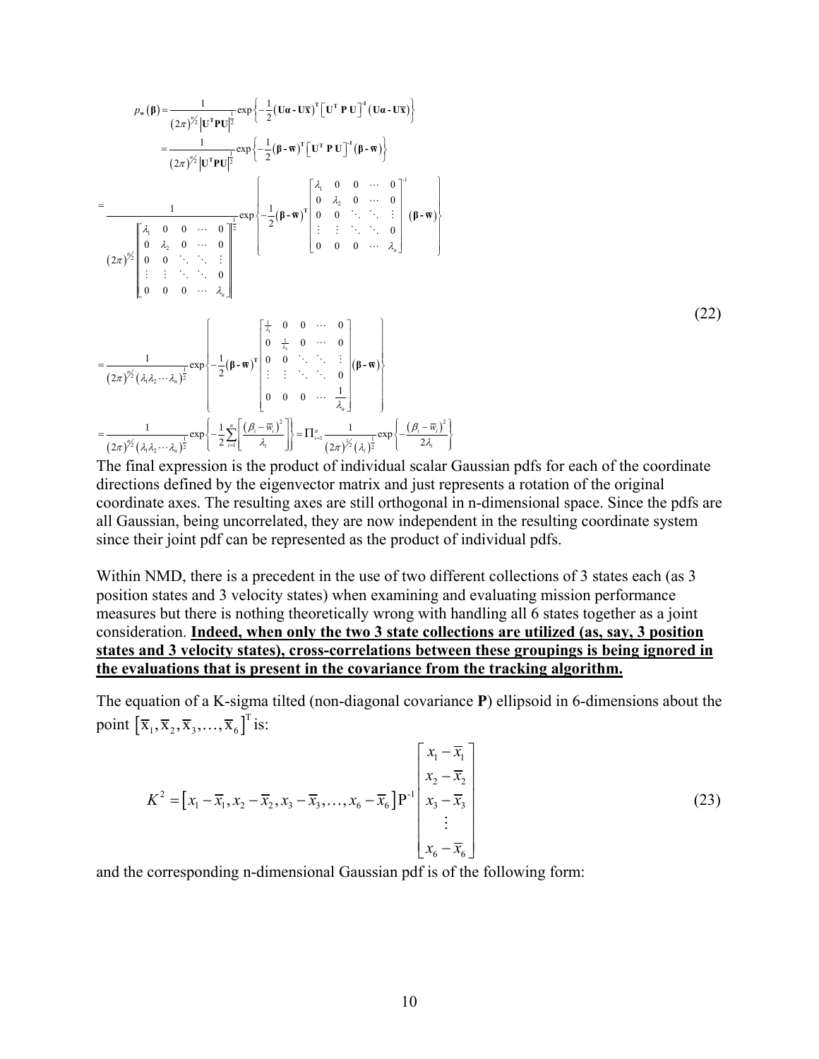$$
p_w(\beta) = \frac{1}{(2\pi)^{2/2} |U^T P U|^{\frac{1}{2}}} \exp\left\{-\frac{1}{2} (U\alpha - U\overline{x})^T [U^T P U]^T (U\alpha - U\overline{x})\right\}
$$
  
\n
$$
= \frac{1}{(2\pi)^{2/2} |U^T P U|^{\frac{1}{2}}} \exp\left\{-\frac{1}{2} (\beta - \overline{w})^T [U^T P U]^T (\beta - \overline{w})\right\}
$$
  
\n
$$
= \frac{1}{\sqrt{2\pi}} \left[\begin{array}{cccccc} \lambda_1 & 0 & 0 & \cdots & 0 \\ 0 & \lambda_2 & 0 & \cdots & 0 \\ 0 & \lambda_2 & 0 & \cdots & 0 \\ 0 & 0 & \ddots & \ddots & \vdots \\ 0 & 0 & 0 & \cdots & \lambda_n \end{array}\right]^{\frac{1}{2}} \exp\left\{-\frac{1}{2} (\beta - \overline{w})^T \begin{array}{cccccc} \lambda_1 & 0 & 0 & \cdots & 0 \\ 0 & \lambda_2 & 0 & \cdots & 0 \\ \vdots & \vdots & \ddots & \ddots & 0 \\ 0 & 0 & 0 & \cdots & \lambda_n \end{array}\right]
$$
  
\n
$$
= \frac{1}{(2\pi)^{2/2} (\lambda_1 \lambda_2 \cdots \lambda_n)^{\frac{1}{2}}} \exp\left\{-\frac{1}{2} (\beta - \overline{w})^T \begin{bmatrix} \frac{1}{\lambda_1} & 0 & 0 & \cdots & 0 \\ 0 & \frac{1}{\lambda_2} & 0 & \cdots & 0 \\ 0 & 0 & \ddots & \ddots & \vdots \\ \vdots & \vdots & \ddots & \ddots & 0 \\ 0 & 0 & 0 & \cdots & \frac{1}{\lambda_n} \end{bmatrix} (\beta - \overline{w})\right\}
$$
  
\n
$$
= \frac{1}{(2\pi)^{2/2} (\lambda_1 \lambda_2 \cdots \lambda_n)^{\frac{1}{2}}} \exp\left\{-\frac{1}{2} \sum_{i=1}^{n} \left[\frac{(\beta_i - \overline{w}_i)^2}{\lambda_i}\right]\right\} = \Pi_{i=1}^{\pi} \frac{1}{(2\pi)^{2/2} (\lambda_i)^{\frac{1}{2}}}
$$

The final expression is the product of individual scalar Gaussian pdfs for each of the coordinate directions defined by the eigenvector matrix and just represents a rotation of the original coordinate axes. The resulting axes are still orthogonal in n-dimensional space. Since the pdfs are all Gaussian, being uncorrelated, they are now independent in the resulting coordinate system since their joint pdf can be represented as the product of individual pdfs.

Within NMD, there is a precedent in the use of two different collections of 3 states each (as 3 position states and 3 velocity states) when examining and evaluating mission performance measures but there is nothing theoretically wrong with handling all 6 states together as a joint consideration. **Indeed, when only the two 3 state collections are utilized (as, say, 3 position states and 3 velocity states), cross-correlations between these groupings is being ignored in the evaluations that is present in the covariance from the tracking algorithm.**

The equation of a K-sigma tilted (non-diagonal covariance **P**) ellipsoid in 6-dimensions about the point  $\left[\overline{\mathbf{x}}_1, \overline{\mathbf{x}}_2, \overline{\mathbf{x}}_3, \dots, \overline{\mathbf{x}}_6\right]^T$  is:

$$
K^{2} = \left[x_{1} - \overline{x}_{1}, x_{2} - \overline{x}_{2}, x_{3} - \overline{x}_{3}, \dots, x_{6} - \overline{x}_{6}\right]P^{-1}\begin{bmatrix} x_{1} - \overline{x}_{1} \\ x_{2} - \overline{x}_{2} \\ x_{3} - \overline{x}_{3} \\ \vdots \\ x_{6} - \overline{x}_{6} \end{bmatrix}
$$
(23)

and the corresponding n-dimensional Gaussian pdf is of the following form: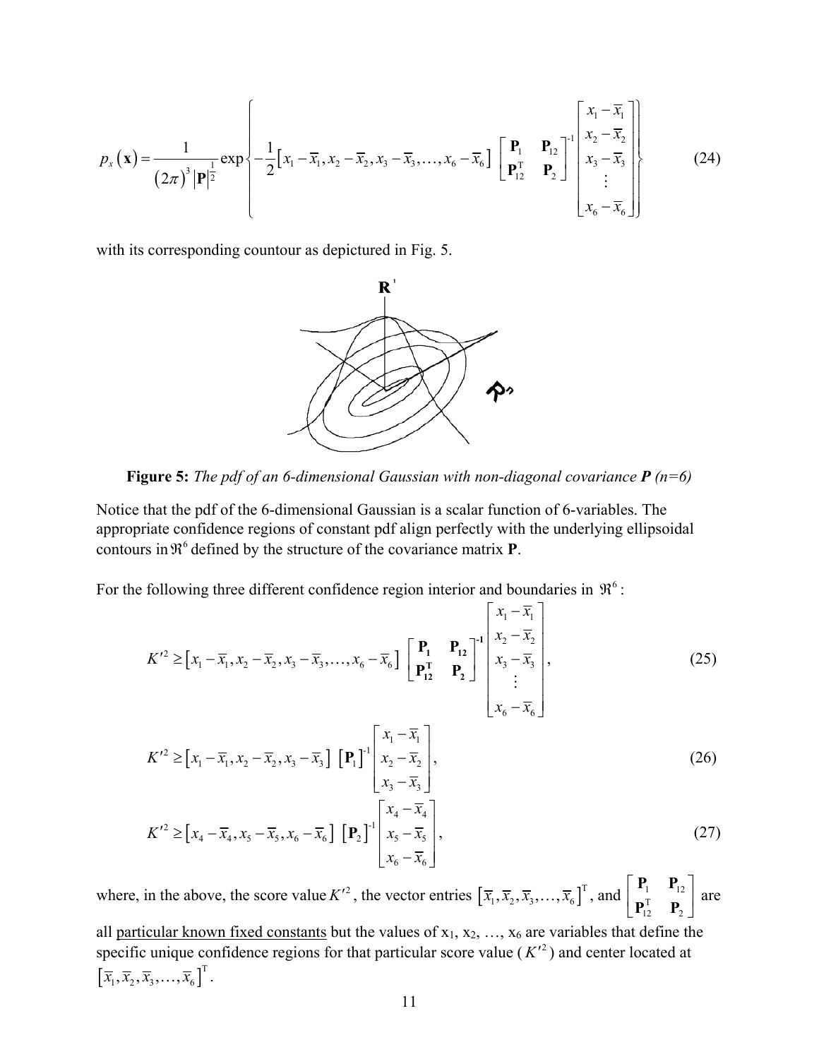$$
p_{x}(\mathbf{x}) = \frac{1}{(2\pi)^{3} |\mathbf{P}|^{\frac{1}{2}}} \exp\left\{-\frac{1}{2} [x_{1} - \overline{x}_{1}, x_{2} - \overline{x}_{2}, x_{3} - \overline{x}_{3}, \dots, x_{6} - \overline{x}_{6}] \left[\begin{array}{cc} \mathbf{P}_{1} & \mathbf{P}_{12} \\ \mathbf{P}_{12}^{\mathrm{T}} & \mathbf{P}_{2} \end{array}\right]^{\left[\begin{array}{c} x_{1} - \overline{x}_{1} \\ x_{2} - \overline{x}_{2} \\ \vdots \\ x_{6} - \overline{x}_{6} \end{array}\right]}\right\}
$$
(24)

with its corresponding countour as depictured in Fig. 5.



**Figure 5:** *The pdf of an 6-dimensional Gaussian with non-diagonal covariance P (n=6)*

Notice that the pdf of the 6-dimensional Gaussian is a scalar function of 6-variables. The appropriate confidence regions of constant pdf align perfectly with the underlying ellipsoidal contours in  $\mathfrak{R}^6$  defined by the structure of the covariance matrix **P**.

For the following three different confidence region interior and boundaries in  $\mathfrak{R}^6$ :

$$
K'^{2} \geq [x_{1} - \overline{x}_{1}, x_{2} - \overline{x}_{2}, x_{3} - \overline{x}_{3}, ..., x_{6} - \overline{x}_{6}] \begin{bmatrix} \mathbf{P}_{1} & \mathbf{P}_{12} \\ \mathbf{P}_{11}^{T} & \mathbf{P}_{2} \end{bmatrix}^{-1} \begin{bmatrix} x_{1} - \overline{x}_{1} \\ x_{2} - \overline{x}_{2} \\ x_{3} - \overline{x}_{3} \\ \vdots \\ x_{6} - \overline{x}_{6} \end{bmatrix},
$$
\n
$$
K'^{2} \geq [x_{1} - \overline{x}_{1}, x_{2} - \overline{x}_{2}, x_{3} - \overline{x}_{3}] \begin{bmatrix} \mathbf{P}_{1} \end{bmatrix}^{-1} \begin{bmatrix} x_{1} - \overline{x}_{1} \\ x_{2} - \overline{x}_{2} \\ \vdots \\ x_{5} - \overline{x}_{6} \end{bmatrix},
$$
\n
$$
(26)
$$

$$
K^{\prime 2} \geq \left[x_4 - \overline{x}_4, x_5 - \overline{x}_5, x_6 - \overline{x}_6\right] \left[\mathbf{P}_2\right] \begin{bmatrix} x_4 - \overline{x}_4\\ x_5 - \overline{x}_5\\ x_6 - \overline{x}_6 \end{bmatrix},\tag{27}
$$

where, in the above, the score value  $K'^2$ , the vector entries  $\left[\overline{x}_1, \overline{x}_2, \overline{x}_3, ..., \overline{x}_6\right]^T$ , and  $\begin{bmatrix} \mathbf{r}_1 & \mathbf{r}_{12} \\ \mathbf{n}^T & \mathbf{n} \end{bmatrix}$  are all particular known fixed constants but the values of  $x_1, x_2, ..., x_6$  are variables that define the T  $12$   $\phantom{0}$   $\phantom{0}$   $2$  $\begin{vmatrix} P_1 & P_{12} \end{vmatrix}$  $\begin{bmatrix} \mathbf{P}_{12}^{\mathrm{T}} & \mathbf{P}_{2} \end{bmatrix}$  $P_1$  **P**  $\mathbf{P}_{12}^{\mathrm{T}}$  **P** specific unique confidence regions for that particular score value ( $K^2$ ) and center located at  $\left[ \overline{x}_1, \overline{x}_2, \overline{x}_3, \ldots, \overline{x}_6 \right]^{\mathrm{T}}$ .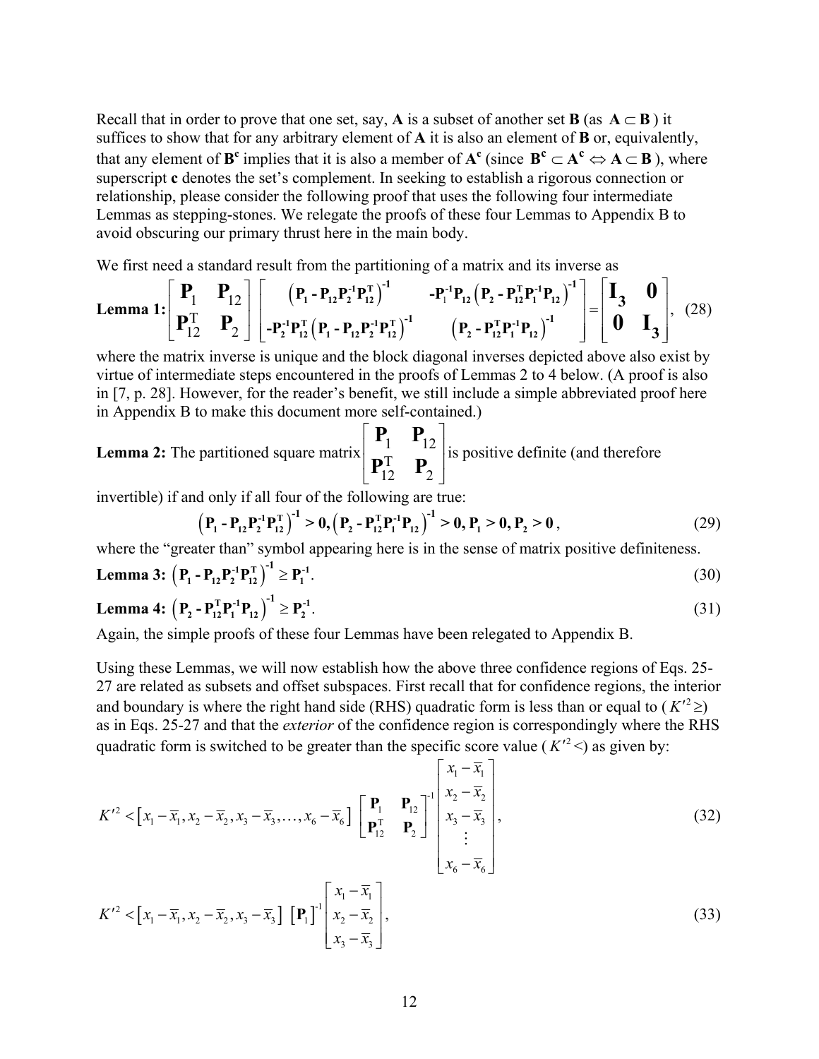Recall that in order to prove that one set, say, **A** is a subset of another set **B** (as  $A \subset B$ ) it suffices to show that for any arbitrary element of **A** it is also an element of **B** or, equivalently, that any element of **B<sup>c</sup>** implies that it is also a member of  $A^c$  (since  $B^c \subset A^c \Leftrightarrow A \subset B$ ), where superscript **c** denotes the set's complement. In seeking to establish a rigorous connection or relationship, please consider the following proof that uses the following four intermediate Lemmas as stepping-stones. We relegate the proofs of these four Lemmas to Appendix B to avoid obscuring our primary thrust here in the main body.

We first need a standard result from the partitioning of a matrix and its inverse as

Lemma 1: 
$$
\begin{bmatrix} P_1 & P_{12} \ P_1^T & P_2 \end{bmatrix} \begin{bmatrix} (P_1 - P_{12}P_2^{-1}P_{12}^T)^{-1} & -P_1^{-1}P_{12} (P_2 - P_{12}^T P_1^{-1} P_{12})^{-1} \\ -P_2^{-1} P_{12}^T (P_1 - P_{12} P_2^{-1} P_{12}^T)^{-1} & (P_2 - P_{12}^T P_1^{-1} P_{12})^{-1} \end{bmatrix} = \begin{bmatrix} I_3 & 0 \\ 0 & I_3 \end{bmatrix}, (28)
$$

where the matrix inverse is unique and the block diagonal inverses depicted above also exist by virtue of intermediate steps encountered in the proofs of Lemmas 2 to 4 below. (A proof is also in [7, p. 28]. However, for the reader's benefit, we still include a simple abbreviated proof here in Appendix B to make this document more self-contained.)

**Lemma 2:** The partitioned square matrix 
$$
\begin{bmatrix} P_1 & P_{12} \ P_1^T & P_2 \end{bmatrix}
$$
 is positive definite (and therefore

invertible) if and only if all four of the following are true:

$$
\left(P_{1} - P_{12}P_{12}^{-1}P_{12}^{T}\right)^{-1} > 0, \left(P_{2} - P_{12}^{T}P_{1}^{-1}P_{12}\right)^{-1} > 0, P_{1} > 0, P_{2} > 0,
$$
\n(29)

where the "greater than" symbol appearing here is in the sense of matrix positive definiteness.

**Lemma 3:** 
$$
(P_1 - P_{12}P_2^{-1}P_{12}^T)^{-1} \ge P_1^{-1}
$$
. (30)

**Lemma 4:** 
$$
(P_2 - P_{12}^T P_1^{-1} P_{12})^{-1} \ge P_2^{-1}.
$$
 (31)

Again, the simple proofs of these four Lemmas have been relegated to Appendix B.

Using these Lemmas, we will now establish how the above three confidence regions of Eqs. 25- 27 are related as subsets and offset subspaces. First recall that for confidence regions, the interior and boundary is where the right hand side (RHS) quadratic form is less than or equal to  $(K^2 \geq)$ as in Eqs. 25-27 and that the *exterior* of the confidence region is correspondingly where the RHS quadratic form is switched to be greater than the specific score value ( $K'^2$  <) as given by:

$$
K'^{2} < \left[x_{1} - \overline{x}_{1}, x_{2} - \overline{x}_{2}, x_{3} - \overline{x}_{3}, \dots, x_{6} - \overline{x}_{6}\right] \begin{bmatrix} \mathbf{P}_{1} & \mathbf{P}_{12} \\ \mathbf{P}_{12}^{\mathrm{T}} & \mathbf{P}_{2} \end{bmatrix}^{-1} \begin{bmatrix} x_{1} - \overline{x}_{1} \\ x_{2} - \overline{x}_{2} \\ x_{3} - \overline{x}_{3} \\ \vdots \\ x_{6} - \overline{x}_{6} \end{bmatrix},
$$
\n
$$
K'^{2} < \left[x_{1} - \overline{x}_{1} + \overline{x}_{2} + \overline{x}_{3} + \overline{x}_{4}\right] \begin{bmatrix} x_{1} - \overline{x}_{1} \\ x_{2} - \overline{x}_{2} \\ \vdots \\ x_{6} - \overline{x}_{6} \end{bmatrix},
$$
\n(32)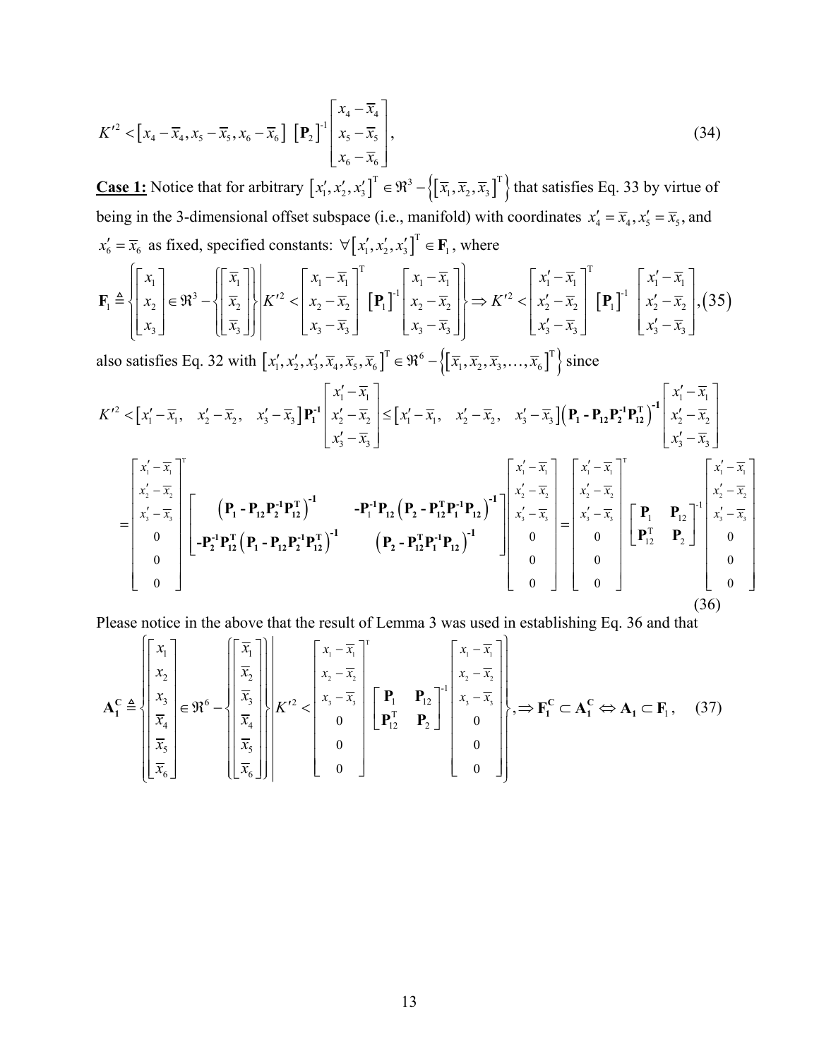$$
K'^2 < \left[x_4 - \overline{x}_4, x_5 - \overline{x}_5, x_6 - \overline{x}_6\right] \left[\mathbf{P}_2\right] \begin{bmatrix} x_4 - \overline{x}_4 \\ x_5 - \overline{x}_5 \\ x_6 - \overline{x}_6 \end{bmatrix},\tag{34}
$$

**Case 1:** Notice that for arbitrary  $[x'_1, x'_2, x'_3]^T \in \mathbb{R}^3 - \left\{ \left[ \overline{x}_1, \overline{x}_2, \overline{x}_3 \right]^T \right\}$  that satisfies Eq. 33 by virtue of being in the 3-dimensional offset subspace (i.e., manifold) with coordinates  $x'_4 = \overline{x}_4, x'_5 = \overline{x}_5$ , and  $x'_6 = \overline{x}_6$  as fixed, specified constants:  $\forall [x'_1, x'_2, x'_3]^T \in \mathbf{F}_1$ , where

$$
\mathbf{F}_{1} \triangleq \begin{bmatrix} x_{1} \\ x_{2} \\ x_{3} \end{bmatrix} \in \mathfrak{R}^{3} - \left\{ \begin{bmatrix} \overline{x}_{1} \\ \overline{x}_{2} \\ \overline{x}_{3} \end{bmatrix} \right\} \begin{bmatrix} x_{1} - \overline{x}_{1} \\ x_{2} - \overline{x}_{2} \\ x_{3} - \overline{x}_{3} \end{bmatrix}^{T} \left[ \mathbf{P}_{1} \right]^{-1} \begin{bmatrix} x_{1} - \overline{x}_{1} \\ x_{2} - \overline{x}_{2} \\ x_{3} - \overline{x}_{3} \end{bmatrix} \implies K^{\prime 2} < \begin{bmatrix} x_{1}^{\prime} - \overline{x}_{1} \\ x_{2}^{\prime} - \overline{x}_{2} \\ x_{3}^{\prime} - \overline{x}_{3} \end{bmatrix}^{T} \left[ \mathbf{P}_{1} \right]^{-1} \begin{bmatrix} x_{1}^{\prime} - \overline{x}_{1} \\ x_{2}^{\prime} - \overline{x}_{2} \\ x_{3}^{\prime} - \overline{x}_{3} \end{bmatrix}, (35)
$$

also satisfies Eq. 32 with  $[x'_1, x'_2, x'_3, \overline{x}_4, \overline{x}_5, \overline{x}_6]^T \in \mathfrak{R}^6 - \left\{ \left[ \overline{x}_1, \overline{x}_2, \overline{x}_3, \dots, \overline{x}_6 \right]^T \right\}$  since

$$
K'^{2} < \left[x_{1}' - \overline{x}_{1}, x_{2}' - \overline{x}_{2}, x_{3}' - \overline{x}_{3}\right] \mathbf{P}_{1}^{1} \begin{bmatrix} x_{1}' - \overline{x}_{1} \\ x_{2}' - \overline{x}_{2} \\ x_{3}' - \overline{x}_{3} \end{bmatrix} \leq \left[x_{1}' - \overline{x}_{1}, x_{2}' - \overline{x}_{2}, x_{3}' - \overline{x}_{3}\right] \left(\mathbf{P}_{1} - \mathbf{P}_{12}\mathbf{P}_{2}^{1}\mathbf{P}_{12}^{1}\right)^{-1} \begin{bmatrix} x_{1}' - \overline{x}_{1} \\ x_{2}' - \overline{x}_{2} \\ x_{3}' - \overline{x}_{3} \end{bmatrix}
$$

$$
= \begin{bmatrix} x_{1}' - \overline{x}_{1} \\ x_{2}' - \overline{x}_{2} \\ x_{3}' - \overline{x}_{3} \end{bmatrix} \begin{bmatrix} \mathbf{P}_{1} - \mathbf{P}_{12}\mathbf{P}_{2}^{1}\mathbf{P}_{12}^{1} \end{bmatrix}^{-1} - \mathbf{P}_{1}^{1}\mathbf{P}_{12}\left(\mathbf{P}_{2} - \mathbf{P}_{12}^{T}\mathbf{P}_{1}^{1}\mathbf{P}_{12}\right)^{-1} \begin{bmatrix} x_{1}' - \overline{x}_{1} \\ x_{2}' - \overline{x}_{2} \\ x_{3}' - \overline{x}_{3} \end{bmatrix} \begin{bmatrix} x_{1}' - \overline{x}_{1} \\ x_{2}' - \overline{x}_{2} \\ x_{3}' - \overline{x}_{3} \end{bmatrix}
$$

$$
= \begin{bmatrix} x_{1}' - \overline{x}_{1} \\ x_{2}' - \overline{x}_{2} \\ x_{3}' - \overline{x}_{3} \\ x_{3}' - \overline{x}_{3} \end{bmatrix} \begin{bmatrix} x_{1}' - \overline{x}_{1} \\ x_{2}' - \overline{x}_{2} \\ x_{3}' - \overline{x}_{3} \end{bmatrix}
$$

$$
= \begin{bmatrix} x_{1}' - \overline{x}_{1} \\ x_{2}' - \overline{x}_{2} \\ x_{3}' - \overline{x}_{3} \\ x_{3}' - \overline{x}_{3} \end{bmatrix} \begin{bmatrix} x_{1}' - \overline{x}_{1} \\ x_{2}' - \overline{x}_{2} \\ x_{3}' - \overline{x}_{3}
$$

(36)

Please notice in the above that the result of Lemma 3 was used in establishing Eq. 36 and that

$$
\mathbf{A}_{1}^{C} \triangleq \left\{ \begin{bmatrix} x_{1} \\ x_{2} \\ x_{3} \\ \overline{x}_{4} \\ \overline{x}_{5} \\ \overline{x}_{6} \end{bmatrix} \in \mathfrak{R}^{6} - \left\{ \begin{bmatrix} \overline{x}_{1} \\ \overline{x}_{2} \\ \overline{x}_{3} \\ \overline{x}_{4} \\ \overline{x}_{5} \\ \overline{x}_{6} \end{bmatrix} \right\} \begin{bmatrix} x_{1} - \overline{x}_{1} \\ x_{2} - \overline{x}_{2} \\ x_{3} - \overline{x}_{3} \\ 0 \\ 0 \\ 0 \end{bmatrix} \begin{bmatrix} x_{1} - \overline{x}_{1} \\ x_{2} - \overline{x}_{2} \\ x_{3} - \overline{x}_{3} \\ 0 \\ 0 \\ 0 \end{bmatrix}, \Rightarrow \mathbf{F}_{1}^{C} \subset \mathbf{A}_{1}^{C} \Leftrightarrow \mathbf{A}_{1} \subset \mathbf{F}_{1}, \quad (37)
$$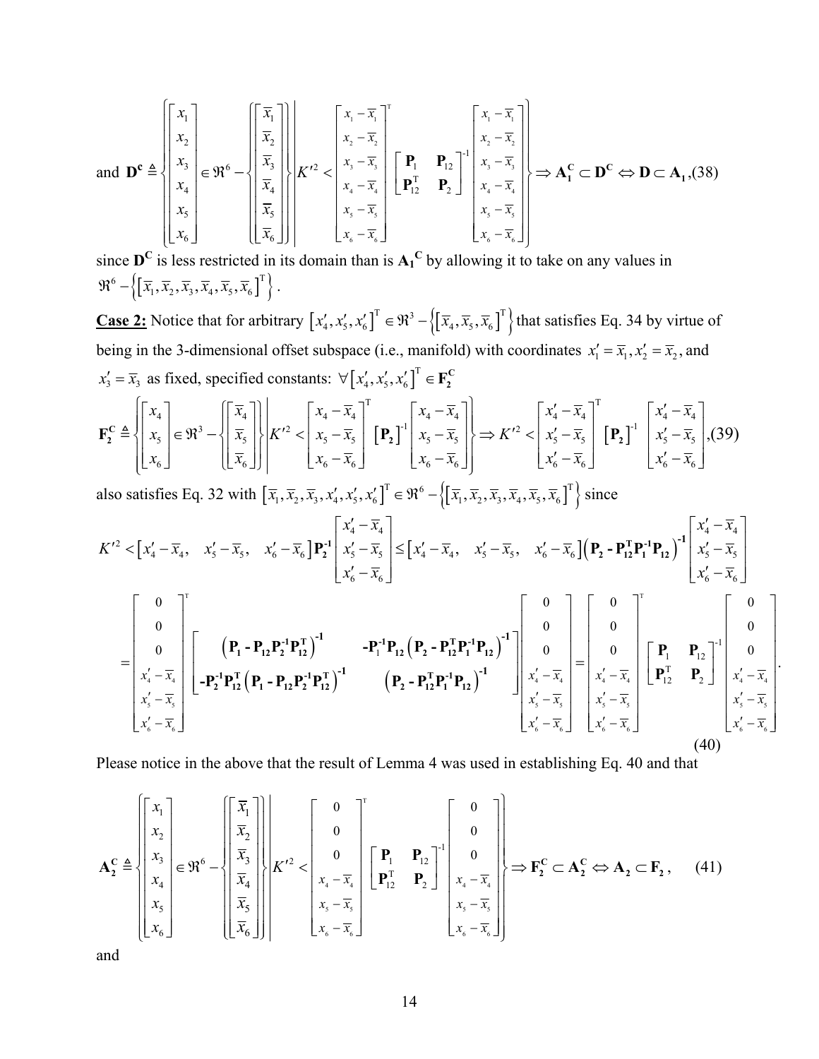$$
\text{and } \mathbf{D}^{\mathbf{c}} \triangleq \left\{ \begin{bmatrix} x_1 \\ x_2 \\ x_3 \\ x_4 \\ x_5 \\ x_6 \end{bmatrix} \in \mathfrak{R}^6 - \left\{ \begin{bmatrix} \overline{x}_1 \\ \overline{x}_2 \\ \overline{x}_3 \\ \overline{x}_4 \\ x_5 \\ x_6 \end{bmatrix} \right\} \right\} \left\{ \begin{bmatrix} x_1 - \overline{x}_1 \\ x_2 - \overline{x}_2 \\ x_3 - \overline{x}_3 \\ x_4 - \overline{x}_4 \\ x_5 - \overline{x}_5 \\ x_6 - \overline{x}_6 \end{bmatrix} \right\} = \mathbf{P}_1 \mathbf{P}_{12} \right\} \left\{ \begin{bmatrix} x_1 - \overline{x}_1 \\ x_2 - \overline{x}_2 \\ x_3 - \overline{x}_3 \\ x_4 - \overline{x}_4 \\ x_5 - \overline{x}_5 \\ x_6 - \overline{x}_6 \end{bmatrix} \right\} \Rightarrow \mathbf{A}_1^{\mathbf{C}} \subset \mathbf{D}^{\mathbf{C}} \Leftrightarrow \mathbf{D} \subset \mathbf{A}_1, (38)
$$

since  $\mathbf{D}^C$  is less restricted in its domain than is  $\mathbf{A_1}^C$  by allowing it to take on any values in  $\mathfrak{R}^6 - \left\{ \left[ \overline{x}_1, \overline{x}_2, \overline{x}_3, \overline{x}_4, \overline{x}_5, \overline{x}_6 \right]^\text{T} \right\}.$ 

**Case 2:** Notice that for arbitrary  $[x'_4, x'_5, x'_6]^T \in \mathbb{R}^3 - \left\{ \left[ \overline{x}_4, \overline{x}_5, \overline{x}_6 \right]^T \right\}$  that satisfies Eq. 34 by virtue of being in the 3-dimensional offset subspace (i.e., manifold) with coordinates  $x'_1 = \overline{x}_1, x'_2 = \overline{x}_2$ , and  $x'_3 = \overline{x}_3$  as fixed, specified constants:  $\forall [x'_4, x'_5, x'_6]^T \in \mathbf{F}_2^C$ 

$$
\mathbf{F}_{2}^{\mathrm{C}} \triangleq \left\{ \begin{bmatrix} x_{4} \\ x_{5} \\ x_{6} \end{bmatrix} \in \mathfrak{R}^{3} - \left\{ \begin{bmatrix} \overline{x}_{4} \\ \overline{x}_{5} \\ \overline{x}_{6} \end{bmatrix} \right\} \middle| K^{\prime 2} < \begin{bmatrix} x_{4} - \overline{x}_{4} \\ x_{5} - \overline{x}_{5} \\ x_{6} - \overline{x}_{6} \end{bmatrix}^{\mathrm{T}} \left[ \mathbf{P}_{2} \right]^{1} \left[ \begin{bmatrix} x_{4} - \overline{x}_{4} \\ x_{5} - \overline{x}_{5} \\ x_{6} - \overline{x}_{6} \end{bmatrix} \right] \right\} \Rightarrow K^{\prime 2} < \left\{ \begin{bmatrix} x_{4}^{\prime} - \overline{x}_{4} \\ x_{5}^{\prime} - \overline{x}_{5} \\ x_{6}^{\prime} - \overline{x}_{6} \end{bmatrix}^{\mathrm{T}} \left[ \mathbf{P}_{2} \right]^{1} \left[ \begin{bmatrix} x_{4}^{\prime} - \overline{x}_{4} \\ x_{5}^{\prime} - \overline{x}_{5} \\ x_{6}^{\prime} - \overline{x}_{6} \end{bmatrix} \right] \right\} \Rightarrow K^{\prime 2} < \left\{ \begin{bmatrix} x_{4}^{\prime} - \overline{x}_{4} \\ x_{5}^{\prime} - \overline{x}_{5} \\ x_{6}^{\prime} - \overline{x}_{6} \end{bmatrix} \right], (39)
$$

also satisfies Eq. 32 with  $\left[\overline{x}_1, \overline{x}_2, \overline{x}_3, x'_4, x'_5, x'_6\right]^T \in \mathfrak{R}^6 - \left\{\left[\overline{x}_1, \overline{x}_2, \overline{x}_3, \overline{x}_4, \overline{x}_5, \overline{x}_6\right]^T\right\}$  since

$$
K'^{2} < \left[x_{4}' - \overline{x}_{4}, x_{5}' - \overline{x}_{5}, x_{6}' - \overline{x}_{6}\right] \mathbf{P}_{2}^{-1} \begin{bmatrix} x_{4}' - \overline{x}_{4} \\ x_{5}' - \overline{x}_{5} \\ x_{6}' - \overline{x}_{6} \end{bmatrix} \leq \left[x_{4}' - \overline{x}_{4}, x_{5}' - \overline{x}_{5}, x_{6}' - \overline{x}_{6}\right] \left(\mathbf{P}_{2} - \mathbf{P}_{12}^{T} \mathbf{P}_{1}^{-1} \mathbf{P}_{12}\right)^{-1} \begin{bmatrix} x_{4}' - \overline{x}_{4} \\ x_{5}' - \overline{x}_{5} \\ x_{6}' - \overline{x}_{6} \end{bmatrix}
$$
\n
$$
= \begin{bmatrix} 0 \\ 0 \\ 0 \\ x_{4}' - \overline{x}_{4} \\ x_{5}' - \overline{x}_{5} \\ x_{5}' - \overline{x}_{5} \\ x_{5}' - \overline{x}_{5} \end{bmatrix} \begin{bmatrix} \left(\mathbf{P}_{1} - \mathbf{P}_{12} \mathbf{P}_{2}^{-1} \mathbf{P}_{12}^{T}\right)^{-1} & -\mathbf{P}_{1}^{-1} \mathbf{P}_{12} \left(\mathbf{P}_{2} - \mathbf{P}_{12}^{T} \mathbf{P}_{1}^{-1} \mathbf{P}_{12}\right)^{-1} \\ \left(\mathbf{P}_{2} - \mathbf{P}_{12}^{T} \mathbf{P}_{1}^{-1} \mathbf{P}_{12}\right)^{-1} & \left(\mathbf{P}_{2} - \mathbf{P}_{12}^{T} \mathbf{P}_{1}^{-1} \mathbf{P}_{12}\right)^{-1} \end{bmatrix} \begin{bmatrix} 0 \\ 0 \\ 0 \\ x_{4}' - \overline{x}_{4} \\ x_{5}' - \overline{x}_{5} \\ x_{5}' - \overline{x}_{5} \\ x_{5}' - \overline{x}_{5} \end{bmatrix} \begin{bmatrix} \mathbf{P}_{1} & \mathbf{P}_{12} \\ \mathbf{P}_{1}^{T} & \mathbf{P}_{2} \end{bmatrix} \begin{bmatrix} 0 \\ 0 \\ x_{4}' - \overline{x}_{4} \\ x_{5}' - \overline{x}_{5} \\ x_{6}' - \overline{x}_{6} \end{bmatrix}
$$
\n
$$
(40)
$$

Please notice in the above that the result of Lemma 4 was used in establishing Eq. 40 and that

$$
\mathbf{A}_{2}^{\mathbf{C}} \triangleq \left\{ \begin{bmatrix} x_{1} \\ x_{2} \\ x_{3} \\ x_{4} \\ x_{5} \\ x_{6} \end{bmatrix} \in \mathfrak{R}^{6} - \left\{ \begin{bmatrix} \overline{x}_{1} \\ \overline{x}_{2} \\ \overline{x}_{3} \\ \overline{x}_{4} \\ \overline{x}_{5} \\ \overline{x}_{6} \end{bmatrix} \right\} \right\} \left\{ K^{\prime 2} < \begin{bmatrix} 0 \\ 0 \\ 0 \\ x_{4} - \overline{x}_{4} \\ x_{5} - \overline{x}_{5} \\ x_{6} - \overline{x}_{6} \end{bmatrix} \right\} \left\{ \begin{bmatrix} \mathbf{P}_{1} & \mathbf{P}_{12} \\ \mathbf{P}_{1}^{\mathbf{T}} & \mathbf{P}_{2} \end{bmatrix}^{-1} \left\{ \begin{bmatrix} 0 \\ 0 \\ 0 \\ x_{4} - \overline{x}_{4} \\ x_{5} - \overline{x}_{5} \\ x_{6} - \overline{x}_{6} \end{bmatrix} \right\} \Rightarrow \mathbf{F}_{2}^{\mathbf{C}} \subset \mathbf{A}_{2}^{\mathbf{C}} \Leftrightarrow \mathbf{A}_{2} \subset \mathbf{F}_{2} \,, \quad (41)
$$

and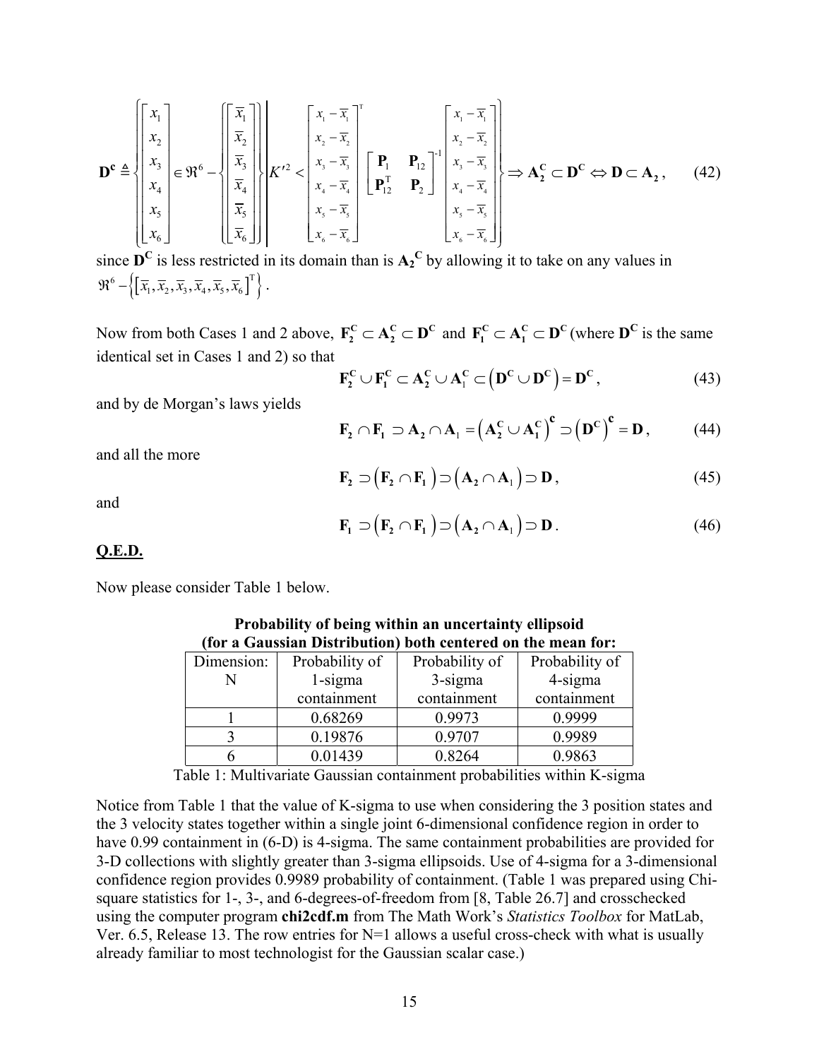$$
\mathbf{D}^{\mathbf{c}} \triangleq \begin{bmatrix} x_1 \\ x_2 \\ x_3 \\ x_4 \\ x_5 \\ x_6 \end{bmatrix} \in \mathfrak{R}^6 - \left\{ \begin{bmatrix} \overline{x}_1 \\ \overline{x}_2 \\ \overline{x}_3 \\ \overline{x}_4 \\ \overline{x}_5 \\ x_6 \end{bmatrix} \right\} \left\{ K'^2 < \begin{bmatrix} x_1 - \overline{x}_1 \\ x_2 - \overline{x}_2 \\ x_3 - \overline{x}_3 \\ x_4 - \overline{x}_4 \\ x_5 - \overline{x}_5 \\ x_6 - \overline{x}_6 \end{bmatrix}^{-1} \begin{bmatrix} x_1 - \overline{x}_1 \\ x_2 - \overline{x}_2 \\ x_3 - \overline{x}_3 \\ x_4 - \overline{x}_4 \\ x_5 - \overline{x}_5 \\ x_6 - \overline{x}_6 \end{bmatrix}^{-1} \begin{bmatrix} x_1 - \overline{x}_1 \\ x_2 - \overline{x}_2 \\ x_3 - \overline{x}_3 \\ x_4 - \overline{x}_4 \\ x_5 - \overline{x}_5 \\ x_6 - \overline{x}_6 \end{bmatrix} \right\} \Rightarrow \mathbf{A}_2^{\mathbf{C}} \subset \mathbf{D}^{\mathbf{C}} \Leftrightarrow \mathbf{D} \subset \mathbf{A}_2, \qquad (42)
$$

since  $\mathbf{D}^C$  is less restricted in its domain than is  $\mathbf{A_2}^C$  by allowing it to take on any values in  $\mathfrak{R}^6 - \left\{ \left[ \overline{x}_1, \overline{x}_2, \overline{x}_3, \overline{x}_4, \overline{x}_5, \overline{x}_6 \right]^\text{T} \right\}.$ 

Now from both Cases 1 and 2 above,  $\mathbf{F_2^C} \subset \mathbf{A_2^C} \subset \mathbf{D}^C$  and  $\mathbf{F_1^C} \subset \mathbf{A_1^C} \subset \mathbf{D}^C$  (where  $\mathbf{D}^C$  is the same identical set in Cases 1 and 2) so that

$$
\mathbf{F}_2^{\mathbf{C}} \cup \mathbf{F}_1^{\mathbf{C}} \subset \mathbf{A}_2^{\mathbf{C}} \cup \mathbf{A}_1^{\mathbf{C}} \subset (\mathbf{D}^{\mathbf{C}} \cup \mathbf{D}^{\mathbf{C}}) = \mathbf{D}^{\mathbf{C}},
$$
\n(43)

and by de Morgan's laws yields

$$
\mathbf{F}_2 \cap \mathbf{F}_1 \supset \mathbf{A}_2 \cap \mathbf{A}_1 = (\mathbf{A}_2^{\mathbf{C}} \cup \mathbf{A}_1^{\mathbf{C}})^{\mathbf{C}} \supset (\mathbf{D}^{\mathbf{C}})^{\mathbf{C}} = \mathbf{D},
$$
 (44)

and all the more

$$
\mathbf{F}_2 \supset (\mathbf{F}_2 \cap \mathbf{F}_1) \supset (\mathbf{A}_2 \cap \mathbf{A}_1) \supset \mathbf{D}, \tag{45}
$$

and

$$
\mathbf{F}_1 \supset (\mathbf{F}_2 \cap \mathbf{F}_1) \supset (\mathbf{A}_2 \cap \mathbf{A}_1) \supset \mathbf{D}.
$$
 (46)

## **Q.E.D.**

Now please consider Table 1 below.

| Dimension: | Probability of | Probability of | Probability of |  |
|------------|----------------|----------------|----------------|--|
|            | $1$ -sigma     | $3$ -sigma     | 4-sigma        |  |
|            | containment    | containment    | containment    |  |
|            | 0.68269        | 0.9973         | 0.9999         |  |
|            | 0.19876        | 0.9707         | 0.9989         |  |
|            | 0.01439        | 0.8264         | 0.9863         |  |

**Probability of being within an uncertainty ellipsoid (for a Gaussian Distribution) both centered on the mean for:**

Table 1: Multivariate Gaussian containment probabilities within K-sigma

Notice from Table 1 that the value of K-sigma to use when considering the 3 position states and the 3 velocity states together within a single joint 6-dimensional confidence region in order to have 0.99 containment in (6-D) is 4-sigma. The same containment probabilities are provided for 3-D collections with slightly greater than 3-sigma ellipsoids. Use of 4-sigma for a 3-dimensional confidence region provides 0.9989 probability of containment. (Table 1 was prepared using Chisquare statistics for 1-, 3-, and 6-degrees-of-freedom from [8, Table 26.7] and crosschecked using the computer program **chi2cdf.m** from The Math Work's *Statistics Toolbox* for MatLab, Ver. 6.5, Release 13. The row entries for  $N=1$  allows a useful cross-check with what is usually already familiar to most technologist for the Gaussian scalar case.)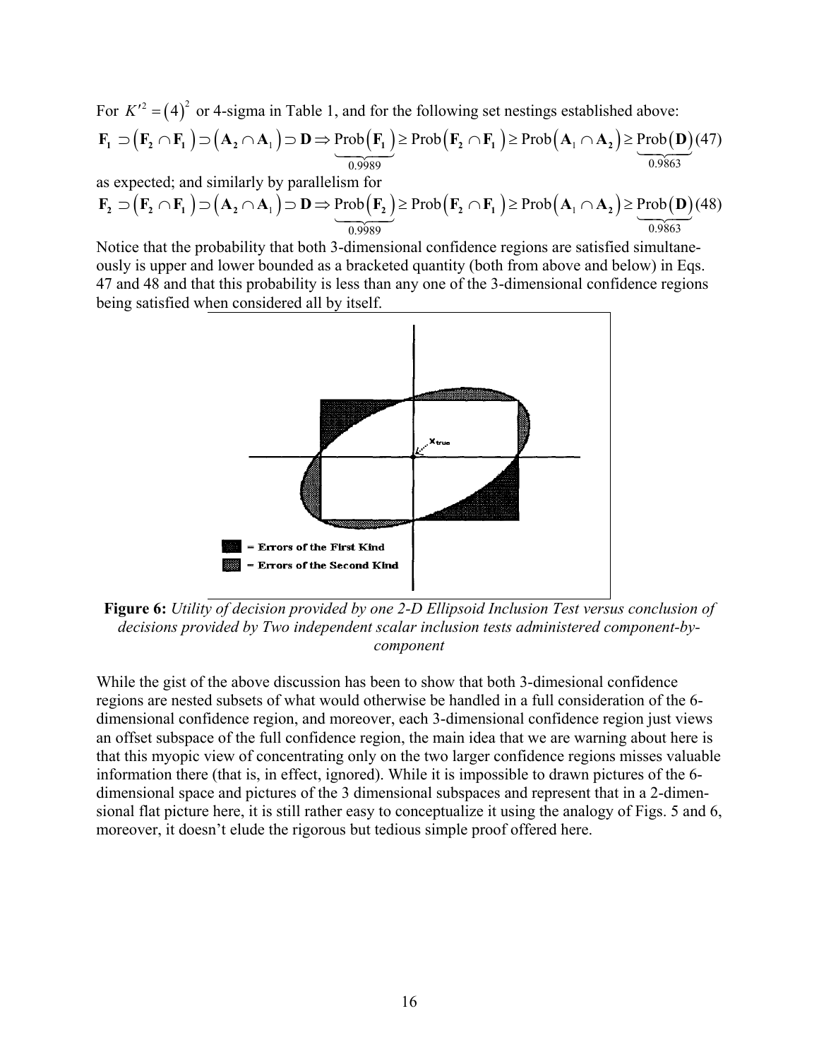For  $K'^2 = (4)^2$  or 4-sigma in Table 1, and for the following set nestings established above:  $\mathbf{F}_1 \supset (\mathbf{F}_2 \cap \mathbf{F}_1) \supset (\mathbf{A}_2 \cap \mathbf{A}_1) \supset \mathbf{D} \Rightarrow \underline{\text{Prob}(\mathbf{F}_1)} \ge \text{Prob}(\mathbf{F}_2 \cap \mathbf{F}_1) \ge \text{Prob}(\mathbf{A}_1 \cap \mathbf{A}_2) \ge \underline{\text{Prob}(\mathbf{D})} (47)$ 0.9989 0.9863

as expected; and similarly by parallelism for

$$
\mathbf{F}_2 \supset (\mathbf{F}_2 \cap \mathbf{F}_1) \supset (\mathbf{A}_2 \cap \mathbf{A}_1) \supset \mathbf{D} \Rightarrow \underbrace{\text{Prob}(\mathbf{F}_2)}_{0.9989} \ge \text{Prob}(\mathbf{F}_2 \cap \mathbf{F}_1) \ge \text{Prob}(\mathbf{A}_1 \cap \mathbf{A}_2) \ge \underbrace{\text{Prob}(\mathbf{D})}_{0.9863}(48)
$$

Notice that the probability that both 3-dimensional confidence regions are satisfied simultaneously is upper and lower bounded as a bracketed quantity (both from above and below) in Eqs. 47 and 48 and that this probability is less than any one of the 3-dimensional confidence regions being satisfied when considered all by itself.



**Figure 6:** *Utility of decision provided by one 2-D Ellipsoid Inclusion Test versus conclusion of decisions provided by Two independent scalar inclusion tests administered component-bycomponent* 

While the gist of the above discussion has been to show that both 3-dimesional confidence regions are nested subsets of what would otherwise be handled in a full consideration of the 6 dimensional confidence region, and moreover, each 3-dimensional confidence region just views an offset subspace of the full confidence region, the main idea that we are warning about here is that this myopic view of concentrating only on the two larger confidence regions misses valuable information there (that is, in effect, ignored). While it is impossible to drawn pictures of the 6 dimensional space and pictures of the 3 dimensional subspaces and represent that in a 2-dimensional flat picture here, it is still rather easy to conceptualize it using the analogy of Figs. 5 and 6, moreover, it doesn't elude the rigorous but tedious simple proof offered here.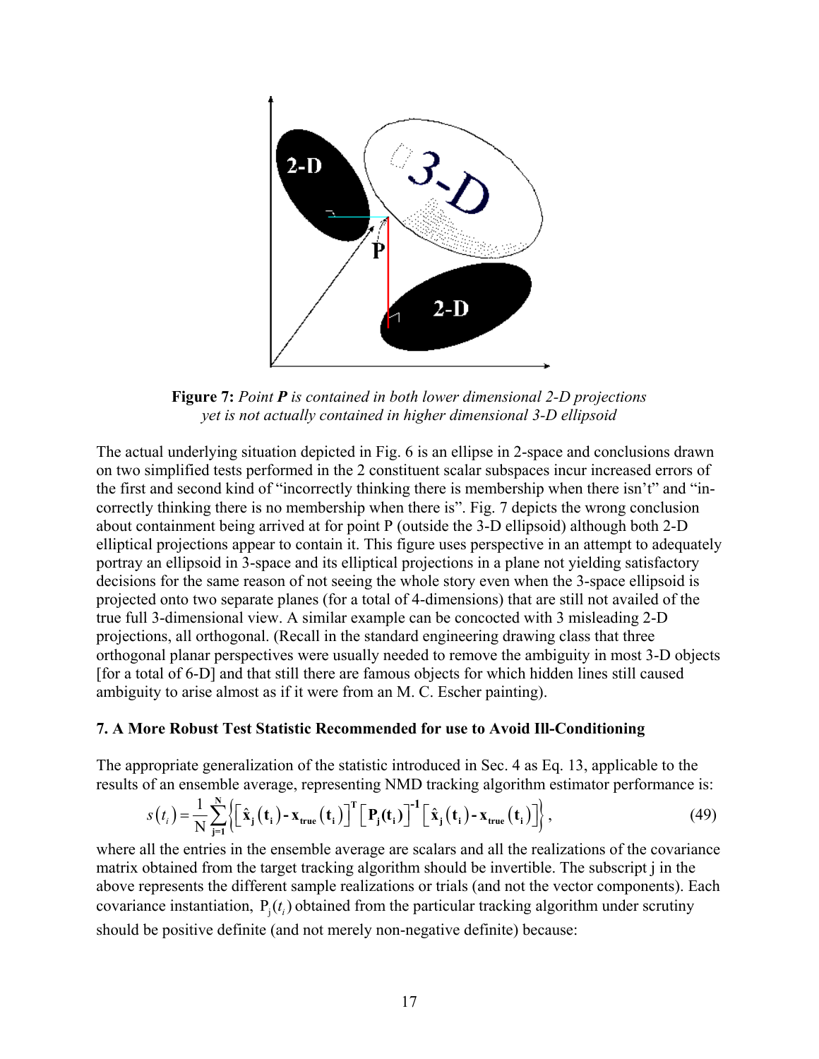

**Figure 7:** *Point P is contained in both lower dimensional 2-D projections yet is not actually contained in higher dimensional 3-D ellipsoid*

The actual underlying situation depicted in Fig. 6 is an ellipse in 2-space and conclusions drawn on two simplified tests performed in the 2 constituent scalar subspaces incur increased errors of the first and second kind of "incorrectly thinking there is membership when there isn't" and "incorrectly thinking there is no membership when there is". Fig. 7 depicts the wrong conclusion about containment being arrived at for point P (outside the 3-D ellipsoid) although both 2-D elliptical projections appear to contain it. This figure uses perspective in an attempt to adequately portray an ellipsoid in 3-space and its elliptical projections in a plane not yielding satisfactory decisions for the same reason of not seeing the whole story even when the 3-space ellipsoid is projected onto two separate planes (for a total of 4-dimensions) that are still not availed of the true full 3-dimensional view. A similar example can be concocted with 3 misleading 2-D projections, all orthogonal. (Recall in the standard engineering drawing class that three orthogonal planar perspectives were usually needed to remove the ambiguity in most 3-D objects [for a total of 6-D] and that still there are famous objects for which hidden lines still caused ambiguity to arise almost as if it were from an M. C. Escher painting).

## **7. A More Robust Test Statistic Recommended for use to Avoid Ill-Conditioning**

The appropriate generalization of the statistic introduced in Sec. 4 as Eq. 13, applicable to the results of an ensemble average, representing NMD tracking algorithm estimator performance is:

$$
s(t_i) = \frac{1}{N} \sum_{j=1}^{N} \left\{ \left[ \hat{\mathbf{x}}_j(t_i) - \mathbf{x}_{true}(t_i) \right]^{T} \left[ P_j(t_i) \right]^{-1} \left[ \hat{\mathbf{x}}_j(t_i) - \mathbf{x}_{true}(t_i) \right] \right\},\tag{49}
$$

where all the entries in the ensemble average are scalars and all the realizations of the covariance matrix obtained from the target tracking algorithm should be invertible. The subscript j in the above represents the different sample realizations or trials (and not the vector components). Each covariance instantiation,  $P_j(t_i)$  obtained from the particular tracking algorithm under scrutiny should be positive definite (and not merely non-negative definite) because: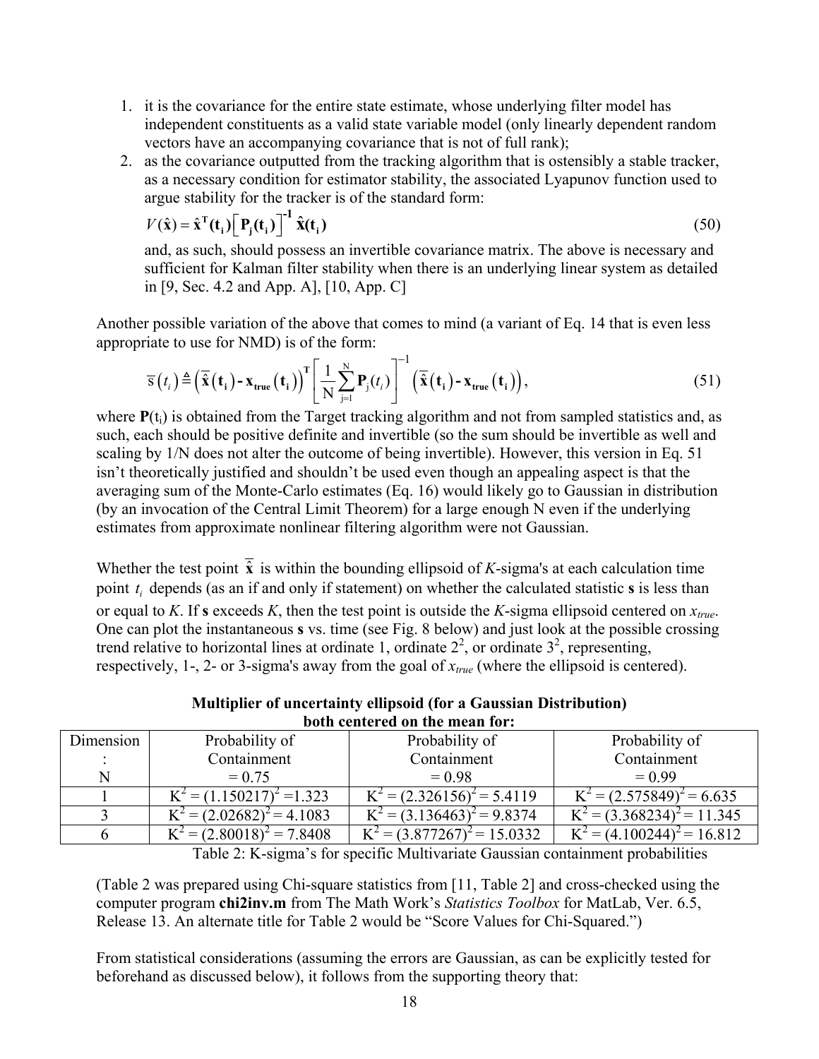- 1. it is the covariance for the entire state estimate, whose underlying filter model has independent constituents as a valid state variable model (only linearly dependent random vectors have an accompanying covariance that is not of full rank);
- 2. as the covariance outputted from the tracking algorithm that is ostensibly a stable tracker, as a necessary condition for estimator stability, the associated Lyapunov function used to argue stability for the tracker is of the standard form:

$$
V(\hat{\mathbf{x}}) = \hat{\mathbf{x}}^{\mathrm{T}}(\mathbf{t}_{i}) \left[ \mathbf{P}_{j}(\mathbf{t}_{i}) \right]^{-1} \hat{\mathbf{x}}(\mathbf{t}_{i})
$$
\n(50)

and, as such, should possess an invertible covariance matrix. The above is necessary and sufficient for Kalman filter stability when there is an underlying linear system as detailed in [9, Sec. 4.2 and App. A], [10, App. C]

Another possible variation of the above that comes to mind (a variant of Eq. 14 that is even less appropriate to use for NMD) is of the form:

$$
\overline{s}(t_i) \triangleq \left(\overline{\hat{\mathbf{x}}}(t_i) - \mathbf{x}_{true}(t_i)\right)^T \left[\frac{1}{N} \sum_{j=1}^N \mathbf{P}_j(t_i)\right]^{-1} \left(\overline{\hat{\mathbf{x}}}(t_i) - \mathbf{x}_{true}(t_i)\right),\tag{51}
$$

where  $P(t_i)$  is obtained from the Target tracking algorithm and not from sampled statistics and, as such, each should be positive definite and invertible (so the sum should be invertible as well and scaling by 1/N does not alter the outcome of being invertible). However, this version in Eq. 51 isn't theoretically justified and shouldn't be used even though an appealing aspect is that the averaging sum of the Monte-Carlo estimates (Eq. 16) would likely go to Gaussian in distribution (by an invocation of the Central Limit Theorem) for a large enough N even if the underlying estimates from approximate nonlinear filtering algorithm were not Gaussian.

Whether the test point  $\overline{\hat{x}}$  is within the bounding ellipsoid of *K*-sigma's at each calculation time point  $t_i$  depends (as an if and only if statement) on whether the calculated statistic **s** is less than or equal to *K*. If **s** exceeds *K*, then the test point is outside the *K*-sigma ellipsoid centered on *x true*. One can plot the instantaneous **s** vs. time (see Fig. 8 below) and just look at the possible crossing trend relative to horizontal lines at ordinate 1, ordinate  $2^2$ , or ordinate  $3^2$ , representing, respectively, 1-, 2- or 3-sigma's away from the goal of *xtrue* (where the ellipsoid is centered).

| <b>Multiplier of uncertainty ellipsoid (for a Gaussian Distribution)</b> |
|--------------------------------------------------------------------------|
| both centered on the mean for:                                           |

| Dimension | Probability of               | Probability of                | Probability of               |
|-----------|------------------------------|-------------------------------|------------------------------|
|           | Containment                  | Containment                   | Containment                  |
|           | $= 0.75$                     | $= 0.98$                      | $= 0.99$                     |
|           | $K^2 = (1.150217)^2 = 1.323$ | $K^2 = (2.326156)^2 = 5.4119$ | $K^2 = (2.575849)^2 = 6.635$ |
|           | $K^2 = (2.02682)^2 = 4.1083$ | $K^2 = (3.136463)^2 = 9.8374$ | $= (3.368234)^{2} = 11.345$  |
|           | $K^2 = (2.80018)^2 = 7.8408$ | $= (3.877267)^2 = 15.0332$    | $=(4.100244)^{2}=16.812$     |

Table 2: K-sigma's for specific Multivariate Gaussian containment probabilities

(Table 2 was prepared using Chi-square statistics from [11, Table 2] and cross-checked using the computer program **chi2inv.m** from The Math Work's *Statistics Toolbox* for MatLab, Ver. 6.5, Release 13. An alternate title for Table 2 would be "Score Values for Chi-Squared.")

From statistical considerations (assuming the errors are Gaussian, as can be explicitly tested for beforehand as discussed below), it follows from the supporting theory that: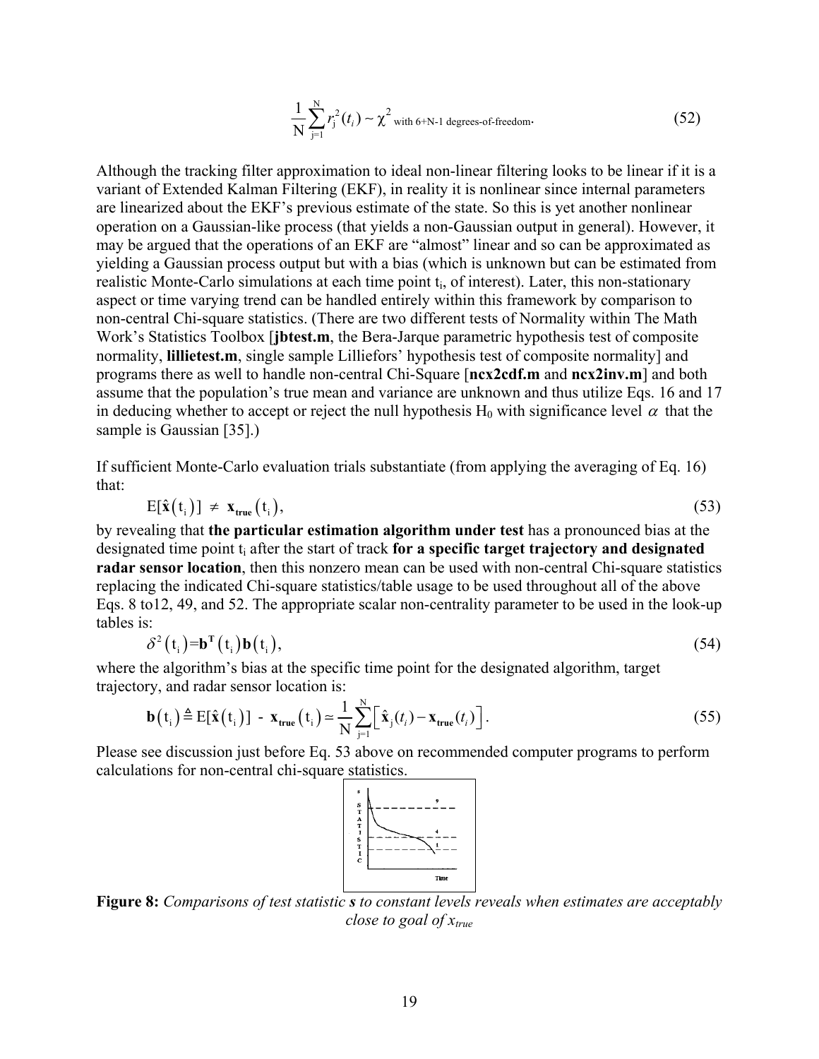$$
\frac{1}{N} \sum_{j=1}^{N} r_j^2(t_i) \sim \chi^2
$$
 with 6+N-1 degrees-of-freedom. (52)

Although the tracking filter approximation to ideal non-linear filtering looks to be linear if it is a variant of Extended Kalman Filtering (EKF), in reality it is nonlinear since internal parameters are linearized about the EKF's previous estimate of the state. So this is yet another nonlinear operation on a Gaussian-like process (that yields a non-Gaussian output in general). However, it may be argued that the operations of an EKF are "almost" linear and so can be approximated as yielding a Gaussian process output but with a bias (which is unknown but can be estimated from realistic Monte-Carlo simulations at each time point  $t_i$ , of interest). Later, this non-stationary aspect or time varying trend can be handled entirely within this framework by comparison to non-central Chi-square statistics. (There are two different tests of Normality within The Math Work's Statistics Toolbox [**jbtest.m**, the Bera-Jarque parametric hypothesis test of composite normality, **lillietest.m**, single sample Lilliefors' hypothesis test of composite normality] and programs there as well to handle non-central Chi-Square [**ncx2cdf.m** and **ncx2inv.m**] and both assume that the population's true mean and variance are unknown and thus utilize Eqs. 16 and 17 in deducing whether to accept or reject the null hypothesis  $H_0$  with significance level  $\alpha$  that the sample is Gaussian [35].)

If sufficient Monte-Carlo evaluation trials substantiate (from applying the averaging of Eq. 16) that:

$$
E[\hat{\mathbf{x}}(t_i)] \neq \mathbf{x}_{true}(t_i), \tag{53}
$$

by revealing that **the particular estimation algorithm under test** has a pronounced bias at the designated time point t<sub>i</sub> after the start of track for a specific target trajectory and designated **radar sensor location**, then this nonzero mean can be used with non-central Chi-square statistics replacing the indicated Chi-square statistics/table usage to be used throughout all of the above Eqs. 8 to12, 49, and 52. The appropriate scalar non-centrality parameter to be used in the look-up tables is:

$$
\delta^2(t_i) = \mathbf{b}^{\mathrm{T}}(t_i)\mathbf{b}(t_i),\tag{54}
$$

where the algorithm's bias at the specific time point for the designated algorithm, target trajectory, and radar sensor location is:

$$
\mathbf{b}(t_i) \triangleq E[\hat{\mathbf{x}}(t_i)] - \mathbf{x}_{true}(t_i) \approx \frac{1}{N} \sum_{j=1}^{N} [\hat{\mathbf{x}}_j(t_i) - \mathbf{x}_{true}(t_i)].
$$
\n(55)

Please see discussion just before Eq. 53 above on recommended computer programs to perform calculations for non-central chi-square statistics.



**Figure 8:** *Comparisons of test statistic s to constant levels reveals when estimates are acceptably close to goal of*  $x_{true}$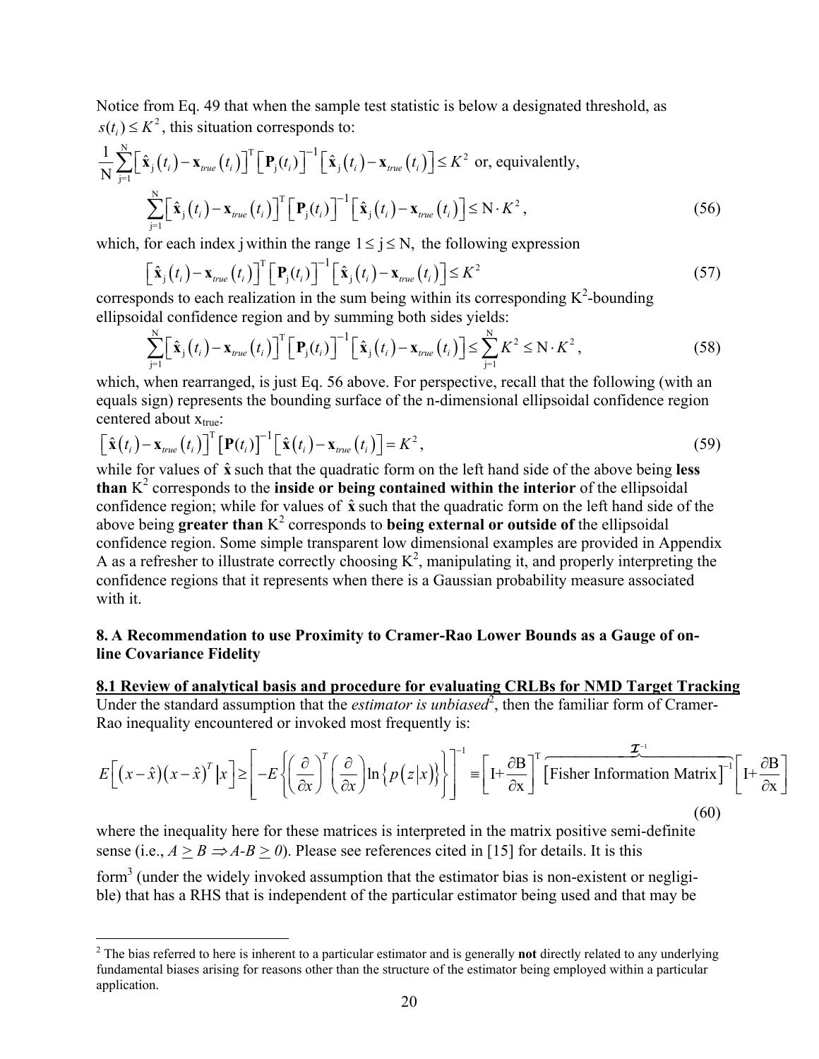Notice from Eq. 49 that when the sample test statistic is below a designated threshold, as  $s(t_i) \leq K^2$ , this situation corresponds to:

$$
\frac{1}{N} \sum_{j=1}^{N} \Big[ \hat{\mathbf{x}}_{j}(t_{i}) - \mathbf{x}_{true}(t_{i}) \Big]^{T} \Big[ \mathbf{P}_{j}(t_{i}) \Big]^{-1} \Big[ \hat{\mathbf{x}}_{j}(t_{i}) - \mathbf{x}_{true}(t_{i}) \Big] \leq K^{2} \text{ or, equivalently,}
$$
\n
$$
\sum_{j=1}^{N} \Big[ \hat{\mathbf{x}}_{j}(t_{i}) - \mathbf{x}_{true}(t_{i}) \Big]^{T} \Big[ \mathbf{P}_{j}(t_{i}) \Big]^{-1} \Big[ \hat{\mathbf{x}}_{j}(t_{i}) - \mathbf{x}_{true}(t_{i}) \Big] \leq N \cdot K^{2}, \qquad (56)
$$

which, for each index j within the range  $1 \le j \le N$ , the following expression

$$
\left[\hat{\mathbf{x}}_j(t_i) - \mathbf{x}_{true}(t_i)\right]^T \left[\mathbf{P}_j(t_i)\right]^{-1} \left[\hat{\mathbf{x}}_j(t_i) - \mathbf{x}_{true}(t_i)\right] \le K^2
$$
\n(57)

corresponds to each realization in the sum being within its corresponding  $K^2$ -bounding ellipsoidal confidence region and by summing both sides yields:

$$
\sum_{j=1}^{N} \left[ \hat{\mathbf{x}}_{j}(t_{i}) - \mathbf{x}_{true}(t_{i}) \right]^{T} \left[ \mathbf{P}_{j}(t_{i}) \right]^{-1} \left[ \hat{\mathbf{x}}_{j}(t_{i}) - \mathbf{x}_{true}(t_{i}) \right] \leq \sum_{j=1}^{N} K^{2} \leq N \cdot K^{2}, \qquad (58)
$$

which, when rearranged, is just Eq. 56 above. For perspective, recall that the following (with an equals sign) represents the bounding surface of the n-dimensional ellipsoidal confidence region centered about  $x_{true}$ :

$$
\left[\hat{\mathbf{x}}(t_i) - \mathbf{x}_{true}(t_i)\right]^{\mathrm{T}} \left[\mathbf{P}(t_i)\right]^{-1} \left[\hat{\mathbf{x}}(t_i) - \mathbf{x}_{true}(t_i)\right] = K^2,
$$
\n(59)

while for values of  $\hat{\mathbf{x}}$  such that the quadratic form on the left hand side of the above being **less**  $\mathbf{f}$ **then**  $\mathbf{K}^2$  corresponds to the **inside or being contained within the interior** of the ellipsedel **than** K corresponds to the **inside or being contained within the interior** of the ellipsoidal confidence region; while for values of  $\hat{x}$  such that the quadratic form on the left hand side of the above being **greater than** K 2 corresponds to **being external or outside of** the ellipsoidal confidence region. Some simple transparent low dimensional examples are provided in Appendix A as a refresher to illustrate correctly choosing  $K^2$ , manipulating it, and properly interpreting the confidence regions that it represents when there is a Gaussian probability measure associated with it.

## **8. A Recommendation to use Proximity to Cramer-Rao Lower Bounds as a Gauge of online Covariance Fidelity**

**8.1 Review of analytical basis and procedure for evaluating CRLBs for NMD Target Tracking** Under the standard assumption that the *estimator is unbiased*<sup>[2](#page-19-0)</sup>, then the familiar form of Cramer-Rao inequality encountered or invoked most frequently is:

$$
E\left[\left(x-\hat{x}\right)\left(x-\hat{x}\right)^{T}|x\right] \geq \left[-E\left\{\left(\frac{\partial}{\partial x}\right)^{T}\left(\frac{\partial}{\partial x}\right)\ln\left\{p\left(z|x\right)\right\}\right\}\right]^{-1} = \left[1+\frac{\partial B}{\partial x}\right]^{T}\left[\text{Fisher Information Matrix}\right]^{-1}\left[1+\frac{\partial B}{\partial x}\right]
$$
\n(60)

where the inequality here for these matrices is interpreted in the matrix positive semi-definite sense (i.e.,  $A > B \Rightarrow A-B > 0$ ). Please see references cited in [15] for details. It is this

form<sup>3</sup> (under the widely invoked assumption that the estimator bias is non-existent or negligible) that has a RHS that is independent of the particular estimator being used and that may be

 $\overline{a}$ 

<span id="page-19-1"></span><span id="page-19-0"></span><sup>&</sup>lt;sup>2</sup> The bias referred to here is inherent to a particular estimator and is generally **not** directly related to any underlying fundamental biases arising for reasons other than the structure of the estimator being employed within a particular application.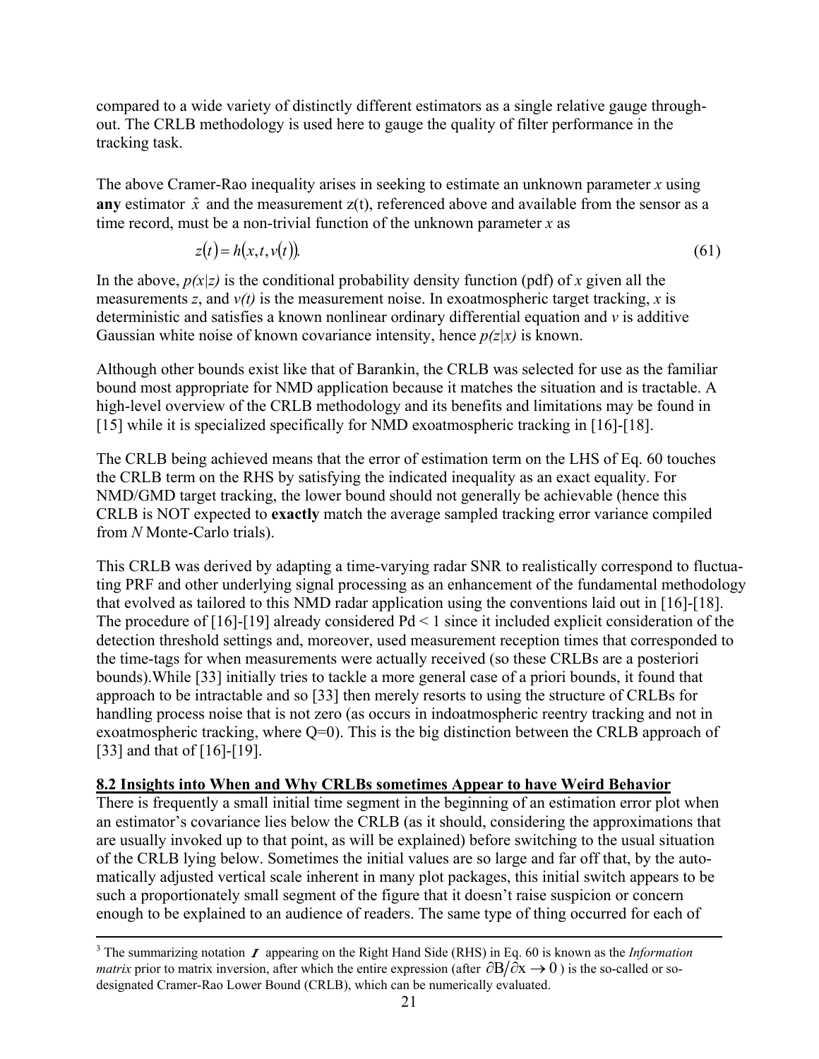compared to a wide variety of distinctly different estimators as a single relative gauge throughout. The CRLB methodology is used here to gauge the quality of filter performance in the tracking task.

The above Cramer-Rao inequality arises in seeking to estimate an unknown parameter *x* using **any** estimator  $\hat{x}$  and the measurement  $z(t)$ , referenced above and available from the sensor as a time record, must be a non-trivial function of the unknown parameter *x* as

$$
z(t) = h(x, t, v(t))
$$
\n<sup>(61)</sup>

In the above,  $p(x|z)$  is the conditional probability density function (pdf) of x given all the measurements *z*, and *v(t)* is the measurement noise. In exoatmospheric target tracking, *x* is deterministic and satisfies a known nonlinear ordinary differential equation and *v* is additive Gaussian white noise of known covariance intensity, hence *p(z|x)* is known.

Although other bounds exist like that of Barankin, the CRLB was selected for use as the familiar bound most appropriate for NMD application because it matches the situation and is tractable. A high-level overview of the CRLB methodology and its benefits and limitations may be found in [15] while it is specialized specifically for NMD exoatmospheric tracking in [16]-[18].

The CRLB being achieved means that the error of estimation term on the LHS of Eq. 60 touches the CRLB term on the RHS by satisfying the indicated inequality as an exact equality. For NMD/GMD target tracking, the lower bound should not generally be achievable (hence this CRLB is NOT expected to **exactly** match the average sampled tracking error variance compiled from *N* Monte-Carlo trials).

This CRLB was derived by adapting a time-varying radar SNR to realistically correspond to fluctuating PRF and other underlying signal processing as an enhancement of the fundamental methodology that evolved as tailored to this NMD radar application using the conventions laid out in [16]-[18]. The procedure of  $[16]-[19]$  already considered  $Pd < 1$  since it included explicit consideration of the detection threshold settings and, moreover, used measurement reception times that corresponded to the time-tags for when measurements were actually received (so these CRLBs are a posteriori bounds).While [33] initially tries to tackle a more general case of a priori bounds, it found that approach to be intractable and so [33] then merely resorts to using the structure of CRLBs for handling process noise that is not zero (as occurs in indoatmospheric reentry tracking and not in exoatmospheric tracking, where  $Q=0$ ). This is the big distinction between the CRLB approach of [33] and that of [16]-[19].

## **8.2 Insights into When and Why CRLBs sometimes Appear to have Weird Behavior**

There is frequently a small initial time segment in the beginning of an estimation error plot when an estimator's covariance lies below the CRLB (as it should, considering the approximations that are usually invoked up to that point, as will be explained) before switching to the usual situation of the CRLB lying below. Sometimes the initial values are so large and far off that, by the automatically adjusted vertical scale inherent in many plot packages, this initial switch appears to be such a proportionately small segment of the figure that it doesn't raise suspicion or concern enough to be explained to an audience of readers. The same type of thing occurred for each of

<u>.</u>

<sup>&</sup>lt;sup>3</sup> The summarizing notation  $\boldsymbol{I}$  appearing on the Right Hand Side (RHS) in Eq. 60 is known as the *Information matrix* prior to matrix inversion, after which the entire expression (after  $\partial B/\partial x \to 0$ ) is the so-called or sodesignated Cramer-Rao Lower Bound (CRLB), which can be numerically evaluated.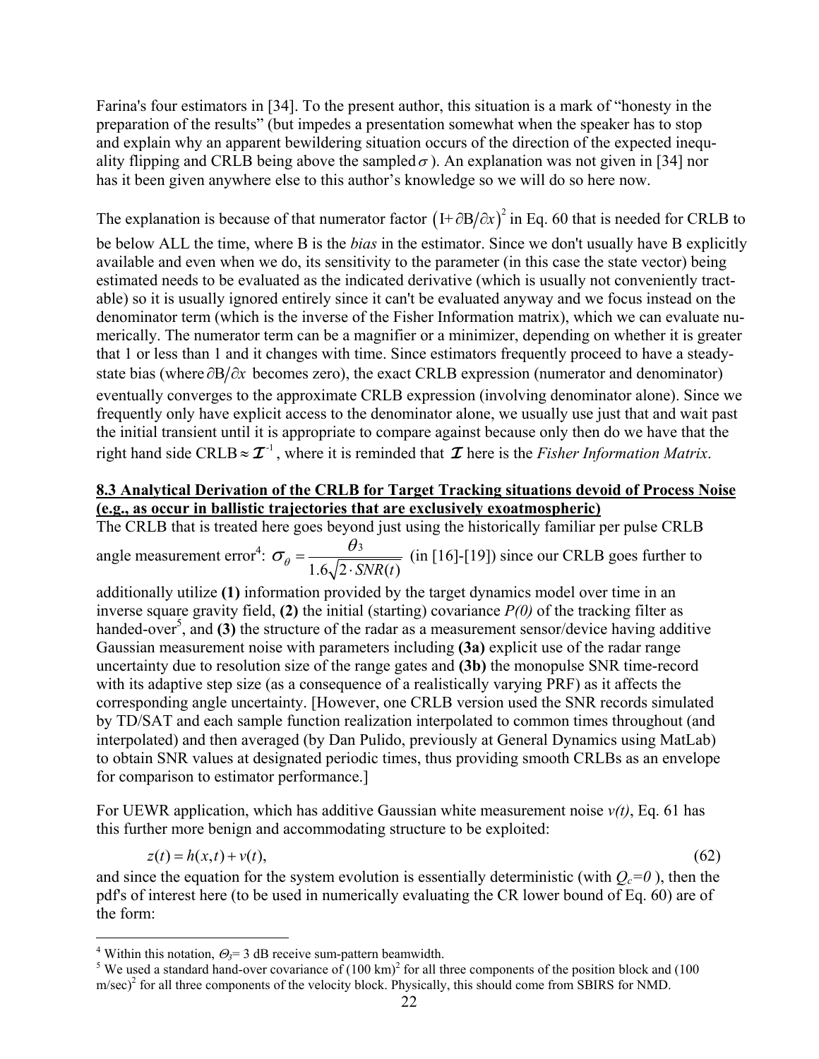Farina's four estimators in [34]. To the present author, this situation is a mark of "honesty in the preparation of the results" (but impedes a presentation somewhat when the speaker has to stop and explain why an apparent bewildering situation occurs of the direction of the expected inequality flipping and CRLB being above the sampled  $\sigma$ ). An explanation was not given in [34] nor has it been given anywhere else to this author's knowledge so we will do so here now.

The explanation is because of that numerator factor  $(I + \partial B/\partial x)^2$  in Eq. 60 that is needed for CRLB to be below ALL the time, where B is the *bias* in the estimator. Since we don't usually have B explicitly available and even when we do, its sensitivity to the parameter (in this case the state vector) being estimated needs to be evaluated as the indicated derivative (which is usually not conveniently tractable) so it is usually ignored entirely since it can't be evaluated anyway and we focus instead on the denominator term (which is the inverse of the Fisher Information matrix), which we can evaluate numerically. The numerator term can be a magnifier or a minimizer, depending on whether it is greater that 1 or less than 1 and it changes with time. Since estimators frequently proceed to have a steadystate bias (where  $\partial B/\partial x$  becomes zero), the exact CRLB expression (numerator and denominator) right hand side CRLB  $\approx \mathcal{I}^{-1}$ , where it is reminded that  $\mathcal I$  here is the *Fisher Information Matrix*. eventually converges to the approximate CRLB expression (involving denominator alone). Since we frequently only have explicit access to the denominator alone, we usually use just that and wait past the initial transient until it is appropriate to compare against because only then do we have that the

## **8.3 Analytical Derivation of the CRLB for Target Tracking situations devoid of Process Noise (e.g., as occur in ballistic trajectories that are exclusively exoatmospheric)**

The CRLB that is treated here goes beyond just using the historically familiar per pulse CRLB angle measurement error<sup>4</sup>:  $\sigma_{\theta} = \frac{\theta_3}{\sqrt{2\pi}}$  $\theta$ <sup>-</sup> 1.6  $\sqrt{2 \cdot SNR(t)}$  $\sigma_{\theta} = \frac{\theta_3}{1.6\sqrt{2 \cdot SNR(t)}}$  (in [16]-[19]) since our CRLB goes further to

additionally utilize **(1)** information provided by the target dynamics model over time in an inverse square gravity field, **(2)** the initial (starting) covariance *P(0)* of the tracking filter as handed-over<sup>5</sup>[,](#page-21-1) and (3) the structure of the radar as a measurement sensor/device having additive Gaussian measurement noise with parameters including **(3a)** explicit use of the radar range uncertainty due to resolution size of the range gates and **(3b)** the monopulse SNR time-record with its adaptive step size (as a consequence of a realistically varying PRF) as it affects the corresponding angle uncertainty. [However, one CRLB version used the SNR records simulated by TD/SAT and each sample function realization interpolated to common times throughout (and interpolated) and then averaged (by Dan Pulido, previously at General Dynamics using MatLab) to obtain SNR values at designated periodic times, thus providing smooth CRLBs as an envelope for comparison to estimator performance.]

For UEWR application, which has additive Gaussian white measurement noise *v(t)*, Eq. 61 has this further more benign and accommodating structure to be exploited:

 $z(t) = h(x,t) + v(t)$ , (62)

and since the equation for the system evolution is essentially deterministic (with  $Q_c=0$ ), then the pdf's of interest here (to be used in numerically evaluating the CR lower bound of Eq. 60) are of the form:

 $\overline{a}$ 

<span id="page-21-0"></span><sup>&</sup>lt;sup>4</sup> Within this notation,  $\Theta_3 = 3$  dB receive sum-pattern beamwidth.

<span id="page-21-1"></span><sup>&</sup>lt;sup>5</sup> We used a standard hand-over covariance of  $(100 \text{ km})^2$  for all three components of the position block and  $(100 \text{ km})^2$  $m/sec)^2$  for all three components of the velocity block. Physically, this should come from SBIRS for NMD.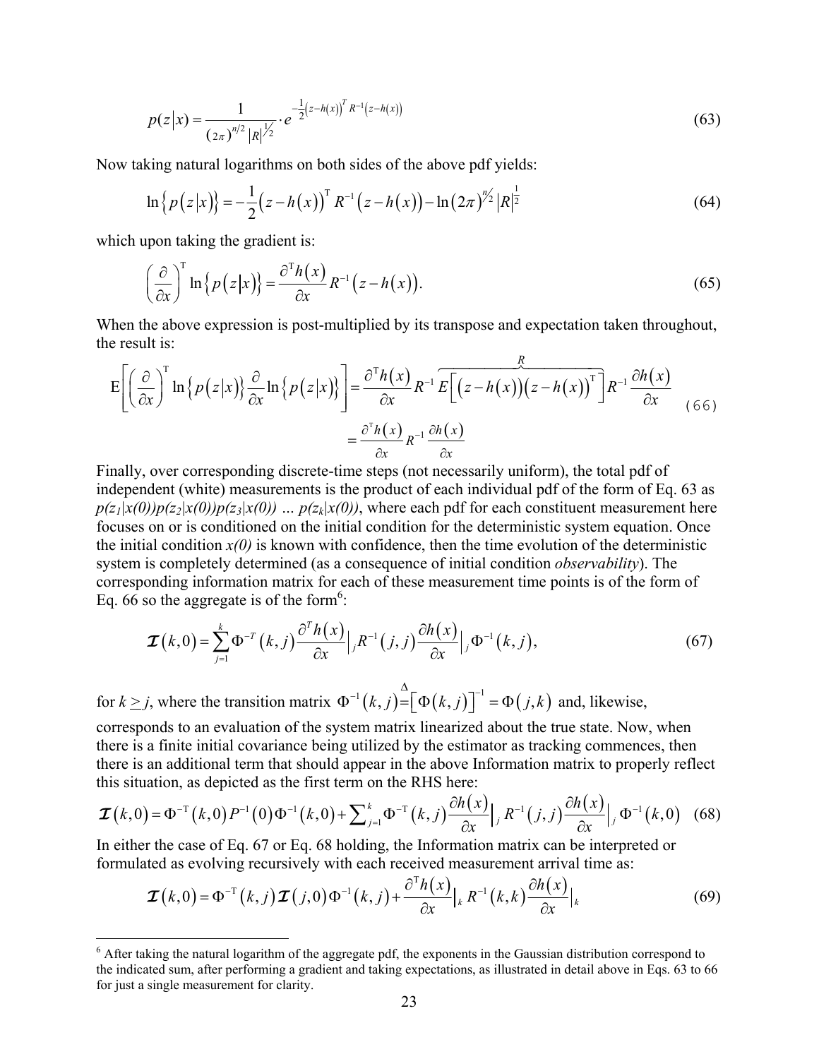$$
p(z|x) = \frac{1}{(2\pi)^{n/2} |R|^{1/2}} \cdot e^{-\frac{1}{2}(z - h(x))^T R^{-1}(z - h(x))}
$$
(63)

Now taking natural logarithms on both sides of the above pdf yields:

$$
\ln\left\{p(z|x)\right\} = -\frac{1}{2}\left(z - h(x)\right)^{T} R^{-1}\left(z - h(x)\right) - \ln\left(2\pi\right)^{n/2} |R|^{\frac{1}{2}} \tag{64}
$$

which upon taking the gradient is:

 $\overline{a}$ 

$$
\left(\frac{\partial}{\partial x}\right)^{\mathrm{T}}\ln\left\{p\left(z|x\right)\right\}=\frac{\partial^{\mathrm{T}}h\left(x\right)}{\partial x}R^{-1}\left(z-h\left(x\right)\right). \tag{65}
$$

When the above expression is post-multiplied by its transpose and expectation taken throughout, the result is:

$$
E\left[\left(\frac{\partial}{\partial x}\right)^{T} \ln\left\{p(z|x)\right\} \frac{\partial}{\partial x} \ln\left\{p(z|x)\right\}\right] = \frac{\partial^{T} h(x)}{\partial x} R^{-1} E\left[\left(z - h(x)\right)\left(z - h(x)\right)^{T}\right] R^{-1} \frac{\partial h(x)}{\partial x}
$$
\n
$$
= \frac{\partial^{T} h(x)}{\partial x} R^{-1} \frac{\partial h(x)}{\partial x}
$$
\n(66)

Finally, over corresponding discrete-time steps (not necessarily uniform), the total pdf of independent (white) measurements is the product of each individual pdf of the form of Eq. 63 as  $p(z_1|x(0))p(z_2|x(0))p(z_3|x(0))$  ...  $p(z_k|x(0))$ , where each pdf for each constituent measurement here focuses on or is conditioned on the initial condition for the deterministic system equation. Once the initial condition  $x(0)$  is known with confidence, then the time evolution of the deterministic system is completely determined (as a consequence of initial condition *observability*). The corresponding information matrix for each of these measurement time points is of the form of Eq. 66 so the aggregate is of the form<sup>6</sup>:

$$
\boldsymbol{\mathcal{I}}(k,0) = \sum_{j=1}^{k} \boldsymbol{\Phi}^{-T}(k,j) \frac{\partial^{T} h(x)}{\partial x} \Big|_{j} R^{-1}(j,j) \frac{\partial h(x)}{\partial x} \Big|_{j} \boldsymbol{\Phi}^{-1}(k,j), \tag{67}
$$

for  $k \geq j$ , where the transition matrix  $\Phi^{-1}(k, j) = [\Phi(k, j)]^{-1} = \Phi(j, k)$  and, likewise,

corresponds to an evaluation of the system matrix linearized about the true state. Now, when there is a finite initial covariance being utilized by the estimator as tracking commences, then there is an additional term that should appear in the above Information matrix to properly reflect this situation, as depicted as the first term on the RHS here:

$$
\boldsymbol{\mathcal{I}}(k,0) = \boldsymbol{\Phi}^{-1}(k,0)P^{-1}(0)\boldsymbol{\Phi}^{-1}(k,0) + \sum_{j=1}^{k} \boldsymbol{\Phi}^{-1}(k,j) \frac{\partial h(x)}{\partial x} \Big|_{j} R^{-1}(j,j) \frac{\partial h(x)}{\partial x} \Big|_{j} \boldsymbol{\Phi}^{-1}(k,0) \quad (68)
$$

In either the case of Eq. 67 or Eq. 68 holding, the Information matrix can be interpreted or formulated as evolving recursively with each received measurement arrival time as:

$$
\boldsymbol{\mathcal{I}}(k,0) = \boldsymbol{\Phi}^{-1}(k,j)\boldsymbol{\mathcal{I}}(j,0)\boldsymbol{\Phi}^{-1}(k,j) + \frac{\partial^{T}h(x)}{\partial x}\big|_{k} R^{-1}(k,k)\frac{\partial h(x)}{\partial x}\big|_{k}
$$
(69)

<span id="page-22-0"></span> $6$  After taking the natural logarithm of the aggregate pdf, the exponents in the Gaussian distribution correspond to the indicated sum, after performing a gradient and taking expectations, as illustrated in detail above in Eqs. 63 to 66 for just a single measurement for clarity.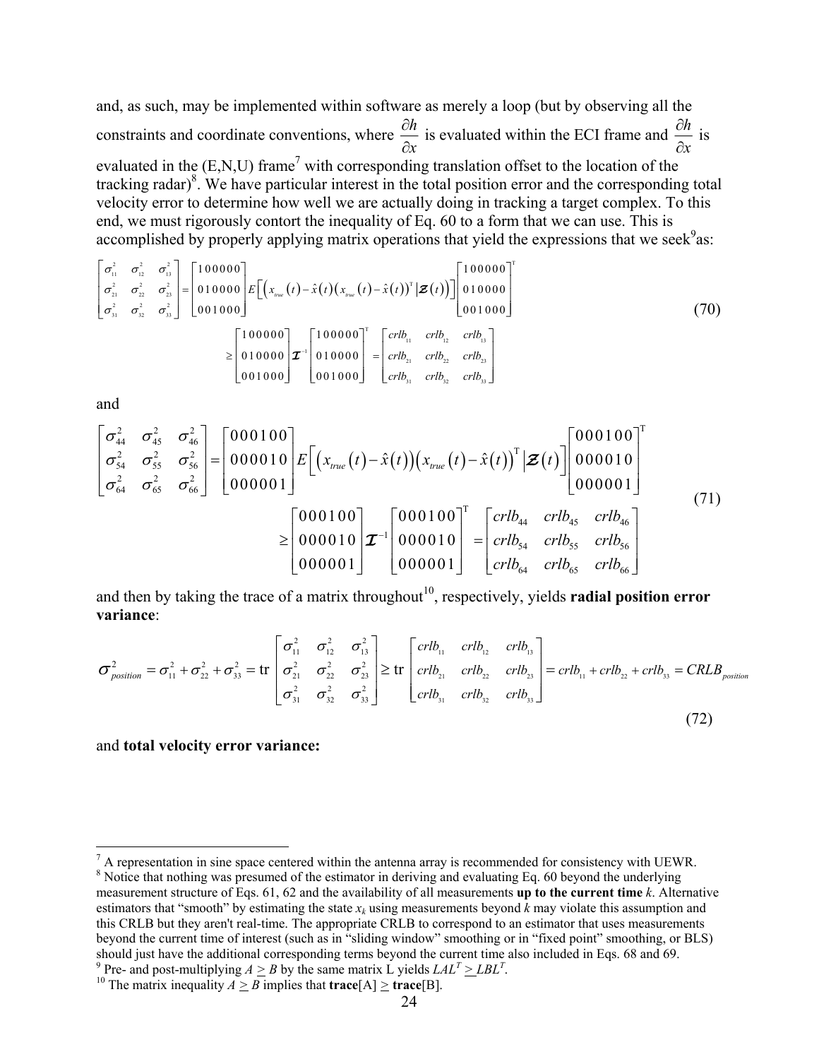and, as such, may be implemented within software as merely a loop (but by observing all the constraints and coordinate conventions, where  $\frac{\partial h}{\partial x}$ *x* ∂ ∂ is evaluated within the ECI frame and  $\frac{\partial h}{\partial x}$ *x* ∂ ∂ is evaluated in the  $(E, N, U)$  frame<sup>[7](#page-23-0)</sup> with corresponding translation offset to the location of the tracking radar)<sup>[8](#page-23-1)</sup>. We have particular interest in the total position error and the corresponding total velocity error to determine how well we are actually doing in tracking a target complex. To this end, we must rigorously contort the inequality of Eq. 60 to a form that we can use. This is accomplished by properly applying matrix operations that yield the expressions that we seek  $9$ as:

$$
\begin{bmatrix}\n\sigma_{1}^{2} & \sigma_{1}^{2} & \sigma_{13}^{2} \\
\sigma_{21}^{2} & \sigma_{22}^{2} & \sigma_{23}^{2} \\
\sigma_{31}^{2} & \sigma_{32}^{2} & \sigma_{33}^{2}\n\end{bmatrix} =\n\begin{bmatrix}\n100000 \\
010000 \\
001000\n\end{bmatrix}\nE\left[\left(x_{\text{true}}(t) - \hat{x}(t)(x_{\text{true}}(t) - \hat{x}(t))^{\mathrm{T}}|\mathbf{Z}(t)\right)\right]\n\begin{bmatrix}\n100000 \\
010000 \\
001000\n\end{bmatrix}^{T} \\
\geq \begin{bmatrix}\n100000 \\
010000 \\
001000\n\end{bmatrix} \mathbf{Z}^{-1}\n\begin{bmatrix}\n100000 \\
010000\n\end{bmatrix}^{T} =\n\begin{bmatrix}\n\frac{crb_{11} & \frac{crb_{21} & \frac{crb_{22} & \frac{crb_{33} \end{bmatrix}}{crb_{22} & \frac{crb_{23} & \frac{crb_{23} \end{bmatrix}}{crb_{23} & \frac{crb_{23} & \frac{crb_{23} \end{bmatrix}}{crb_{23} & \frac{crb_{23} \end{bmatrix}}\n\tag{70}
$$

and

<u>.</u>

$$
\begin{bmatrix}\n\sigma_{44}^{2} & \sigma_{45}^{2} & \sigma_{46}^{2} \\
\sigma_{54}^{2} & \sigma_{55}^{2} & \sigma_{56}^{2} \\
\sigma_{64}^{2} & \sigma_{65}^{2} & \sigma_{66}^{2}\n\end{bmatrix} = \begin{bmatrix}\n000100 \\
000010 \\
000001\n\end{bmatrix} E \begin{bmatrix}\n(x_{true}(t) - \hat{x}(t))(x_{true}(t) - \hat{x}(t))^{\mathrm{T}} | \mathbf{Z}(t)\n\end{bmatrix} \begin{bmatrix}\n000100 \\
0000010 \\
000001\n\end{bmatrix}^{\mathrm{T}} \\
\geq \begin{bmatrix}\n000100 \\
000010 \\
000001\n\end{bmatrix} \mathbf{Z}^{-1} \begin{bmatrix}\n000100 \\
000010 \\
000001\n\end{bmatrix}^{\mathrm{T}} = \begin{bmatrix}\n\operatorname{crib}_{44} & \operatorname{crib}_{45} & \operatorname{crib}_{46} \\
\operatorname{crib}_{54} & \operatorname{crib}_{55} & \operatorname{crib}_{56} \\
\operatorname{crib}_{64} & \operatorname{crib}_{65} & \operatorname{crib}_{66}\n\end{bmatrix}
$$
\n(71)

and then by taking the trace of a matrix throughout<sup>10</sup>, respectively, yields **radial position error variance**:

$$
\sigma_{position}^{2} = \sigma_{11}^{2} + \sigma_{22}^{2} + \sigma_{33}^{2} = \text{tr}\begin{bmatrix} \sigma_{11}^{2} & \sigma_{12}^{2} & \sigma_{13}^{2} \\ \sigma_{21}^{2} & \sigma_{22}^{2} & \sigma_{23}^{2} \\ \sigma_{31}^{2} & \sigma_{32}^{2} & \sigma_{33}^{2} \end{bmatrix} \geq \text{tr}\begin{bmatrix} crlb_{11} & crlb_{12} & crlb_{13} \\ crlb_{21} & crlb_{22} & crlb_{23} \\ \text{crlb}_{31} & crlb_{32} & crlb_{33} \end{bmatrix} = crlb_{11} + crlb_{22} + crlb_{33} = CRLB_{position}
$$
\n(72)

and **total velocity error variance:** 

<span id="page-23-1"></span><span id="page-23-0"></span><sup>&</sup>lt;sup>7</sup> A representation in sine space centered within the antenna array is recommended for consistency with UEWR. <sup>8</sup> Notice that nothing was presumed of the estimator in deriving and evaluating Eq. 60 beyond the underlying measurement structure of Eqs. 61, 62 and the availability of all measurements **up to the current time** *k*. Alternative estimators that "smooth" by estimating the state  $x_k$  using measurements beyond  $k$  may violate this assumption and this CRLB but they aren't real-time. The appropriate CRLB to correspond to an estimator that uses measurements beyond the current time of interest (such as in "sliding window" smoothing or in "fixed point" smoothing, or BLS) should just have the additional corresponding terms beyond the current time also included in Eqs. 68 and 69. Pre- and post-multiplying  $A \geq B$  by the same matrix L yields  $LAL^T \geq LBL^T$ .

<span id="page-23-3"></span><span id="page-23-2"></span><sup>&</sup>lt;sup>10</sup> The matrix inequality  $A \geq B$  implies that **trace**[A]  $\geq$  **trace**[B].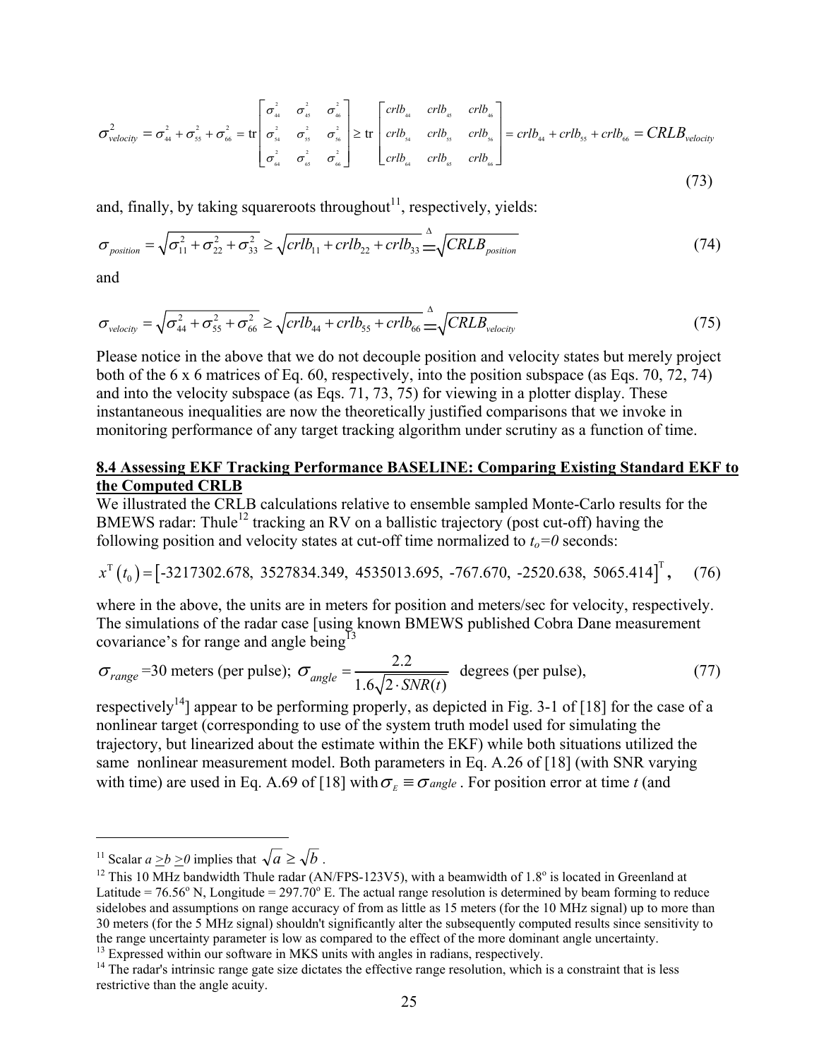$$
\sigma_{\text{velocity}}^2 = \sigma_{44}^2 + \sigma_{55}^2 + \sigma_{66}^2 = \text{tr}\begin{bmatrix} \sigma_{44}^2 & \sigma_{45}^2 & \sigma_{46}^2 \\ \sigma_{54}^2 & \sigma_{55}^2 & \sigma_{56}^2 \\ \sigma_{64}^2 & \sigma_{65}^2 & \sigma_{66}^2 \end{bmatrix} \ge \text{tr}\begin{bmatrix} crlb_{44} & crlb_{45} & crlb_{46} \\ crlb_{54} & crlb_{55} & crlb_{56} \\ \text{crlb}_{64} & \text{crlb}_{65} & \text{crlb}_{66} \end{bmatrix} = crlb_{44} + crlb_{55} + crlb_{66} = CRLB_{\text{velocity}}
$$
\n(73)

and, finally, by taking squareroots throughout<sup>11</sup>, respectively, yields:

$$
\sigma_{position} = \sqrt{\sigma_{11}^2 + \sigma_{22}^2 + \sigma_{33}^2} \ge \sqrt{crlb_{11} + crlb_{22} + crlb_{33}} \triangleq \sqrt{CRLB_{position}}
$$
\n(74)

and

$$
\sigma_{\text{velocity}} = \sqrt{\sigma_{44}^2 + \sigma_{55}^2 + \sigma_{66}^2} \ge \sqrt{crlb_{44} + crlb_{55} + crlb_{66}} \stackrel{\Delta}{=} \sqrt{CRLB_{\text{velocity}}}
$$
(75)

Please notice in the above that we do not decouple position and velocity states but merely project both of the 6 x 6 matrices of Eq. 60, respectively, into the position subspace (as Eqs. 70, 72, 74) and into the velocity subspace (as Eqs. 71, 73, 75) for viewing in a plotter display. These instantaneous inequalities are now the theoretically justified comparisons that we invoke in monitoring performance of any target tracking algorithm under scrutiny as a function of time.

## **8.4 Assessing EKF Tracking Performance BASELINE: Comparing Existing Standard EKF to the Computed CRLB**

We illustrated the CRLB calculations relative to ensemble sampled Monte-Carlo results for the BMEWS radar: Thule<sup>12</sup> tracking an RV on a ballistic trajectory (post cut-off) having the following position and velocity states at cut-off time normalized to  $t_o=0$  seconds:

$$
x^{T}(t_0) = \begin{bmatrix} -3217302.678, 3527834.349, 4535013.695, -767.670, -2520.638, 5065.414 \end{bmatrix}^{T}, \quad (76)
$$

where in the above, the units are in meters for position and meters/sec for velocity, respectively. The simulations of the radar case [using known BMEWS published Cobra Dane measurement covariance's for range and angle being<sup>13</sup>

$$
\sigma_{range}
$$
=30 meters (per pulse);  $\sigma_{angle} = \frac{2.2}{1.6\sqrt{2 \cdot SNR(t)}}$  degrees (per pulse), (77)

respectively<sup>14</sup> appear to be performing properly, as depicted in Fig. 3-1 of [18] for the case of a nonlinear target (corresponding to use of the system truth model used for simulating the trajectory, but linearized about the estimate within the EKF) while both situations utilized the same nonlinear measurement model. Both parameters in Eq. A.26 of [18] (with SNR varying with time) are used in Eq. A.69 of [18] with  $\sigma<sub>E</sub> \equiv \sigma<sub>angle</sub>$ . For position error at time *t* (and

 $\overline{a}$ 

<span id="page-24-2"></span> $13$  Expressed within our software in MKS units with angles in radians, respectively.

<span id="page-24-1"></span><span id="page-24-0"></span>

<sup>&</sup>lt;sup>11</sup> Scalar  $a \ge b \ge 0$  implies that  $\sqrt{a} \ge \sqrt{b}$ .<br><sup>12</sup> This 10 MHz bandwidth Thule radar (AN/FPS-123V5), with a beamwidth of 1.8<sup>o</sup> is located in Greenland at Latitude =  $76.56^{\circ}$  N, Longitude =  $297.70^{\circ}$  E. The actual range resolution is determined by beam forming to reduce sidelobes and assumptions on range accuracy of from as little as 15 meters (for the 10 MHz signal) up to more than 30 meters (for the 5 MHz signal) shouldn't significantly alter the subsequently computed results since sensitivity to the range uncertainty parameter is low as compared to the effect of the more dominant angle uncertainty.

<span id="page-24-3"></span> $14$  The radar's intrinsic range gate size dictates the effective range resolution, which is a constraint that is less restrictive than the angle acuity.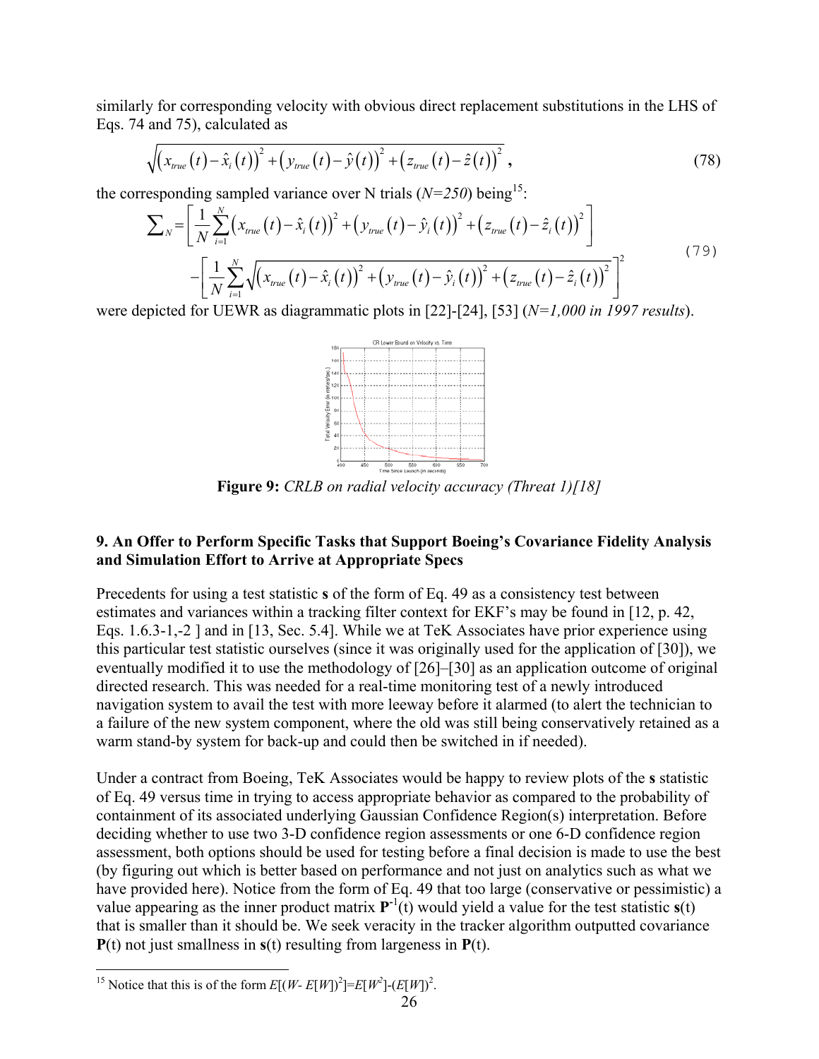similarly for corresponding velocity with obvious direct replacement substitutions in the LHS of Eqs. 74 and 75), calculated as

$$
\sqrt{\left(x_{true}(t) - \hat{x}_i(t)\right)^2 + \left(y_{true}(t) - \hat{y}(t)\right)^2 + \left(z_{true}(t) - \hat{z}(t)\right)^2},\tag{78}
$$

the corresponding sampled variance over N trials  $(N=250)$  being<sup>15</sup>:

$$
\sum_{N} = \left[ \frac{1}{N} \sum_{i=1}^{N} \left( x_{true}(t) - \hat{x}_{i}(t) \right)^{2} + \left( y_{true}(t) - \hat{y}_{i}(t) \right)^{2} + \left( z_{true}(t) - \hat{z}_{i}(t) \right)^{2} \right] - \left[ \frac{1}{N} \sum_{i=1}^{N} \sqrt{\left( x_{true}(t) - \hat{x}_{i}(t) \right)^{2} + \left( y_{true}(t) - \hat{y}_{i}(t) \right)^{2} + \left( z_{true}(t) - \hat{z}_{i}(t) \right)^{2}} \right]^{2}
$$
\n(79)

were depicted for UEWR as diagrammatic plots in [22]-[24], [53] (*N=1,000 in 1997 results*).



**Figure 9:** *CRLB on radial velocity accuracy (Threat 1)[18]*

# **9. An Offer to Perform Specific Tasks that Support Boeing's Covariance Fidelity Analysis and Simulation Effort to Arrive at Appropriate Specs**

Precedents for using a test statistic **s** of the form of Eq. 49 as a consistency test between estimates and variances within a tracking filter context for EKF's may be found in [12, p. 42, Eqs. 1.6.3-1,-2 ] and in [13, Sec. 5.4]. While we at TeK Associates have prior experience using this particular test statistic ourselves (since it was originally used for the application of [30]), we eventually modified it to use the methodology of [26]–[30] as an application outcome of original directed research. This was needed for a real-time monitoring test of a newly introduced navigation system to avail the test with more leeway before it alarmed (to alert the technician to a failure of the new system component, where the old was still being conservatively retained as a warm stand-by system for back-up and could then be switched in if needed).

Under a contract from Boeing, TeK Associates would be happy to review plots of the **s** statistic of Eq. 49 versus time in trying to access appropriate behavior as compared to the probability of containment of its associated underlying Gaussian Confidence Region(s) interpretation. Before deciding whether to use two 3-D confidence region assessments or one 6-D confidence region assessment, both options should be used for testing before a final decision is made to use the best (by figuring out which is better based on performance and not just on analytics such as what we have provided here). Notice from the form of Eq. 49 that too large (conservative or pessimistic) a value appearing as the inner product matrix  $P^{-1}(t)$  would yield a value for the test statistic  $s(t)$ that is smaller than it should be. We seek veracity in the tracker algorithm outputted covariance **P**(t) not just smallness in **s**(t) resulting from largeness in **P**(t).

<span id="page-25-0"></span> $\overline{a}$ <sup>15</sup> Notice that this is of the form  $E[(W - E[W])^2] = E[W^2] - (E[W])^2$ .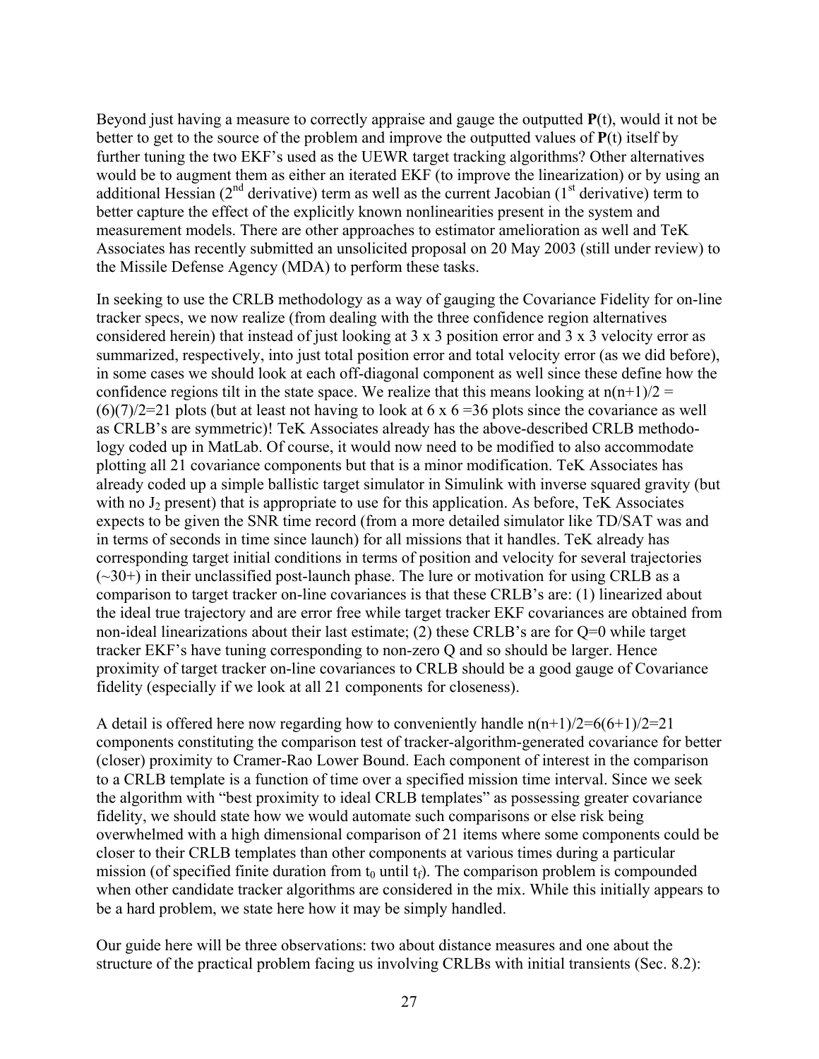Beyond just having a measure to correctly appraise and gauge the outputted **P**(t), would it not be better to get to the source of the problem and improve the outputted values of **P**(t) itself by further tuning the two EKF's used as the UEWR target tracking algorithms? Other alternatives would be to augment them as either an iterated EKF (to improve the linearization) or by using an additional Hessian ( $2<sup>nd</sup>$  derivative) term as well as the current Jacobian ( $1<sup>st</sup>$  derivative) term to better capture the effect of the explicitly known nonlinearities present in the system and measurement models. There are other approaches to estimator amelioration as well and TeK Associates has recently submitted an unsolicited proposal on 20 May 2003 (still under review) to the Missile Defense Agency (MDA) to perform these tasks.

In seeking to use the CRLB methodology as a way of gauging the Covariance Fidelity for on-line tracker specs, we now realize (from dealing with the three confidence region alternatives considered herein) that instead of just looking at 3 x 3 position error and 3 x 3 velocity error as summarized, respectively, into just total position error and total velocity error (as we did before), in some cases we should look at each off-diagonal component as well since these define how the confidence regions tilt in the state space. We realize that this means looking at  $n(n+1)/2 =$  $(6)(7)/2=21$  plots (but at least not having to look at 6 x 6 = 36 plots since the covariance as well as CRLB's are symmetric)! TeK Associates already has the above-described CRLB methodology coded up in MatLab. Of course, it would now need to be modified to also accommodate plotting all 21 covariance components but that is a minor modification. TeK Associates has already coded up a simple ballistic target simulator in Simulink with inverse squared gravity (but with no  $J_2$  present) that is appropriate to use for this application. As before, TeK Associates expects to be given the SNR time record (from a more detailed simulator like TD/SAT was and in terms of seconds in time since launch) for all missions that it handles. TeK already has corresponding target initial conditions in terms of position and velocity for several trajectories  $(\sim 30+)$  in their unclassified post-launch phase. The lure or motivation for using CRLB as a comparison to target tracker on-line covariances is that these CRLB's are: (1) linearized about the ideal true trajectory and are error free while target tracker EKF covariances are obtained from non-ideal linearizations about their last estimate; (2) these CRLB's are for Q=0 while target tracker EKF's have tuning corresponding to non-zero Q and so should be larger. Hence proximity of target tracker on-line covariances to CRLB should be a good gauge of Covariance fidelity (especially if we look at all 21 components for closeness).

A detail is offered here now regarding how to conveniently handle  $n(n+1)/2=6(6+1)/2=21$ components constituting the comparison test of tracker-algorithm-generated covariance for better (closer) proximity to Cramer-Rao Lower Bound. Each component of interest in the comparison to a CRLB template is a function of time over a specified mission time interval. Since we seek the algorithm with "best proximity to ideal CRLB templates" as possessing greater covariance fidelity, we should state how we would automate such comparisons or else risk being overwhelmed with a high dimensional comparison of 21 items where some components could be closer to their CRLB templates than other components at various times during a particular mission (of specified finite duration from  $t_0$  until  $t_f$ ). The comparison problem is compounded when other candidate tracker algorithms are considered in the mix. While this initially appears to be a hard problem, we state here how it may be simply handled.

Our guide here will be three observations: two about distance measures and one about the structure of the practical problem facing us involving CRLBs with initial transients (Sec. 8.2):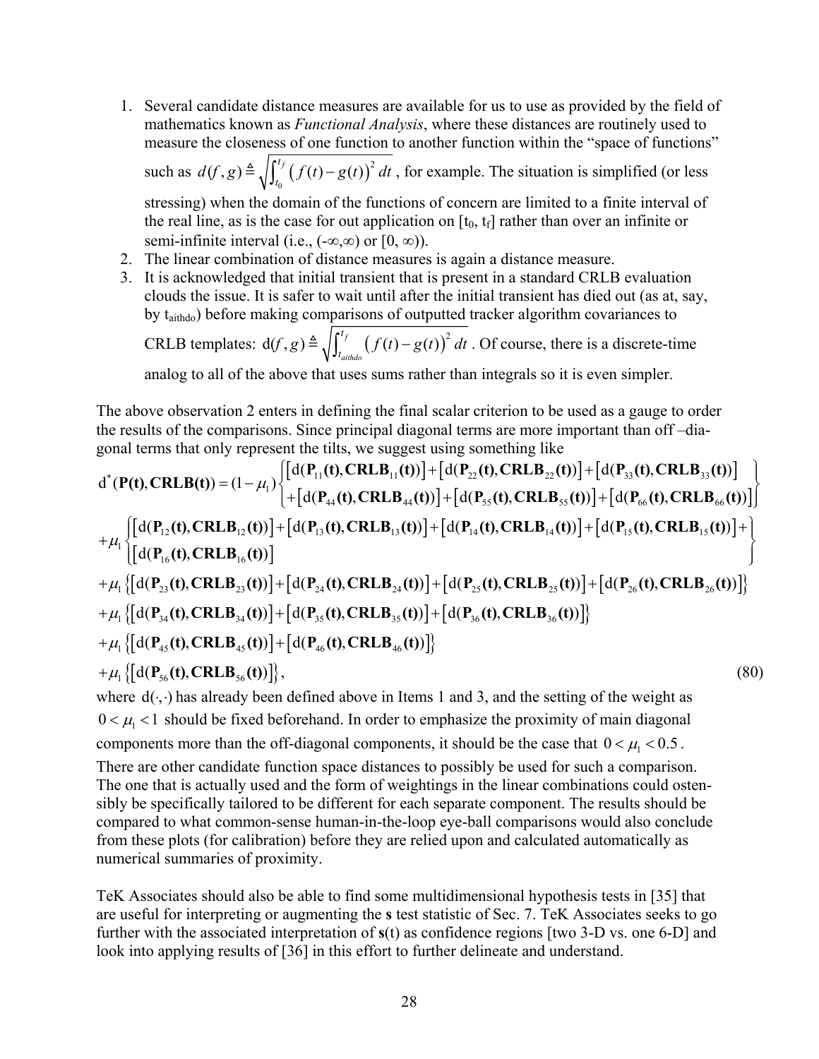- 1. Several candidate distance measures are available for us to use as provided by the field of mathematics known as *Functional Analysis*, where these distances are routinely used to measure the closeness of one function to another function within the "space of functions" such as  $d(f, g) \triangleq \sqrt{\int_{t_0}^{t_1} (f(t) - g(t))}$  $d(f, g)$   $\triangleq \sqrt{\int_{t_0}^{t_f} (f(t) - g(t))^2 dt}$ , for example. The situation is simplified (or less stressing) when the domain of the functions of concern are limited to a finite interval of the real line, as is the case for out application on  $[t_0, t_f]$  rather than over an infinite or semi-infinite interval (i.e.,  $(-\infty, \infty)$  or  $[0, \infty)$ ).
- 2. The linear combination of distance measures is again a distance measure.
- 3. It is acknowledged that initial transient that is present in a standard CRLB evaluation clouds the issue. It is safer to wait until after the initial transient has died out (as at, say, by taithdo) before making comparisons of outputted tracker algorithm covariances to CRLB templates:  $d(f, g) \triangleq \sqrt{\int_{t_{\text{aithdo}}}^{t_f} (f(t) - g(t))^{2}}$  $f$ ,  $g$ )  $\triangleq \sqrt{\int_{t_{\text{aithdo}}^{t_f}}^{t_f} (f(t) - g(t))^2 dt}$ . Of course, there is a discrete-time

analog to all of the above that uses sums rather than integrals so it is even simpler.

The above observation 2 enters in defining the final scalar criterion to be used as a gauge to order the results of the comparisons. Since principal diagonal terms are more important than off –diagonal terms that only represent the tilts, we suggest using something like

$$
d^{*}(P(t),CRLB(t)) = (1 - \mu_{1}) \begin{cases} [d(P_{11}(t),CRLB_{11}(t))] + [d(P_{22}(t),CRLB_{22}(t))] + [d(P_{33}(t),CRLB_{33}(t))] \\ + [d(P_{44}(t),CRLB_{44}(t))] + [d(P_{55}(t),CRLB_{55}(t))] + [d(P_{66}(t),CRLB_{66}(t))] \end{cases}
$$
  
+
$$
\mu_{1} \begin{cases} [d(P_{12}(t),CRLB_{12}(t))] + [d(P_{13}(t),CRLB_{13}(t))] + [d(P_{14}(t),CRLB_{14}(t))] + [d(P_{15}(t),CRLB_{15}(t))] + [d(P_{16}(t),CRLB_{16}(t))] \end{cases}
$$
  
+
$$
\mu_{1} \begin{cases} [d(P_{23}(t),CRLB_{23}(t))] + [d(P_{24}(t),CRLB_{24}(t))] + [d(P_{25}(t),CRLB_{25}(t))] + [d(P_{26}(t),CRLB_{26}(t))] \end{cases}
$$
  
+
$$
\mu_{1} \begin{cases} [d(P_{34}(t),CRLB_{34}(t))] + [d(P_{35}(t),CRLB_{35}(t))] + [d(P_{36}(t),CRLB_{36}(t))] \end{cases}
$$
  
+
$$
\mu_{1} \begin{cases} [d(P_{45}(t),CRLB_{45}(t))] + [d(P_{46}(t),CRLB_{46}(t))] \end{cases}
$$
  
+
$$
\mu_{1} \begin{cases} [d(P_{56}(t),CRLB_{56}(t))] \end{cases}
$$
 (80)

where  $d(\cdot, \cdot)$  has already been defined above in Items 1 and 3, and the setting of the weight as  $0 < \mu_1 < 1$  should be fixed beforehand. In order to emphasize the proximity of main diagonal components more than the off-diagonal components, it should be the case that  $0 < \mu_1 < 0.5$ .

There are other candidate function space distances to possibly be used for such a comparison. The one that is actually used and the form of weightings in the linear combinations could ostensibly be specifically tailored to be different for each separate component. The results should be compared to what common-sense human-in-the-loop eye-ball comparisons would also conclude from these plots (for calibration) before they are relied upon and calculated automatically as numerical summaries of proximity.

TeK Associates should also be able to find some multidimensional hypothesis tests in [35] that are useful for interpreting or augmenting the **s** test statistic of Sec. 7. TeK Associates seeks to go further with the associated interpretation of **s**(t) as confidence regions [two 3-D vs. one 6-D] and look into applying results of [36] in this effort to further delineate and understand.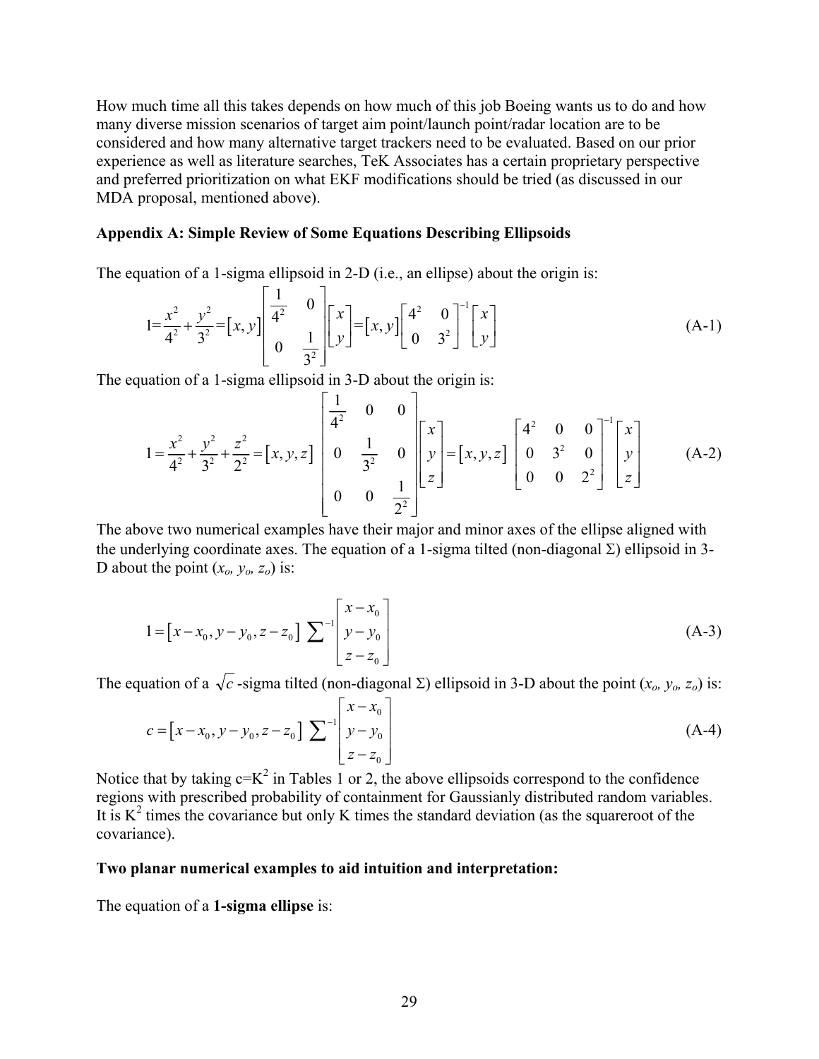How much time all this takes depends on how much of this job Boeing wants us to do and how many diverse mission scenarios of target aim point/launch point/radar location are to be considered and how many alternative target trackers need to be evaluated. Based on our prior experience as well as literature searches, TeK Associates has a certain proprietary perspective and preferred prioritization on what EKF modifications should be tried (as discussed in our MDA proposal, mentioned above).

## **Appendix A: Simple Review of Some Equations Describing Ellipsoids**

The equation of a 1-sigma ellipsoid in 2-D (i.e., an ellipse) about the origin is:

$$
1 = \frac{x^2}{4^2} + \frac{y^2}{3^2} = \left[x, y\right] \begin{bmatrix} \frac{1}{4^2} & 0 \\ 0 & \frac{1}{3^2} \end{bmatrix} \begin{bmatrix} x \\ y \end{bmatrix} = \left[x, y\right] \begin{bmatrix} 4^2 & 0 \\ 0 & 3^2 \end{bmatrix}^{-1} \begin{bmatrix} x \\ y \end{bmatrix}
$$
 (A-1)

The equation of a 1-sigma ellipsoid in 3-D about the origin is:

$$
1 = \frac{x^2}{4^2} + \frac{y^2}{3^2} + \frac{z^2}{2^2} = [x, y, z] \begin{bmatrix} \frac{1}{4^2} & 0 & 0 \\ 0 & \frac{1}{3^2} & 0 \\ 0 & 0 & \frac{1}{2^2} \end{bmatrix} \begin{bmatrix} x \\ y \\ z \end{bmatrix} = [x, y, z] \begin{bmatrix} 4^2 & 0 & 0 \\ 0 & 3^2 & 0 \\ 0 & 0 & 2^2 \end{bmatrix} \begin{bmatrix} x \\ y \\ z \end{bmatrix}
$$
 (A-2)

The above two numerical examples have their major and minor axes of the ellipse aligned with the underlying coordinate axes. The equation of a 1-sigma tilted (non-diagonal  $\Sigma$ ) ellipsoid in 3-D about the point  $(x_0, y_0, z_0)$  is:

$$
1 = [x - x_0, y - y_0, z - z_0] \sum \begin{bmatrix} x - x_0 \\ y - y_0 \\ z - z_0 \end{bmatrix}
$$
 (A-3)

The equation of a  $\sqrt{c}$ -sigma tilted (non-diagonal Σ) ellipsoid in 3-D about the point  $(x_0, y_0, z_0)$  is:

$$
c = [x - x_0, y - y_0, z - z_0] \sum_{z = z_0}^{-1} \begin{bmatrix} x - x_0 \\ y - y_0 \\ z - z_0 \end{bmatrix}
$$
 (A-4)

Notice that by taking  $c=K^2$  in Tables 1 or 2, the above ellipsoids correspond to the confidence regions with prescribed probability of containment for Gaussianly distributed random variables. It is  $K^2$  times the covariance but only K times the standard deviation (as the squareroot of the covariance).

### **Two planar numerical examples to aid intuition and interpretation:**

The equation of a **1-sigma ellipse** is: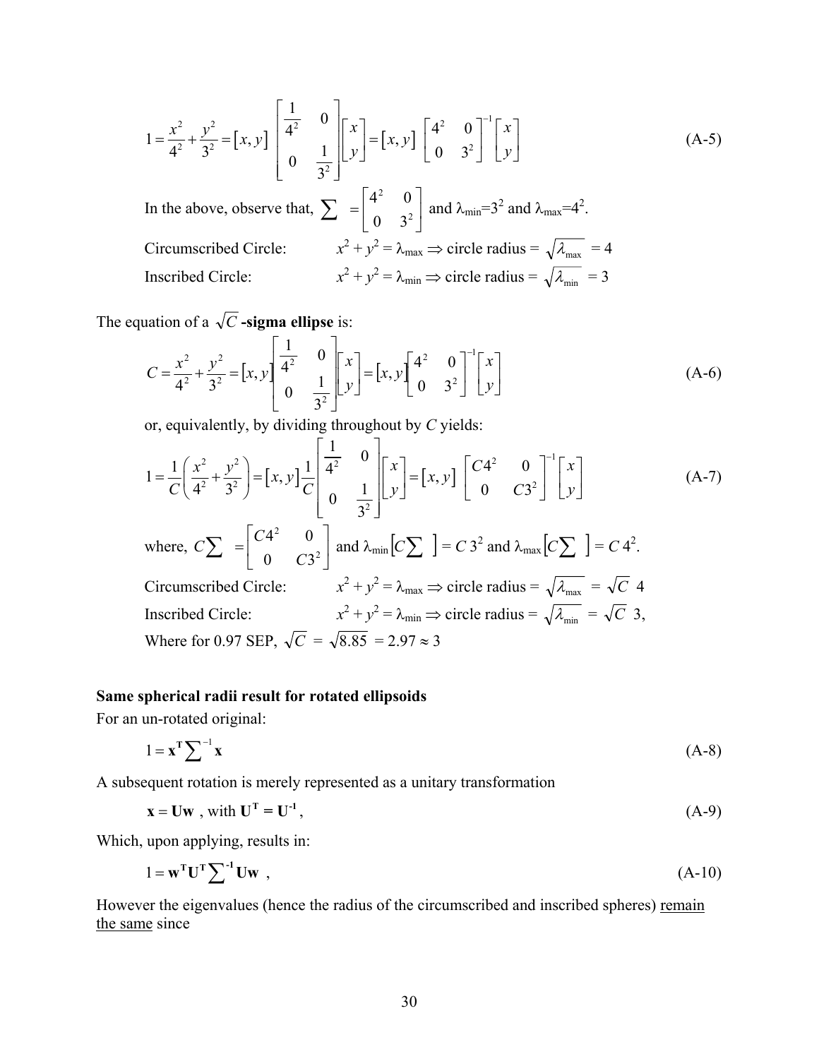$$
1 = \frac{x^2}{4^2} + \frac{y^2}{3^2} = [x, y] \begin{bmatrix} \frac{1}{4^2} & 0 \\ 0 & \frac{1}{3^2} \end{bmatrix} \begin{bmatrix} x \\ y \end{bmatrix} = [x, y] \begin{bmatrix} 4^2 & 0 \\ 0 & 3^2 \end{bmatrix}^{-1} \begin{bmatrix} x \\ y \end{bmatrix}
$$
(A-5)  
In the above, observe that,  $\sum = \begin{bmatrix} 4^2 & 0 \\ 0 & 3^2 \end{bmatrix}$  and  $\lambda_{\text{min}} = 3^2$  and  $\lambda_{\text{max}} = 4^2$ .  
Circumscribed Circle:  $x^2 + y^2 = \lambda_{\text{max}} \Rightarrow$  circle radius =  $\sqrt{\lambda_{\text{max}}} = 4$   
Inscribed Circle:  $x^2 + y^2 = \lambda_{\text{min}} \Rightarrow$  circle radius =  $\sqrt{\lambda_{\text{min}}} = 3$ 

The equation of a  $\sqrt{C}$  **-sigma ellipse** is:

$$
C = \frac{x^2}{4^2} + \frac{y^2}{3^2} = [x, y] \begin{bmatrix} \frac{1}{4^2} & 0 \\ 0 & \frac{1}{3^2} \end{bmatrix} \begin{bmatrix} x \\ y \end{bmatrix} = [x, y] \begin{bmatrix} 4^2 & 0 \\ 0 & 3^2 \end{bmatrix}^{-1} \begin{bmatrix} x \\ y \end{bmatrix}
$$
 (A-6)

or, equivalently, by dividing throughout by *C* yields:

$$
1 = \frac{1}{C} \left( \frac{x^2}{4^2} + \frac{y^2}{3^2} \right) = \left[ x, y \right] \frac{1}{C} \begin{bmatrix} \frac{1}{4^2} & 0 \\ 0 & \frac{1}{3^2} \end{bmatrix} \begin{bmatrix} x \\ y \end{bmatrix} = \left[ x, y \right] \begin{bmatrix} C4^2 & 0 \\ 0 & C3^2 \end{bmatrix}^{-1} \begin{bmatrix} x \\ y \end{bmatrix}
$$
 (A-7)

where, 
$$
C\sum = \begin{bmatrix} C4^2 & 0 \ 0 & C3^2 \end{bmatrix}
$$
 and  $\lambda_{min} [C\sum] = C 3^2$  and  $\lambda_{max} [C\sum] = C 4^2$ .  
\nCircumscribed Circle:  $x^2 + y^2 = \lambda_{max} \Rightarrow$  circle radius =  $\sqrt{\lambda_{max}} = \sqrt{C}$  4  
\nInscribed Circle:  $x^2 + y^2 = \lambda_{min} \Rightarrow$  circle radius =  $\sqrt{\lambda_{min}} = \sqrt{C}$  3,  
\nWhere for 0.97 SEP,  $\sqrt{C} = \sqrt{8.85} = 2.97 \approx 3$ 

# **Same spherical radii result for rotated ellipsoids**

For an un-rotated original:

$$
1 = \mathbf{x}^{\mathrm{T}} \sum^{-1} \mathbf{x} \tag{A-8}
$$

A subsequent rotation is merely represented as a unitary transformation

$$
\mathbf{x} = \mathbf{U}\mathbf{w} \text{ , with } \mathbf{U}^{\mathrm{T}} = \mathbf{U}^{\mathrm{-1}} \text{ ,}
$$
 (A-9)

Which, upon applying, results in:

$$
1 = \mathbf{w}^{\mathrm{T}} \mathbf{U}^{\mathrm{T}} \sum^{-1} \mathbf{U} \mathbf{w} \tag{A-10}
$$

However the eigenvalues (hence the radius of the circumscribed and inscribed spheres) remain the same since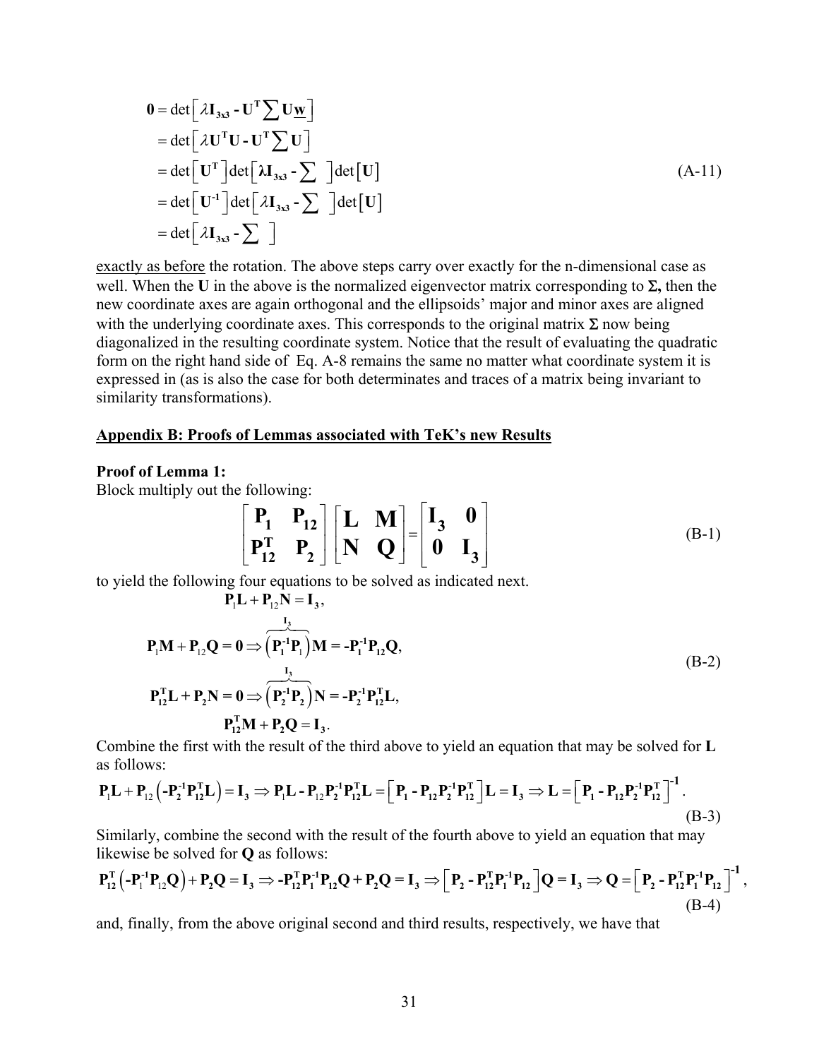$$
0 = det \left[ \lambda I_{3x3} - U^T \sum U_{\underline{W}} \right]
$$
  
= det \left[ \lambda U^T U - U^T \sum U \right]  
= det \left[ U^T \right] det \left[ \lambda I\_{3x3} - \sum \right] det \left[ U \right]  
= det \left[ U^{-1} \right] det \left[ \lambda I\_{3x3} - \sum \right] det \left[ U \right]  
= det \left[ \lambda I\_{3x3} - \sum \right]

exactly as before the rotation. The above steps carry over exactly for the n-dimensional case as well. When the **U** in the above is the normalized eigenvector matrix corresponding to Σ**,** then the new coordinate axes are again orthogonal and the ellipsoids' major and minor axes are aligned with the underlying coordinate axes. This corresponds to the original matrix  $\Sigma$  now being diagonalized in the resulting coordinate system. Notice that the result of evaluating the quadratic form on the right hand side of Eq. A-8 remains the same no matter what coordinate system it is expressed in (as is also the case for both determinates and traces of a matrix being invariant to similarity transformations).

#### **Appendix B: Proofs of Lemmas associated with TeK's new Results**

#### **Proof of Lemma 1:**

Block multiply out the following:

$$
\begin{bmatrix} P_1 & P_{12} \ P_1^T & P_2 \end{bmatrix} \begin{bmatrix} L & M \ N & Q \end{bmatrix} = \begin{bmatrix} I_3 & 0 \ 0 & I_3 \end{bmatrix}
$$
 (B-1)

to yield the following four equations to be solved as indicated next.

$$
P_1L + P_{12}N = I_3,
$$
  
\n
$$
P_1M + P_{12}Q = 0 \Rightarrow (P_1^{-1}P_1)M = -P_1^{-1}P_{12}Q,
$$
  
\n
$$
P_{12}^{T}L + P_2N = 0 \Rightarrow (P_2^{-1}P_2)N = -P_2^{-1}P_{12}^{T}L,
$$
  
\n
$$
P_{12}^{T}M + P_2Q = I_3.
$$
  
\n(B-2)

Combine the first with the result of the third above to yield an equation that may be solved for **L** as follows:

$$
P_1L + P_{12}(-P_2^{-1}P_{12}^T L) = I_3 \implies P_1L - P_{12}P_2^{-1}P_{12}^T L = \left[ P_1 - P_{12}P_2^{-1}P_{12}^T \right] L = I_3 \implies L = \left[ P_1 - P_{12}P_2^{-1}P_{12}^T \right]^{-1}.
$$
\n(B-3)

Similarly, combine the second with the result of the fourth above to yield an equation that may likewise be solved for **Q** as follows:

$$
P_{12}^T ( -P_1^T P_{12} Q ) + P_2 Q = I_3 \Rightarrow -P_{12}^T P_1^T P_{12} Q + P_2 Q = I_3 \Rightarrow \Big[ P_2 - P_{12}^T P_1^T P_{12} \Big] Q = I_3 \Rightarrow Q = \Big[ P_2 - P_{12}^T P_1^T P_{12} \Big]^{-1},
$$
\n(B-4)

and, finally, from the above original second and third results, respectively, we have that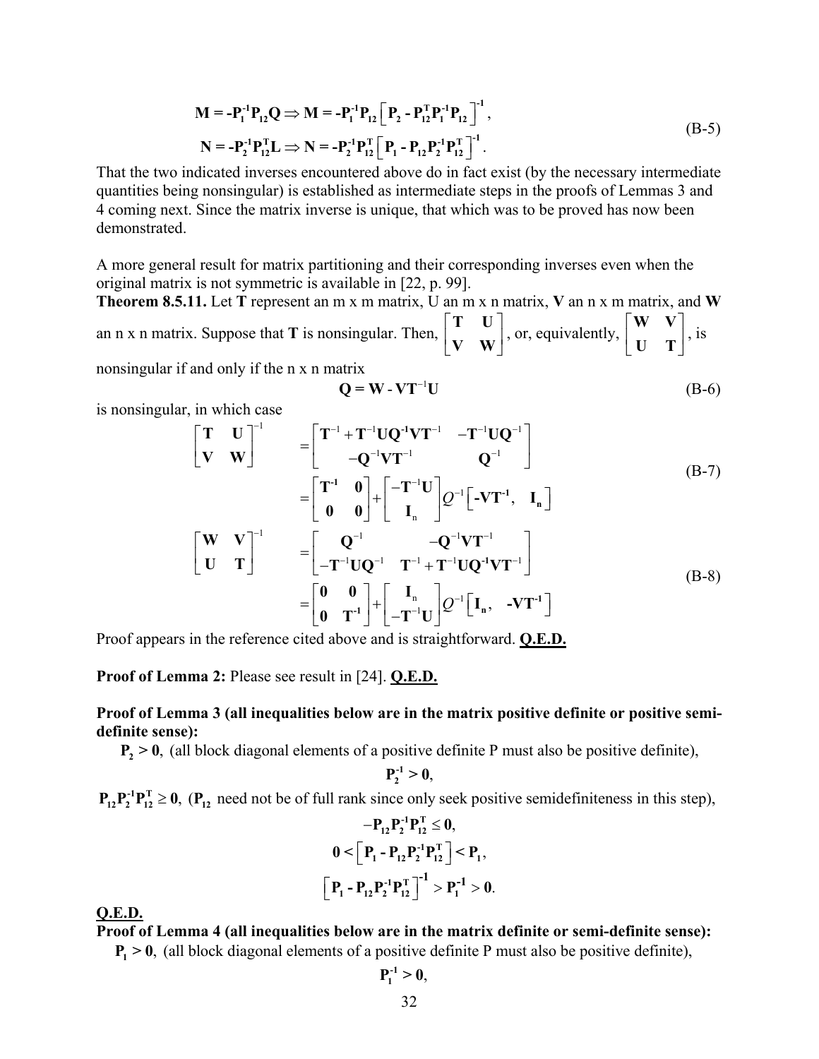$$
\mathbf{M} = -\mathbf{P}_{1}^{-1}\mathbf{P}_{12}\mathbf{Q} \Rightarrow \mathbf{M} = -\mathbf{P}_{1}^{-1}\mathbf{P}_{12}\left[\mathbf{P}_{2} - \mathbf{P}_{12}^{T}\mathbf{P}_{1}^{-1}\mathbf{P}_{12}\right]^{-1},
$$
\n
$$
\mathbf{N} = -\mathbf{P}_{2}^{-1}\mathbf{P}_{12}^{T}\mathbf{L} \Rightarrow \mathbf{N} = -\mathbf{P}_{2}^{-1}\mathbf{P}_{12}^{T}\left[\mathbf{P}_{1} - \mathbf{P}_{12}\mathbf{P}_{2}^{-1}\mathbf{P}_{12}^{T}\right]^{-1}.
$$
\n(B-5)

That the two indicated inverses encountered above do in fact exist (by the necessary intermediate quantities being nonsingular) is established as intermediate steps in the proofs of Lemmas 3 and 4 coming next. Since the matrix inverse is unique, that which was to be proved has now been demonstrated.

A more general result for matrix partitioning and their corresponding inverses even when the original matrix is not symmetric is available in [22, p. 99].

an n x n matrix. Suppose that **T** is nonsingular. Then,  $\begin{bmatrix} 1 & 0 \\ V & W \end{bmatrix}$ , or, equivalently,  $\begin{bmatrix} 1 & 0 \\ V & W \end{bmatrix}$ , is **Theorem 8.5.11.** Let **T** represent an m x m matrix, U an m x n matrix, **V** an n x m matrix, and **W**  $|T-U|$  $\mathsf{L}$  $\begin{bmatrix} V & W \end{bmatrix}$ **T U V W**  $\begin{bmatrix} \mathbf{W} & \mathbf{V} \end{bmatrix}$  $\begin{bmatrix} 0 & \mathbf{I} \end{bmatrix}$ **W V U T**

nonsingular if and only if the n x n matrix

$$
\mathbf{Q} = \mathbf{W} \cdot \mathbf{V} \mathbf{T}^{-1} \mathbf{U} \tag{B-6}
$$

is nonsingular, in which case

$$
\begin{bmatrix}\nT & U \\
V & W\n\end{bmatrix}^{-1} = \begin{bmatrix}\nT^{-1} + T^{-1}UQ^{-1}VT^{-1} & -T^{-1}UQ^{-1} \\
-Q^{-1}VT^{-1} & Q^{-1}\n\end{bmatrix}
$$
\n
$$
= \begin{bmatrix}\nT^{-1} & 0 \\
0 & 0\n\end{bmatrix} + \begin{bmatrix}\n-T^{-1}U \\
I_n\n\end{bmatrix} Q^{-1} [-VT^{-1}, I_n]
$$
\n
$$
\begin{bmatrix}\nW & V \\
U & T\n\end{bmatrix}^{-1} = \begin{bmatrix}\nQ^{-1} & -Q^{-1}VT^{-1} \\
-T^{-1}UQ^{-1} & T^{-1} + T^{-1}UQ^{-1}VT^{-1}\n\end{bmatrix}
$$
\n
$$
= \begin{bmatrix}\n0 & 0 \\
0 & T^{-1}\n\end{bmatrix} + \begin{bmatrix}\nI_n \\
-T^{-1}U\n\end{bmatrix} Q^{-1} [I_n, -VT^{-1}]
$$
\n(B-8)

Proof appears in the reference cited above and is straightforward. **Q.E.D.**

**Proof of Lemma 2:** Please see result in [24]. **Q.E.D.**

## **Proof of Lemma 3 (all inequalities below are in the matrix positive definite or positive semidefinite sense):**

 $P_2 > 0$ , (all block diagonal elements of a positive definite P must also be positive definite),

$$
P_2^{-1}\geq 0,
$$

 $\mathbf{P}_{12}^{\mathrm{T}} \geq 0$ , ( $\mathbf{P}_{12}$  need not be of full rank since only seek positive semidefiniteness in this step),  $P_{12}P_{2}^{-1}P_{12}^{T} \ge 0$ ,  $(P_{12}$ 

$$
-P_{12}P_2^{-1}P_{12}^T \le 0,
$$
  

$$
0 < \left[P_1 - P_{12}P_2^{-1}P_{12}^T\right] < P_1,
$$
  

$$
\left[P_1 - P_{12}P_2^{-1}P_{12}^T\right]^{-1} > P_1^{-1} > 0.
$$

**Q.E.D.**

**Proof of Lemma 4 (all inequalities below are in the matrix definite or semi-definite sense):** 

 $P_1 > 0$ , (all block diagonal elements of a positive definite P must also be positive definite),

$$
\mathbf{P}_{1}^{-1}\geq \mathbf{0},
$$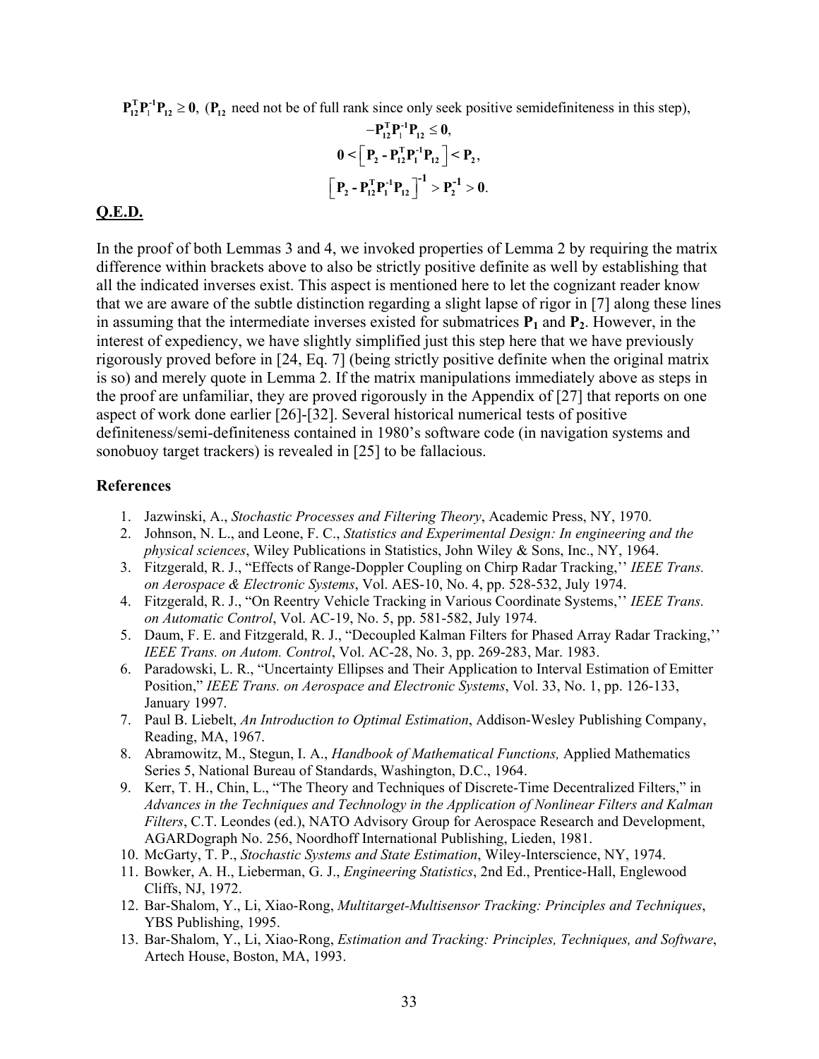$\mathbf{P}_{12}^{\mathrm{T}}\mathbf{P}_{11}^{\mathrm{T}}\mathbf{P}_{12} \ge 0$ , ( $\mathbf{P}_{12}$  need not be of full rank since only seek positive semidefiniteness in this step),

$$
-P_{12}^{T}P_{1}^{1}P_{12} \le 0,
$$
  

$$
0 < \left[P_{2} - P_{12}^{T}P_{1}^{1}P_{12}\right] < P_{2},
$$
  

$$
\left[P_{2} - P_{12}^{T}P_{1}^{1}P_{12}\right]^{-1} > P_{2}^{-1} > 0.
$$

#### **Q.E.D.**

In the proof of both Lemmas 3 and 4, we invoked properties of Lemma 2 by requiring the matrix difference within brackets above to also be strictly positive definite as well by establishing that all the indicated inverses exist. This aspect is mentioned here to let the cognizant reader know that we are aware of the subtle distinction regarding a slight lapse of rigor in [7] along these lines in assuming that the intermediate inverses existed for submatrices  $P_1$  and  $P_2$ . However, in the interest of expediency, we have slightly simplified just this step here that we have previously rigorously proved before in [24, Eq. 7] (being strictly positive definite when the original matrix is so) and merely quote in Lemma 2. If the matrix manipulations immediately above as steps in the proof are unfamiliar, they are proved rigorously in the Appendix of [27] that reports on one aspect of work done earlier [26]-[32]. Several historical numerical tests of positive definiteness/semi-definiteness contained in 1980's software code (in navigation systems and sonobuoy target trackers) is revealed in [25] to be fallacious.

### **References**

- 1. Jazwinski, A., *Stochastic Processes and Filtering Theory*, Academic Press, NY, 1970.
- 2. Johnson, N. L., and Leone, F. C., *Statistics and Experimental Design: In engineering and the physical sciences*, Wiley Publications in Statistics, John Wiley & Sons, Inc., NY, 1964.
- 3. Fitzgerald, R. J., "Effects of Range-Doppler Coupling on Chirp Radar Tracking,'' *IEEE Trans. on Aerospace & Electronic Systems*, Vol. AES-10, No. 4, pp. 528-532, July 1974.
- 4. Fitzgerald, R. J., "On Reentry Vehicle Tracking in Various Coordinate Systems,'' *IEEE Trans. on Automatic Control*, Vol. AC-19, No. 5, pp. 581-582, July 1974.
- 5. Daum, F. E. and Fitzgerald, R. J., "Decoupled Kalman Filters for Phased Array Radar Tracking,'' *IEEE Trans. on Autom. Control*, Vol. AC-28, No. 3, pp. 269-283, Mar. 1983.
- 6. Paradowski, L. R., "Uncertainty Ellipses and Their Application to Interval Estimation of Emitter Position," *IEEE Trans. on Aerospace and Electronic Systems*, Vol. 33, No. 1, pp. 126-133, January 1997.
- 7. Paul B. Liebelt, *An Introduction to Optimal Estimation*, Addison-Wesley Publishing Company, Reading, MA, 1967.
- 8. Abramowitz, M., Stegun, I. A., *Handbook of Mathematical Functions,* Applied Mathematics Series 5, National Bureau of Standards, Washington, D.C., 1964.
- 9. Kerr, T. H., Chin, L., "The Theory and Techniques of Discrete-Time Decentralized Filters," in *Advances in the Techniques and Technology in the Application of Nonlinear Filters and Kalman Filters*, C.T. Leondes (ed.), NATO Advisory Group for Aerospace Research and Development, AGARDograph No. 256, Noordhoff International Publishing, Lieden, 1981.
- 10. McGarty, T. P., *Stochastic Systems and State Estimation*, Wiley-Interscience, NY, 1974.
- 11. Bowker, A. H., Lieberman, G. J., *Engineering Statistics*, 2nd Ed., Prentice-Hall, Englewood Cliffs, NJ, 1972.
- 12. Bar-Shalom, Y., Li, Xiao-Rong, *Multitarget-Multisensor Tracking: Principles and Techniques*, YBS Publishing, 1995.
- 13. Bar-Shalom, Y., Li, Xiao-Rong, *Estimation and Tracking: Principles, Techniques, and Software*, Artech House, Boston, MA, 1993.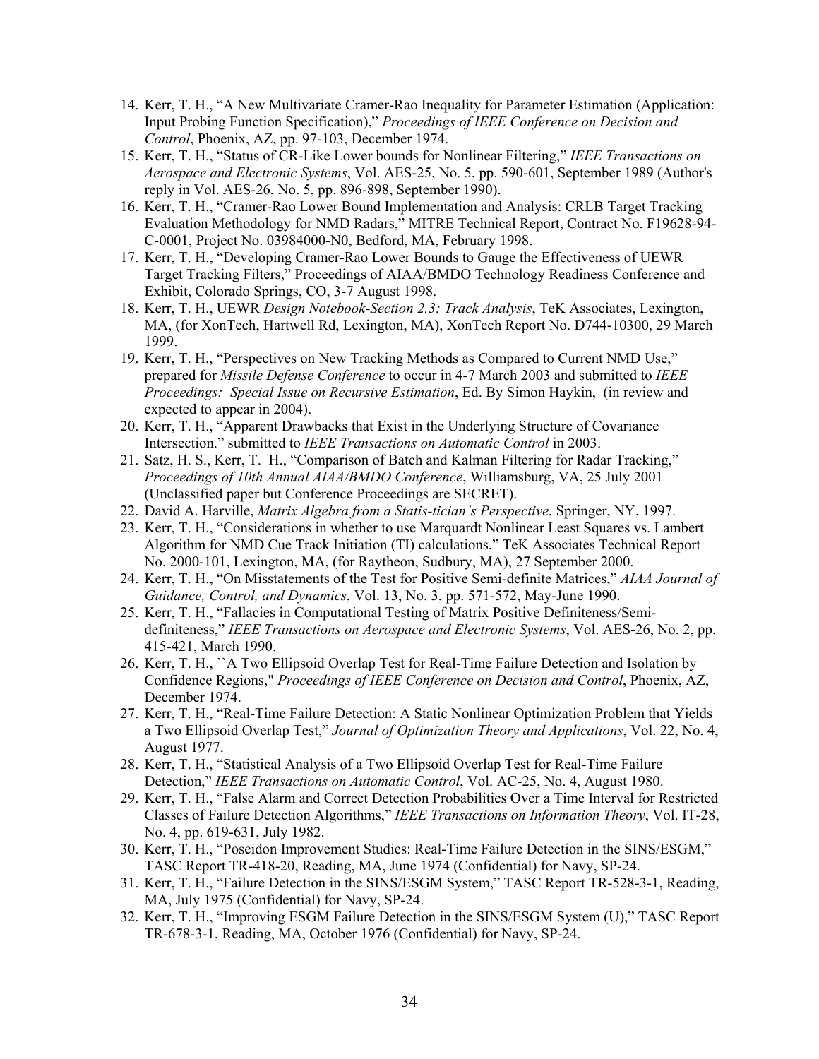- 14. Kerr, T. H., "A New Multivariate Cramer-Rao Inequality for Parameter Estimation (Application: Input Probing Function Specification)," *Proceedings of IEEE Conference on Decision and Control*, Phoenix, AZ, pp. 97-103, December 1974.
- 15. Kerr, T. H., "Status of CR-Like Lower bounds for Nonlinear Filtering," *IEEE Transactions on Aerospace and Electronic Systems*, Vol. AES-25, No. 5, pp. 590-601, September 1989 (Author's reply in Vol. AES-26, No. 5, pp. 896-898, September 1990).
- 16. Kerr, T. H., "Cramer-Rao Lower Bound Implementation and Analysis: CRLB Target Tracking Evaluation Methodology for NMD Radars," MITRE Technical Report, Contract No. F19628-94- C-0001, Project No. 03984000-N0, Bedford, MA, February 1998.
- 17. Kerr, T. H., "Developing Cramer-Rao Lower Bounds to Gauge the Effectiveness of UEWR Target Tracking Filters," Proceedings of AIAA/BMDO Technology Readiness Conference and Exhibit, Colorado Springs, CO, 3-7 August 1998.
- 18. Kerr, T. H., UEWR *Design Notebook-Section 2.3: Track Analysis*, TeK Associates, Lexington, MA, (for XonTech, Hartwell Rd, Lexington, MA), XonTech Report No. D744-10300, 29 March 1999.
- 19. Kerr, T. H., "Perspectives on New Tracking Methods as Compared to Current NMD Use," prepared for *Missile Defense Conference* to occur in 4-7 March 2003 and submitted to *IEEE Proceedings: Special Issue on Recursive Estimation*, Ed. By Simon Haykin, (in review and expected to appear in 2004).
- 20. Kerr, T. H., "Apparent Drawbacks that Exist in the Underlying Structure of Covariance Intersection." submitted to *IEEE Transactions on Automatic Control* in 2003.
- 21. Satz, H. S., Kerr, T. H., "Comparison of Batch and Kalman Filtering for Radar Tracking," *Proceedings of 10th Annual AIAA/BMDO Conference*, Williamsburg, VA, 25 July 2001 (Unclassified paper but Conference Proceedings are SECRET).
- 22. David A. Harville, *Matrix Algebra from a Statis-tician's Perspective*, Springer, NY, 1997.
- 23. Kerr, T. H., "Considerations in whether to use Marquardt Nonlinear Least Squares vs. Lambert Algorithm for NMD Cue Track Initiation (TI) calculations," TeK Associates Technical Report No. 2000-101, Lexington, MA, (for Raytheon, Sudbury, MA), 27 September 2000.
- 24. Kerr, T. H., "On Misstatements of the Test for Positive Semi-definite Matrices," *AIAA Journal of Guidance, Control, and Dynamics*, Vol. 13, No. 3, pp. 571-572, May-June 1990.
- 25. Kerr, T. H., "Fallacies in Computational Testing of Matrix Positive Definiteness/Semidefiniteness," *IEEE Transactions on Aerospace and Electronic Systems*, Vol. AES-26, No. 2, pp. 415-421, March 1990.
- 26. Kerr, T. H., ``A Two Ellipsoid Overlap Test for Real-Time Failure Detection and Isolation by Confidence Regions," *Proceedings of IEEE Conference on Decision and Control*, Phoenix, AZ, December 1974.
- 27. Kerr, T. H., "Real-Time Failure Detection: A Static Nonlinear Optimization Problem that Yields a Two Ellipsoid Overlap Test," *Journal of Optimization Theory and Applications*, Vol. 22, No. 4, August 1977.
- 28. Kerr, T. H., "Statistical Analysis of a Two Ellipsoid Overlap Test for Real-Time Failure Detection," *IEEE Transactions on Automatic Control*, Vol. AC-25, No. 4, August 1980.
- 29. Kerr, T. H., "False Alarm and Correct Detection Probabilities Over a Time Interval for Restricted Classes of Failure Detection Algorithms," *IEEE Transactions on Information Theory*, Vol. IT-28, No. 4, pp. 619-631, July 1982.
- 30. Kerr, T. H., "Poseidon Improvement Studies: Real-Time Failure Detection in the SINS/ESGM," TASC Report TR-418-20, Reading, MA, June 1974 (Confidential) for Navy, SP-24.
- 31. Kerr, T. H., "Failure Detection in the SINS/ESGM System," TASC Report TR-528-3-1, Reading, MA, July 1975 (Confidential) for Navy, SP-24.
- 32. Kerr, T. H., "Improving ESGM Failure Detection in the SINS/ESGM System (U)," TASC Report TR-678-3-1, Reading, MA, October 1976 (Confidential) for Navy, SP-24.